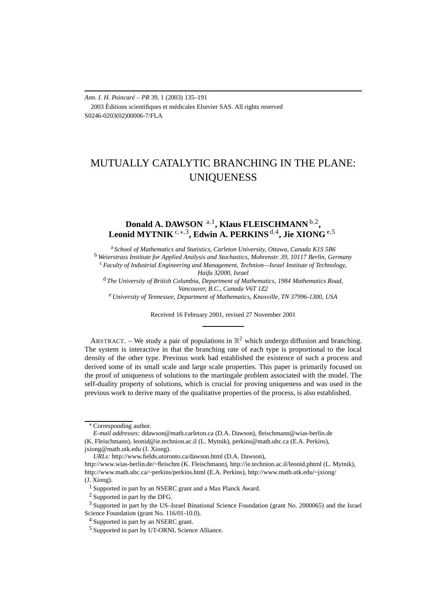*Ann. I. H. Poincaré – PR* 39, 1 (2003) 135–191 2003 Éditions scientifiques et médicales Elsevier SAS. All rights reserved S0246-0203(02)00006-7/FLA

# MUTUALLY CATALYTIC BRANCHING IN THE PLANE: UNIQUENESS

## **Donald A. DAWSON** <sup>a</sup>*,*1**, Klaus FLEISCHMANN** <sup>b</sup>*,*2**, Leonid MYTNIK** <sup>c</sup>*,*∗*,*3**, Edwin A. PERKINS** <sup>d</sup>*,*4**, Jie XIONG**e*,*<sup>5</sup>

<sup>a</sup> *School of Mathematics and Statistics, Carleton University, Ottawa, Canada K1S 5B6* <sup>b</sup> *Weierstrass Institute for Applied Analysis and Stochastics, Mohrenstr. 39, 10117 Berlin, Germany* <sup>c</sup> *Faculty of Industrial Engineering and Management, Technion—Israel Institute of Technology,*

*Haifa 32000, Israel*

<sup>d</sup> *The University of British Columbia, Department of Mathematics, 1984 Mathematics Road, Vancouver, B.C., Canada V6T 1Z2* <sup>e</sup> *University of Tennessee, Department of Mathematics, Knoxville, TN 37996-1300, USA*

Received 16 February 2001, revised 27 November 2001

ABSTRACT. – We study a pair of populations in  $\mathbb{R}^2$  which undergo diffusion and branching. The system is interactive in that the branching rate of each type is proportional to the local density of the other type. Previous work had established the existence of such a process and derived some of its small scale and large scale properties. This paper is primarily focused on the proof of uniqueness of solutions to the martingale problem associated with the model. The self-duality property of solutions, which is crucial for proving uniqueness and was used in the previous work to derive many of the qualitative properties of the process, is also established.

<sup>∗</sup> Corresponding author.

*E-mail addresses:* ddawson@math.carleton.ca (D.A. Dawson), fleischmann@wias-berlin.de (K. Fleischmann), leonid@ie.technion.ac.il (L. Mytnik), perkins@math.ubc.ca (E.A. Perkins), jxiong@math.utk.edu (J. Xiong).

*URLs:* http://www.fields.utoronto.ca/dawson.html (D.A. Dawson), http://www.wias-berlin.de/~fleischm (K. Fleischmann), http://ie.technion.ac.il/leonid.phtml (L. Mytnik), http://www.math.ubc.ca/~perkins/perkins.html (E.A. Perkins), http://www.math.utk.edu/~jxiong/ (J. Xiong).

<sup>&</sup>lt;sup>1</sup> Supported in part by an NSERC grant and a Max Planck Award.

<sup>2</sup> Supported in part by the DFG.

<sup>3</sup> Supported in part by the US–Israel Binational Science Foundation (grant No. 2000065) and the Israel Science Foundation (grant No. 116/01-10.0).

<sup>&</sup>lt;sup>4</sup> Supported in part by an NSERC grant.

<sup>5</sup> Supported in part by UT-ORNL Science Alliance.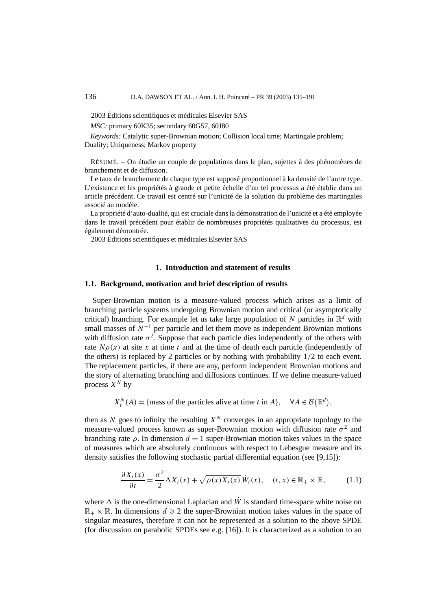2003 Éditions scientifiques et médicales Elsevier SAS

*MSC:* primary 60K35; secondary 60G57, 60J80

*Keywords:* Catalytic super-Brownian motion; Collision local time; Martingale problem; Duality; Uniqueness; Markov property

RÉSUMÉ. – On étudie un couple de populations dans le plan, sujettes à des phénomènes de branchement et de diffusion.

Le taux de branchement de chaque type est supposé proportionnel à ka densité de l'autre type. L'existence et les propriétés à grande et petite échelle d'un tel processus a été établie dans un article précédent. Ce travail est centré sur l'unicité de la solution du problème des martingales associé au modèle.

La propriété d'auto-dualité, qui est cruciale dans la démonstration de l'unicité et a été employée dans le travail précédent pour établir de nombreuses propriétés qualitatives du processus, est également démontrée.

2003 Éditions scientifiques et médicales Elsevier SAS

## **1. Introduction and statement of results**

## **1.1. Background, motivation and brief description of results**

Super-Brownian motion is a measure-valued process which arises as a limit of branching particle systems undergoing Brownian motion and critical (or asymptotically critical) branching. For example let us take large population of *N* particles in  $\mathbb{R}^d$  with small masses of  $N^{-1}$  per particle and let them move as independent Brownian motions with diffusion rate  $\sigma^2$ . Suppose that each particle dies independently of the others with rate  $N\rho(x)$  at site x at time t and at the time of death each particle (independently of the others) is replaced by 2 particles or by nothing with probability 1*/*2 to each event. The replacement particles, if there are any, perform independent Brownian motions and the story of alternating branching and diffusions continues. If we define measure-valued process  $X^N$  by

 $X_t^N(A) = \{\text{mass of the particles alive at time } t \text{ in } A\}, \quad \forall A \in \mathcal{B}(\mathbb{R}^d),$ 

then as N goes to infinity the resulting  $X<sup>N</sup>$  converges in an appropriate topology to the measure-valued process known as super-Brownian motion with diffusion rate  $\sigma^2$  and branching rate  $\rho$ . In dimension  $d = 1$  super-Brownian motion takes values in the space of measures which are absolutely continuous with respect to Lebesgue measure and its density satisfies the following stochastic partial differential equation (see [9,15]):

$$
\frac{\partial X_t(x)}{\partial t} = \frac{\sigma^2}{2} \Delta X_t(x) + \sqrt{\rho(x) X_t(x)} \, \dot{W}_t(x), \quad (t, x) \in \mathbb{R}_+ \times \mathbb{R}, \tag{1.1}
$$

where  $\Delta$  is the one-dimensional Laplacian and  $\dot{W}$  is standard time-space white noise on  $\mathbb{R}_+ \times \mathbb{R}$ . In dimensions  $d \geq 2$  the super-Brownian motion takes values in the space of singular measures, therefore it can not be represented as a solution to the above SPDE (for discussion on parabolic SPDEs see e.g. [16]). It is characterized as a solution to an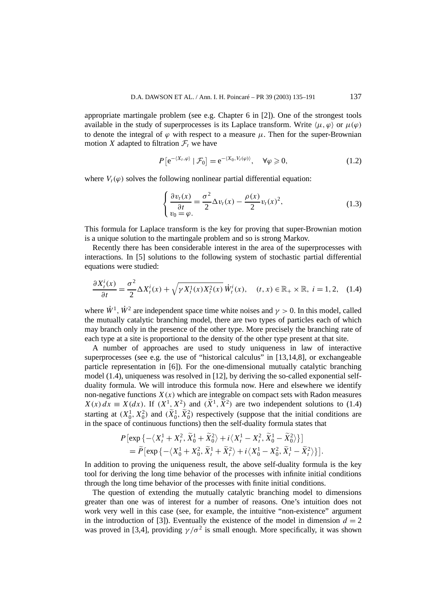appropriate martingale problem (see e.g. Chapter 6 in [2]). One of the strongest tools available in the study of superprocesses is its Laplace transform. Write  $\langle \mu, \varphi \rangle$  or  $\mu(\varphi)$ to denote the integral of  $\varphi$  with respect to a measure  $\mu$ . Then for the super-Brownian motion *X* adapted to filtration  $\mathcal{F}_t$  we have

$$
P\left[e^{-\langle X_t, \varphi\rangle} \mid \mathcal{F}_0\right] = e^{-\langle X_0, V_t(\varphi)\rangle}, \quad \forall \varphi \geq 0,
$$
\n(1.2)

where  $V_t(\varphi)$  solves the following nonlinear partial differential equation:

$$
\begin{cases} \frac{\partial v_t(x)}{\partial t} = \frac{\sigma^2}{2} \Delta v_t(x) - \frac{\rho(x)}{2} v_t(x)^2, \\ v_0 = \varphi. \end{cases}
$$
(1.3)

This formula for Laplace transform is the key for proving that super-Brownian motion is a unique solution to the martingale problem and so is strong Markov.

Recently there has been considerable interest in the area of the superprocesses with interactions. In [5] solutions to the following system of stochastic partial differential equations were studied:

$$
\frac{\partial X_t^i(x)}{\partial t} = \frac{\sigma^2}{2} \Delta X_t^i(x) + \sqrt{\gamma X_t^1(x) X_t^2(x)} \dot{W}_t^i(x), \quad (t, x) \in \mathbb{R}_+ \times \mathbb{R}, \ i = 1, 2, \quad (1.4)
$$

where  $\dot{W}^1$ ,  $\dot{W}^2$  are independent space time white noises and  $\gamma > 0$ . In this model, called the mutually catalytic branching model, there are two types of particles each of which may branch only in the presence of the other type. More precisely the branching rate of each type at a site is proportional to the density of the other type present at that site.

A number of approaches are used to study uniqueness in law of interactive superprocesses (see e.g. the use of "historical calculus" in [13,14,8], or exchangeable particle representation in [6]). For the one-dimensional mutually catalytic branching model (1.4), uniqueness was resolved in [12], by deriving the so-called exponential selfduality formula. We will introduce this formula now. Here and elsewhere we identify non-negative functions  $X(x)$  which are integrable on compact sets with Radon measures  $X(x) dx \equiv X(dx)$ . If  $(X^1, X^2)$  and  $(\tilde{X}^1, \tilde{X}^2)$  are two independent solutions to (1.4) starting at  $(X_0^1, X_0^2)$  and  $(\widetilde{X}_0^1, \widetilde{X}_0^2)$  respectively (suppose that the initial conditions are in the space of continuous functions) then the self-duality formula states that

$$
P\left[\exp\left\{-\left\langle X_t^1 + X_t^2, \widetilde{X}_0^1 + \widetilde{X}_0^2 \right\rangle + i\left\langle X_t^1 - X_t^2, \widetilde{X}_0^1 - \widetilde{X}_0^2 \right\rangle\right\}\right]
$$
  
=  $\widetilde{P}\left[\exp\left\{-\left\langle X_0^1 + X_0^2, \widetilde{X}_t^1 + \widetilde{X}_t^2 \right\rangle + i\left\langle X_0^1 - X_0^2, \widetilde{X}_t^1 - \widetilde{X}_t^2 \right\rangle\right\}\right].$ 

In addition to proving the uniqueness result, the above self-duality formula is the key tool for deriving the long time behavior of the processes with infinite initial conditions through the long time behavior of the processes with finite initial conditions.

The question of extending the mutually catalytic branching model to dimensions greater than one was of interest for a number of reasons. One's intuition does not work very well in this case (see, for example, the intuitive "non-existence" argument in the introduction of [3]). Eventually the existence of the model in dimension  $d = 2$ was proved in [3,4], providing  $\gamma/\sigma^2$  is small enough. More specifically, it was shown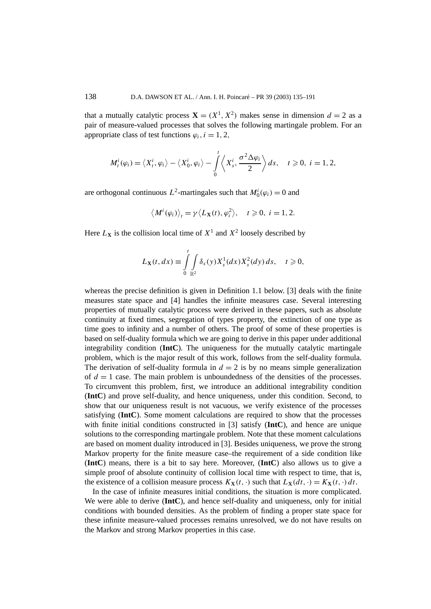that a mutually catalytic process  $X = (X^1, X^2)$  makes sense in dimension  $d = 2$  as a pair of measure-valued processes that solves the following martingale problem. For an appropriate class of test functions  $\varphi_i$ , *i* = 1, 2,

$$
M_t^i(\varphi_i) = \langle X_t^i, \varphi_i \rangle - \langle X_0^i, \varphi_i \rangle - \int_0^t \langle X_s^i, \frac{\sigma^2 \Delta \varphi_i}{2} \rangle ds, \quad t \geq 0, \ i = 1, 2,
$$

are orthogonal continuous  $L^2$ -martingales such that  $M_0^i(\varphi_i) = 0$  and

$$
\langle M^i(\varphi_i) \rangle_t = \gamma \langle L_{\mathbf{X}}(t), \varphi_i^2 \rangle, \quad t \geq 0, \ i = 1, 2.
$$

Here  $L_X$  is the collision local time of  $X^1$  and  $X^2$  loosely described by

$$
L_{\mathbf{X}}(t,dx) \equiv \int\limits_{0}^{t} \int\limits_{\mathbb{R}^2} \delta_x(y) X_s^1(dx) X_s^2(dy) ds, \quad t \geqslant 0,
$$

whereas the precise definition is given in Definition 1.1 below. [3] deals with the finite measures state space and [4] handles the infinite measures case. Several interesting properties of mutually catalytic process were derived in these papers, such as absolute continuity at fixed times, segregation of types property, the extinction of one type as time goes to infinity and a number of others. The proof of some of these properties is based on self-duality formula which we are going to derive in this paper under additional integrability condition (**IntC**). The uniqueness for the mutually catalytic martingale problem, which is the major result of this work, follows from the self-duality formula. The derivation of self-duality formula in  $d = 2$  is by no means simple generalization of  $d = 1$  case. The main problem is unboundedness of the densities of the processes. To circumvent this problem, first, we introduce an additional integrability condition (**IntC**) and prove self-duality, and hence uniqueness, under this condition. Second, to show that our uniqueness result is not vacuous, we verify existence of the processes satisfying (**IntC**). Some moment calculations are required to show that the processes with finite initial conditions constructed in [3] satisfy (**IntC**), and hence are unique solutions to the corresponding martingale problem. Note that these moment calculations are based on moment duality introduced in [3]. Besides uniqueness, we prove the strong Markov property for the finite measure case–the requirement of a side condition like (**IntC**) means, there is a bit to say here. Moreover, (**IntC**) also allows us to give a simple proof of absolute continuity of collision local time with respect to time, that is, the existence of a collision measure process  $K_{\mathbf{X}}(t, \cdot)$  such that  $L_{\mathbf{X}}(dt, \cdot) = K_{\mathbf{X}}(t, \cdot) dt$ .

In the case of infinite measures initial conditions, the situation is more complicated. We were able to derive (**IntC**), and hence self-duality and uniqueness, only for initial conditions with bounded densities. As the problem of finding a proper state space for these infinite measure-valued processes remains unresolved, we do not have results on the Markov and strong Markov properties in this case.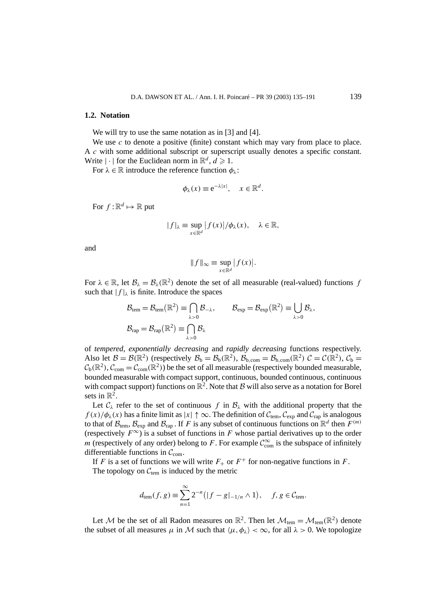#### **1.2. Notation**

We will try to use the same notation as in [3] and [4].

We use *c* to denote a positive (finite) constant which may vary from place to place. A *c* with some additional subscript or superscript usually denotes a specific constant. Write  $|\cdot|$  for the Euclidean norm in  $\mathbb{R}^d$ ,  $d \ge 1$ .

For  $\lambda \in \mathbb{R}$  introduce the reference function  $\phi_{\lambda}$ :

$$
\phi_{\lambda}(x) \equiv e^{-\lambda|x|}, \quad x \in \mathbb{R}^d.
$$

For  $f:\mathbb{R}^d \mapsto \mathbb{R}$  put

$$
|f|_{\lambda} \equiv \sup_{x \in \mathbb{R}^d} |f(x)| / \phi_{\lambda}(x), \quad \lambda \in \mathbb{R},
$$

and

$$
||f||_{\infty} \equiv \sup_{x \in \mathbb{R}^d} |f(x)|.
$$

For  $\lambda \in \mathbb{R}$ , let  $\mathcal{B}_{\lambda} = \mathcal{B}_{\lambda}(\mathbb{R}^2)$  denote the set of all measurable (real-valued) functions *f* such that  $|f|_{\lambda}$  is finite. Introduce the spaces

$$
\begin{aligned} \mathcal{B}_{tem} &= \mathcal{B}_{tem}(\mathbb{R}^2) \equiv \bigcap_{\lambda > 0} \mathcal{B}_{-\lambda}, \qquad \mathcal{B}_{exp} = \mathcal{B}_{exp}(\mathbb{R}^2) \equiv \bigcup_{\lambda > 0} \mathcal{B}_{\lambda}, \\ \mathcal{B}_{rap} &= \mathcal{B}_{rap}(\mathbb{R}^2) \equiv \bigcap_{\lambda > 0} \mathcal{B}_{\lambda} \end{aligned}
$$

of *tempered*, *exponentially decreasing* and *rapidly decreasing* functions respectively. Also let  $\mathcal{B} = \mathcal{B}(\mathbb{R}^2)$  (respectively  $\mathcal{B}_b = \mathcal{B}_b(\mathbb{R}^2)$ ,  $\mathcal{B}_{b,\text{com}} = \mathcal{B}_{b,\text{com}}(\mathbb{R}^2)$   $\mathcal{C} = \mathcal{C}(\mathbb{R}^2)$ ,  $\mathcal{C}_b =$  $C_b(\mathbb{R}^2)$ ,  $C_{\text{com}} = C_{\text{com}}(\mathbb{R}^2)$ ) be the set of all measurable (respectively bounded measurable, bounded measurable with compact support, continuous, bounded continuous, continuous with compact support) functions on  $\mathbb{R}^2$ . Note that B will also serve as a notation for Borel sets in  $\mathbb{R}^2$ .

Let  $C_\lambda$  refer to the set of continuous *f* in  $B_\lambda$  with the additional property that the  $f(x)/\phi_{\lambda}(x)$  has a finite limit as  $|x| \uparrow \infty$ . The definition of  $\mathcal{C}_{tem}$ ,  $\mathcal{C}_{exp}$  and  $\mathcal{C}_{rap}$  is analogous to that of  $\mathcal{B}_{tem}$ ,  $\mathcal{B}_{exp}$  and  $\mathcal{B}_{rap}$ . If *F* is any subset of continuous functions on  $\mathbb{R}^d$  then  $F^{(m)}$ (respectively  $F^{\infty}$ ) is a subset of functions in *F* whose partial derivatives up to the order *m* (respectively of any order) belong to *F*. For example  $C_{com}^{\infty}$  is the subspace of infinitely differentiable functions in  $C_{\text{com}}$ .

If *F* is a set of functions we will write  $F_+$  or  $F^+$  for non-negative functions in *F*. The topology on  $C_{tem}$  is induced by the metric

$$
d_{\text{tem}}(f, g) \equiv \sum_{n=1}^{\infty} 2^{-n} (|f - g|_{-1/n} \wedge 1), \quad f, g \in C_{\text{tem}}.
$$

Let M be the set of all Radon measures on  $\mathbb{R}^2$ . Then let  $\mathcal{M}_{tem} = \mathcal{M}_{tem}(\mathbb{R}^2)$  denote the subset of all measures  $\mu$  in M such that  $\langle \mu, \phi_{\lambda} \rangle < \infty$ , for all  $\lambda > 0$ . We topologize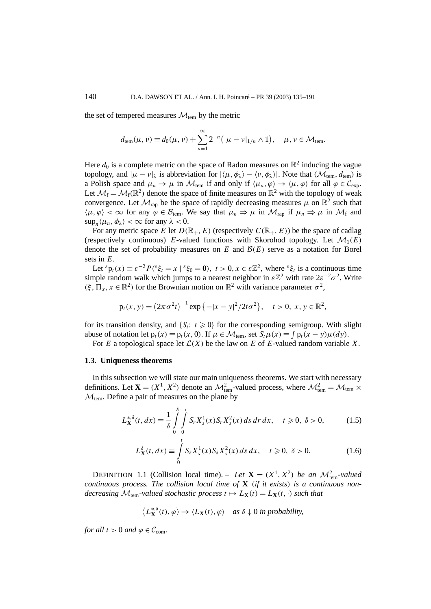the set of tempered measures  $\mathcal{M}_{tem}$  by the metric

$$
d_{\text{tem}}(\mu, \nu) \equiv d_0(\mu, \nu) + \sum_{n=1}^{\infty} 2^{-n} (|\mu - \nu|_{1/n} \wedge 1), \quad \mu, \nu \in \mathcal{M}_{\text{tem}}.
$$

Here  $d_0$  is a complete metric on the space of Radon measures on  $\mathbb{R}^2$  inducing the vague topology, and  $|\mu - \nu|_{\lambda}$  is abbreviation for  $|\langle \mu, \phi_{\lambda} \rangle - \langle \nu, \phi_{\lambda} \rangle|$ . Note that  $(\mathcal{M}_{tem}, d_{tem})$  is a Polish space and  $\mu_n \to \mu$  in  $\mathcal{M}_{tem}$  if and only if  $\langle \mu_n, \varphi \rangle \to \langle \mu, \varphi \rangle$  for all  $\varphi \in \mathcal{C}_{exp}$ . Let  $\mathcal{M}_f = \mathcal{M}_f(\mathbb{R}^2)$  denote the space of finite measures on  $\mathbb{R}^2$  with the topology of weak convergence. Let  $\mathcal{M}_{\text{ran}}$  be the space of rapidly decreasing measures  $\mu$  on  $\mathbb{R}^2$  such that  $\langle \mu, \varphi \rangle < \infty$  for any  $\varphi \in \mathcal{B}_{tem}$ . We say that  $\mu_n \Rightarrow \mu$  in  $\mathcal{M}_{rap}$  if  $\mu_n \Rightarrow \mu$  in  $\mathcal{M}_{f}$  and  $\sup_n \langle \mu_n, \phi_\lambda \rangle < \infty$  for any  $\lambda < 0$ .

For any metric space *E* let  $D(\mathbb{R}_+, E)$  (respectively  $C(\mathbb{R}_+, E)$ ) be the space of cadlag (respectively continuous) *E*-valued functions with Skorohod topology. Let  $\mathcal{M}_1(E)$ denote the set of probability measures on  $E$  and  $\mathcal{B}(E)$  serve as a notation for Borel sets in *E*.

Let  ${}^{\varepsilon}p_t(x) \equiv \varepsilon^{-2}P({}^{\varepsilon}\xi_t = x \mid {}^{\varepsilon}\xi_0 = \mathbf{0}), t > 0, x \in \varepsilon \mathbb{Z}^2$ , where  ${}^{\varepsilon}\xi_t$  is a continuous time simple random walk which jumps to a nearest neighbor in  $\epsilon \mathbb{Z}^2$  with rate  $2\epsilon^{-2}\sigma^2$ . Write  $(\xi, \Pi_x, x \in \mathbb{R}^2)$  for the Brownian motion on  $\mathbb{R}^2$  with variance parameter  $\sigma^2$ ,

$$
p_t(x, y) = (2\pi\sigma^2 t)^{-1} \exp\{-|x - y|^2/2t\sigma^2\}, \quad t > 0, x, y \in \mathbb{R}^2,
$$

for its transition density, and  $\{S_t: t \geq 0\}$  for the corresponding semigroup. With slight abuse of notation let  $p_t(x) \equiv p_t(x, 0)$ . If  $\mu \in \mathcal{M}_{tem}$ , set  $S_t\mu(x) \equiv \int p_t(x - y)\mu(dy)$ .

For *E* a topological space let  $\mathcal{L}(X)$  be the law on *E* of *E*-valued random variable *X*.

#### **1.3. Uniqueness theorems**

In this subsection we will state our main uniqueness theorems. We start with necessary definitions. Let  $X = (X^1, X^2)$  denote an  $\mathcal{M}_{\text{tem}}^2$ -valued process, where  $\mathcal{M}_{\text{tem}}^2 = \mathcal{M}_{\text{tem}} \times$  $M_{\text{tem}}$ . Define a pair of measures on the plane by

$$
L_{\mathbf{X}}^{*,\delta}(t, dx) \equiv \frac{1}{\delta} \int_{0}^{\delta} \int_{0}^{t} S_r X_s^1(x) S_r X_s^2(x) ds dr dx, \quad t \ge 0, \delta > 0,
$$
 (1.5)

$$
L_X^{\delta}(t, dx) \equiv \int_0^t S_{\delta} X_s^1(x) S_{\delta} X_s^2(x) ds dx, \quad t \ge 0, \ \delta > 0.
$$
 (1.6)

DEFINITION 1.1 (Collision local time). – *Let*  $\mathbf{X} = (X^1, X^2)$  *be an*  $\mathcal{M}_{tem}^2$ -valued *continuous process. The collision local time of* **X** *(if it exists) is a continuous nondecreasing*  $\mathcal{M}_{tem}$ -valued stochastic process  $t \mapsto L_{\mathbf{X}}(t) = L_{\mathbf{X}}(t, \cdot)$  such that

$$
\langle L_{\mathbf{X}}^{*,\delta}(t),\varphi\rangle \to \langle L_{\mathbf{X}}(t),\varphi\rangle \quad \text{as } \delta \downarrow 0 \text{ in probability,}
$$

*for all*  $t > 0$  *and*  $\varphi \in \mathcal{C}_{com}$ .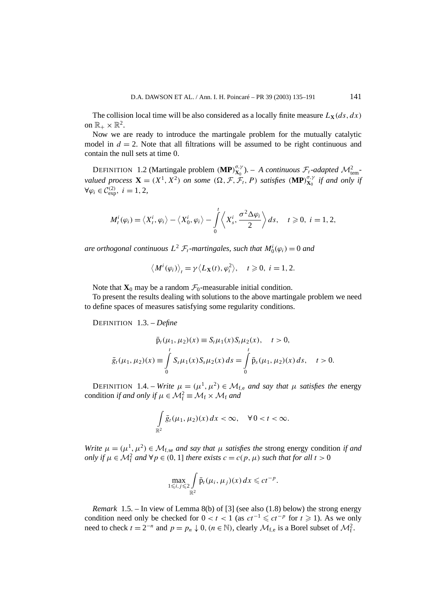The collision local time will be also considered as a locally finite measure  $L_X(ds, dx)$ on  $\mathbb{R}_+ \times \mathbb{R}^2$ .

Now we are ready to introduce the martingale problem for the mutually catalytic model in  $d = 2$ . Note that all filtrations will be assumed to be right continuous and contain the null sets at time 0.

DEFINITION 1.2 (Martingale problem  $(MP)_{X_0}^{\sigma,\gamma}$ ). – *A continuous*  $\mathcal{F}_t$ -adapted  $\mathcal{M}_{\text{tem}}^2$ *valued process*  $\mathbf{X} = (X^1, X^2)$  *on some*  $(\Omega, \mathcal{F}, \mathcal{F}_t, P)$  *satisfies*  $(\mathbf{MP})_{\mathbf{X}_0}^{\sigma, \gamma}$  *if and only if*  $∀φ<sub>i</sub> ∈ C_{exp}^{(2)}, i = 1, 2,$ 

$$
M_t^i(\varphi_i)=\langle X_t^i,\varphi_i\rangle-\langle X_0^i,\varphi_i\rangle-\int\limits_0^t\langle X_s^i,\frac{\sigma^2\Delta\varphi_i}{2}\rangle ds, \quad t\geqslant 0, \ i=1,2,
$$

*are orthogonal continuous*  $L^2$   $\mathcal{F}_t$ -martingales, such that  $M_0^i(\varphi_i) = 0$  and

$$
\langle M^i(\varphi_i) \rangle_t = \gamma \langle L_{\mathbf{X}}(t), \varphi_i^2 \rangle, \quad t \geq 0, \ i = 1, 2.
$$

Note that  $\mathbf{X}_0$  may be a random  $\mathcal{F}_0$ -measurable initial condition.

To present the results dealing with solutions to the above martingale problem we need to define spaces of measures satisfying some regularity conditions.

DEFINITION 1.3. – *Define*

$$
\bar{p}_t(\mu_1, \mu_2)(x) \equiv S_t \mu_1(x) S_t \mu_2(x), \quad t > 0,
$$
  

$$
\bar{g}_t(\mu_1, \mu_2)(x) \equiv \int_0^t S_s \mu_1(x) S_s \mu_2(x) ds = \int_0^t \bar{p}_s(\mu_1, \mu_2)(x) ds, \quad t > 0.
$$

DEFINITION 1.4. – *Write*  $\mu = (\mu^1, \mu^2) \in \mathcal{M}_{f,e}$  *and say that*  $\mu$  *satisfies the energy* condition *if and only if*  $\mu \in \mathcal{M}_{f}^{2} \equiv \mathcal{M}_{f} \times \mathcal{M}_{f}$  *and* 

$$
\int\limits_{\mathbb{R}^2} \bar{g}_t(\mu_1, \mu_2)(x) dx < \infty, \quad \forall 0 < t < \infty.
$$

*Write*  $\mu = (\mu^1, \mu^2) \in \mathcal{M}_{f,se}$  *and say that*  $\mu$  *satisfies the strong energy condition if and only if*  $\mu \in M_f^2$  *and*  $\forall p \in (0, 1]$  *there exists*  $c = c(p, \mu)$  *such that for all*  $t > 0$ 

$$
\max_{1\leqslant i,j\leqslant 2}\int\limits_{\mathbb{R}^2}\bar{p}_t(\mu_i,\mu_j)(x)\,dx\leqslant ct^{-p}.
$$

*Remark* 1.5. – In view of Lemma 8(b) of [3] (see also (1.8) below) the strong energy condition need only be checked for  $0 < t < 1$  (as  $ct^{-1} \le ct^{-p}$  for  $t \ge 1$ ). As we only need to check  $t = 2^{-n}$  and  $p = p_n \downarrow 0$ ,  $(n \in \mathbb{N})$ , clearly  $\mathcal{M}_{f,e}$  is a Borel subset of  $\mathcal{M}_f^2$ .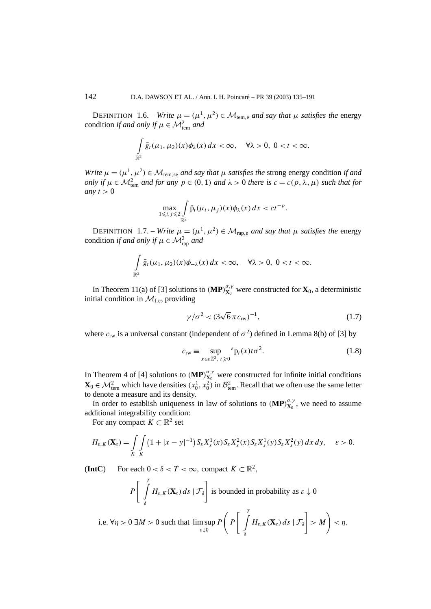DEFINITION 1.6. – *Write*  $\mu = (\mu^1, \mu^2) \in \mathcal{M}_{tem,e}$  *and say that*  $\mu$  *satisfies the* energy condition *if and only if*  $\mu \in M^2_{\text{tem}}$  *and* 

$$
\int\limits_{\mathbb{R}^2} \bar{g}_t(\mu_1, \mu_2)(x) \phi_\lambda(x) dx < \infty, \quad \forall \lambda > 0, \ 0 < t < \infty.
$$

*Write*  $\mu = (\mu^1, \mu^2) \in \mathcal{M}_{\text{tem, se}}$  *and say that*  $\mu$  *satisfies the* strong energy condition *if and only if*  $\mu \in M_{\text{tem}}^2$  *and for any*  $p \in (0, 1)$  *and*  $\lambda > 0$  *there is*  $c = c(p, \lambda, \mu)$  *such that for any*  $t > 0$ 

$$
\max_{1\leqslant i,j\leqslant 2}\int\limits_{\mathbb R^2}\bar p_t(\mu_i,\mu_j)(x)\phi_\lambda(x)\,dx
$$

DEFINITION 1.7. – *Write*  $\mu = (\mu^1, \mu^2) \in \mathcal{M}_{\text{rap,e}}$  *and say that*  $\mu$  *satisfies the* energy condition *if and only if*  $\mu \in M^2_{\text{rap}}$  *and* 

$$
\int\limits_{\mathbb{R}^2} \bar{g}_t(\mu_1, \mu_2)(x) \phi_{-\lambda}(x) dx < \infty, \quad \forall \lambda > 0, \ 0 < t < \infty.
$$

In Theorem 11(a) of [3] solutions to  $(MP)_{X_0}^{\sigma,\gamma}$  were constructed for  $X_0$ , a deterministic initial condition in  $\mathcal{M}_{f,e}$ , providing

$$
\gamma/\sigma^2 < (3\sqrt{6}\,\pi\,c_{\rm rw})^{-1},\tag{1.7}
$$

where  $c_{rw}$  is a universal constant (independent of  $\sigma^2$ ) defined in Lemma 8(b) of [3] by

$$
c_{\text{rw}} \equiv \sup_{x \in \varepsilon \mathbb{Z}^2, t \ge 0} \varepsilon p_t(x) t \sigma^2.
$$
 (1.8)

In Theorem 4 of [4] solutions to  $(MP)_{X_0}^{\sigma,\gamma}$  were constructed for infinite initial conditions  $\mathbf{X}_0 \in \mathcal{M}_{\text{tem}}^2$  which have densities  $(x_0^1, x_0^2)$  in  $\mathcal{B}_{\text{tem}}^2$ . Recall that we often use the same letter to denote a measure and its density.

In order to establish uniqueness in law of solutions to  $(MP)_{X_0}^{\sigma,\gamma}$ , we need to assume additional integrability condition:

For any compact  $K \subset \mathbb{R}^2$  set

$$
H_{\varepsilon,K}(\mathbf{X}_s) = \int\limits_K \int\limits_K (1+|x-y|^{-1}) S_{\varepsilon} X_s^1(x) S_{\varepsilon} X_s^2(x) S_{\varepsilon} X_s^1(y) S_{\varepsilon} X_s^2(y) dx dy, \quad \varepsilon > 0.
$$

(**IntC**) For each  $0 < \delta < T < \infty$ , compact  $K \subset \mathbb{R}^2$ ,

$$
P\left[\int\limits_{\delta}^{T} H_{\varepsilon,K}(\mathbf{X}_{s}) ds \mid \mathcal{F}_{\delta}\right] \text{ is bounded in probability as } \varepsilon \downarrow 0
$$

i.e. 
$$
\forall \eta > 0 \ \exists M > 0
$$
 such that  $\limsup_{\varepsilon \downarrow 0} P\left(P\left[\int_{\delta}^{T} H_{\varepsilon,K}(\mathbf{X}_s) ds \mid \mathcal{F}_{\delta}\right] > M\right) < \eta$ .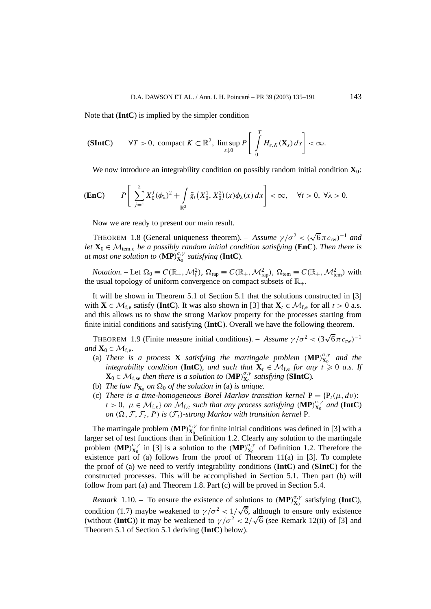Note that (**IntC**) is implied by the simpler condition

$$
\textbf{(SIntC)} \qquad \forall T > 0, \text{ compact } K \subset \mathbb{R}^2, \limsup_{\varepsilon \downarrow 0} P \left[ \int\limits_0^T H_{\varepsilon,K}(\mathbf{X}_s) \, ds \right] < \infty.
$$

We now introduce an integrability condition on possibly random initial condition  $\mathbf{X}_0$ :

$$
\textbf{(Enc)} \qquad P\bigg[\sum_{j=1}^2 X_0^j(\phi_\lambda)^2 + \int\limits_{\mathbb{R}^2} \bar{g}_t(X_0^1, X_0^2)(x)\phi_\lambda(x)\,dx\bigg] < \infty, \quad \forall t > 0, \ \forall \lambda > 0.
$$

Now we are ready to present our main result.

THEOREM 1.8 (General uniqueness theorem). – *Assume*  $\gamma/\sigma^2 < (\sqrt{6} \pi c_{rw})^{-1}$  *and let*  $X_0 \in \mathcal{M}_{tem,e}$  *be a possibly random initial condition satisfying* (**EnC**)*. Then there is at most one solution to*  $(\mathbf{MP})_{\mathbf{X}_0}^{\sigma,\gamma}$  *satisfying* (**IntC**).

*Notation*. – Let  $\Omega_0 \equiv C(\mathbb{R}_+,\mathcal{M}_{\rm f}^2)$ ,  $\Omega_{\rm rap} \equiv C(\mathbb{R}_+,\mathcal{M}_{\rm rap}^2)$ ,  $\Omega_{\rm tem} \equiv C(\mathbb{R}_+,\mathcal{M}_{\rm tem}^2)$  with the usual topology of uniform convergence on compact subsets of  $\mathbb{R}_+$ .

It will be shown in Theorem 5.1 of Section 5.1 that the solutions constructed in [3] with  $\mathbf{X} \in \mathcal{M}_{f,e}$  satisfy (**IntC**). It was also shown in [3] that  $\mathbf{X}_t \in \mathcal{M}_{f,e}$  for all  $t > 0$  a.s. and this allows us to show the strong Markov property for the processes starting from finite initial conditions and satisfying (**IntC**). Overall we have the following theorem.

THEOREM 1.9 (Finite measure initial conditions). – *Assume*  $\gamma/\sigma^2 < (3\sqrt{6}\pi c_{rw})^{-1}$ *and*  $\mathbf{X}_0 \in \mathcal{M}_{f,e}$ *.* 

- (a) *There is a process* **X** *satisfying the martingale problem*  $(\mathbf{MP})_{\mathbf{X}_0}^{\sigma,\gamma}$  *and the integrability condition* (**IntC**)*, and such that*  $\mathbf{X}_t \in \mathcal{M}_{f,e}$  *for any*  $t \ge 0$  *a.s.* If  $\mathbf{X}_0 \in \mathcal{M}_{f,se}$  *then there is a solution to*  $(\mathbf{MP})_{\mathbf{X}_0}^{\sigma,\gamma}$  *satisfying* (**SIntC**)*.*
- (b) *The law*  $P_{\mathbf{X}_0}$  *on*  $\Omega_0$  *of the solution in* (a) *is unique.*
- (c) *There is a time-homogeneous Borel Markov transition kernel*  $P = {P_t(\mu, d\nu)}$ :  $t > 0$ ,  $\mu \in M_{f,e}$  *on*  $M_{f,e}$  *such that any process satisfying*  $(MP)_{X_0}^{\sigma,\gamma}$  *and*  $(IntC)$ *on*  $(\Omega, \mathcal{F}, \mathcal{F}_t, P)$  *is*  $(\mathcal{F}_t)$ *-strong Markov with transition kernel* P*.*

The martingale problem  $(MP)_{X_0}^{\sigma,\gamma}$  for finite initial conditions was defined in [3] with a larger set of test functions than in Definition 1.2. Clearly any solution to the martingale problem *(MP)* $_{\mathbf{X}_0}^{\sigma,\gamma}$  in [3] is a solution to the *(MP)* $_{\mathbf{X}_0}^{\sigma,\gamma}$  of Definition 1.2. Therefore the existence part of (a) follows from the proof of Theorem  $11(a)$  in [3]. To complete the proof of (a) we need to verify integrability conditions (**IntC**) and (**SIntC**) for the constructed processes. This will be accomplished in Section 5.1. Then part (b) will follow from part (a) and Theorem 1.8. Part (c) will be proved in Section 5.4.

*Remark* 1.10. – To ensure the existence of solutions to  $(MP)_{X_0}^{\sigma,\gamma}$  satisfying (IntC), condition (1.7) maybe weakened to  $\gamma/\sigma^2 < 1/\sqrt{6}$ , although to ensure only existence<br>condition (1.7) maybe weakened to  $\gamma/\sigma^2 < 1/\sqrt{6}$ , although to ensure only existence condition (1.7) maybe weakened to  $\gamma/\sigma^2 < 1/\sqrt{6}$ , although to ensure only existence (without (**IntC**)) it may be weakened to  $\gamma/\sigma^2 < 2/\sqrt{6}$  (see Remark 12(ii) of [3] and Theorem 5.1 of Section 5.1 deriving (**IntC**) below).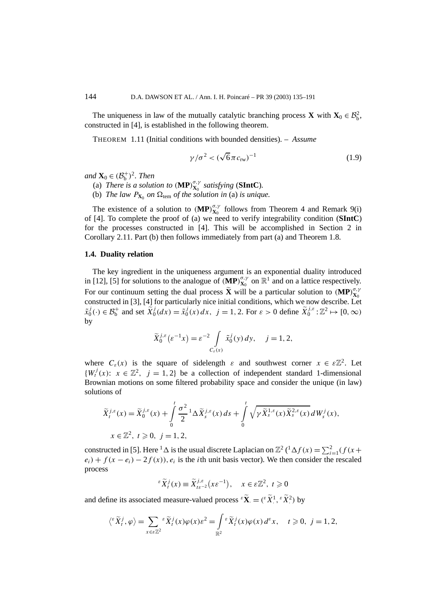The uniqueness in law of the mutually catalytic branching process **X** with  $X_0 \in \mathcal{B}_b^2$ , constructed in [4], is established in the following theorem.

THEOREM 1.11 (Initial conditions with bounded densities). – *Assume*

$$
\gamma/\sigma^2 < (\sqrt{6}\pi c_{\text{rw}})^{-1}
$$
 (1.9)

*and*  $\mathbf{X}_0 \in (\mathcal{B}_b^+)^2$ *. Then* 

- (a) *There is a solution to*  $(MP)_{X_0}^{\sigma,\gamma}$  *satisfying* (**SIntC**).
- (b) *The law*  $P_{\mathbf{X}_0}$  *on*  $\Omega_{\text{tem}}$  *of the solution in* (a) *is unique.*

The existence of a solution to  $(MP)_{X_0}^{\sigma,\gamma}$  follows from Theorem 4 and Remark 9(i) of [4]. To complete the proof of (a) we need to verify integrability condition (**SIntC**) for the processes constructed in [4]. This will be accomplished in Section 2 in Corollary 2.11. Part (b) then follows immediately from part (a) and Theorem 1.8.

## **1.4. Duality relation**

The key ingredient in the uniqueness argument is an exponential duality introduced in [12], [5] for solutions to the analogue of  $(MP)_{X_0}^{\sigma,\gamma}$  on  $\mathbb{R}^1$  and on a lattice respectively. For our continuum setting the dual process  $\tilde{\mathbf{X}}$  will be a particular solution to  $(\mathbf{MP})_{\mathbf{X}_0}^{\sigma, \gamma}$ **X**0 constructed in [3], [4] for particularly nice initial conditions, which we now describe. Let  $\tilde{x}_0^j(.) \in \mathcal{B}_b^+$  and set  $\tilde{X}_0^j(dx) = \tilde{x}_0^j(x) dx$ ,  $j = 1, 2$ . For  $\varepsilon > 0$  define  $\tilde{X}_0^{j, \varepsilon} : \mathbb{Z}^2 \mapsto [0, \infty)$ by

$$
\widetilde{X}_0^{j,\varepsilon}(\varepsilon^{-1}x) = \varepsilon^{-2} \int\limits_{C_\varepsilon(x)} \widetilde{x}_0^j(y) \, dy, \quad j = 1, 2,
$$

where  $C_{\varepsilon}(x)$  is the square of sidelength  $\varepsilon$  and southwest corner  $x \in \varepsilon \mathbb{Z}^2$ . Let  ${W_t^j(x): x \in \mathbb{Z}^2, j = 1, 2}$  be a collection of independent standard 1-dimensional Brownian motions on some filtered probability space and consider the unique (in law) solutions of

$$
\widetilde{X}_{t}^{j,\varepsilon}(x) = \widetilde{X}_{0}^{j,\varepsilon}(x) + \int_{0}^{t} \frac{\sigma^{2}}{2} \Delta \widetilde{X}_{s}^{j,\varepsilon}(x) ds + \int_{0}^{t} \sqrt{\gamma \widetilde{X}_{s}^{1,\varepsilon}(x) \widetilde{X}_{s}^{2,\varepsilon}(x)} dW_{s}^{j}(x),
$$
\n
$$
x \in \mathbb{Z}^{2}, t \geq 0, j = 1, 2,
$$

constructed in [5]. Here <sup>1</sup>  $\Delta$  is the usual discrete Laplacian on  $\mathbb{Z}^2$  (<sup>1</sup> $\Delta f(x) = \sum_{i=1}^{2} (f(x +$  $e_i$ ) +  $f(x - e_i) - 2f(x)$ ,  $e_i$  is the *i*th unit basis vector). We then consider the rescaled process

$$
\mathcal{E}\widetilde{X}_t^j(x) \equiv \widetilde{X}_{t\varepsilon^{-2}}^{j,\varepsilon}(x\varepsilon^{-1}), \quad x \in \varepsilon \mathbb{Z}^2, \ t \geqslant 0
$$

and define its associated measure-valued process  ${}^{\varepsilon} \widetilde{\mathbf{X}} = ({}^{\varepsilon} \widetilde{X}^1, {}^{\varepsilon} \widetilde{X}^2)$  by

$$
\langle ^{\varepsilon} \widetilde{X}^j_t, \varphi \rangle = \sum_{x \in \varepsilon \mathbb{Z}^2} {\varepsilon} \widetilde{X}^j_t(x) \varphi(x) \varepsilon^2 = \int_{\mathbb{R}^2} {\varepsilon} \widetilde{X}^j_t(x) \varphi(x) d^{\varepsilon} x, \quad t \geqslant 0, \ j = 1, 2,
$$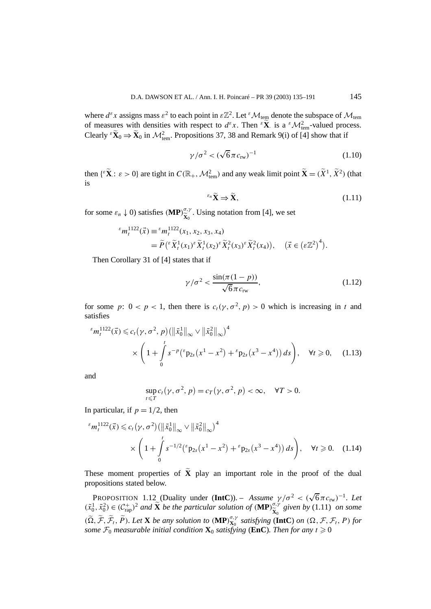where  $d^{\varepsilon}x$  assigns mass  $\varepsilon^2$  to each point in  $\varepsilon \mathbb{Z}^2$ . Let  $^{\varepsilon}$  M<sub>tem</sub> denote the subspace of M<sub>tem</sub> of measures with densities with respect to  $d^{\varepsilon}x$ . Then  $\varepsilon \tilde{\mathbf{X}}$  is a  $\varepsilon \mathcal{M}_{\text{tem}}^2$ -valued process. Clearly  ${}^e \tilde{X}_0 \Rightarrow \tilde{X}_0$  in  $\mathcal{M}_{tem}^2$ . Propositions 37, 38 and Remark 9(i) of [4] show that if

$$
\gamma/\sigma^2 < (\sqrt{6}\pi c_{\text{rw}})^{-1}
$$
\n(1.10)

then  $\{\epsilon \tilde{\mathbf{X}} : \epsilon > 0\}$  are tight in  $C(\mathbb{R}_+, \mathcal{M}_{\text{tem}}^2)$  and any weak limit point  $\tilde{\mathbf{X}} = (\tilde{X}^1, \tilde{X}^2)$  (that is

$$
^{\varepsilon_n}\widetilde{\mathbf{X}} \Rightarrow \widetilde{\mathbf{X}},\tag{1.11}
$$

for some  $\varepsilon_n \downarrow 0$ ) satisfies  $(\mathbf{MP})_{\widetilde{\mathbf{v}}_n}^{\sigma,\gamma}$  $\widetilde{\mathbf{x}}_0^{\sigma,\gamma}$ . Using notation from [4], we set

$$
\begin{split} \mathcal{E}m_t^{1122}(\vec{x}) &\equiv \mathcal{E}m_t^{1122}(x_1, x_2, x_3, x_4) \\ &= \widetilde{P}\left(\mathcal{E}\widetilde{X}_t^1(x_1)\mathcal{E}\widetilde{X}_t^1(x_2)\mathcal{E}\widetilde{X}_t^2(x_3)\mathcal{E}\widetilde{X}_t^2(x_4)\right), \quad (\vec{x} \in \left(\mathcal{E}\mathbb{Z}^2\right)^4). \end{split}
$$

Then Corollary 31 of [4] states that if

$$
\gamma/\sigma^2 < \frac{\sin(\pi(1-p))}{\sqrt{6}\pi c_{\text{rw}}},\tag{1.12}
$$

for some *p*:  $0 < p < 1$ , then there is  $c_t(\gamma, \sigma^2, p) > 0$  which is increasing in *t* and satisfies

$$
\epsilon_{m_t^{1122}}(\vec{x}) \leq c_t(\gamma, \sigma^2, p) \left( \|\tilde{x}_0^1\|_{\infty} \vee \|\tilde{x}_0^2\|_{\infty} \right)^4
$$
  
 
$$
\times \left( 1 + \int_0^t s^{-p} \left( \epsilon_{p_{2s}}(x^1 - x^2) + \epsilon_{p_{2s}}(x^3 - x^4) \right) ds \right), \quad \forall t \geq 0, \quad (1.13)
$$

and

$$
\sup_{t\leq T} c_t(\gamma,\sigma^2,p)=c_T(\gamma,\sigma^2,p)<\infty,\quad\forall T>0.
$$

In particular, if  $p = 1/2$ , then

$$
\epsilon m_t^{1122}(\vec{x}) \leq c_t(\gamma, \sigma^2) \left( \left\| \tilde{x}_0^1 \right\|_{\infty} \vee \left\| \tilde{x}_0^2 \right\|_{\infty} \right)^4
$$
  
 
$$
\times \left( 1 + \int_0^t s^{-1/2} \left( \epsilon p_{2s}(x^1 - x^2) + \epsilon p_{2s}(x^3 - x^4) \right) ds \right), \quad \forall t \geq 0. \quad (1.14)
$$

These moment properties of **X** play an important role in the proof of the dual propositions stated below.

PROPOSITION 1.12 (Duality under (**IntC**)). – *Assume γ /σ* <sup>2</sup> *< (*<sup>√</sup> 6*πc*rw*)*<sup>−</sup><sup>1</sup>*. Let*  $(\tilde{x}_0^1, \tilde{x}_0^2) \in (C_{\text{rap}}^+)^2$  *and*  $\tilde{\mathbf{X}}$  *be the particular solution of*  $(\mathbf{MP})_{\tilde{\mathbf{X}}_0}^{\sigma, \gamma}$  $(\widetilde{\Omega}, \widetilde{\mathcal{F}}, \widetilde{\mathcal{F}}_t, \widetilde{P})$ . Let **X** be any solution to  $(\mathbf{MP})_{\mathbf{X}_0}^{\sigma, \gamma}$  satisfying  $(\mathbf{IntC})$  on  $(\Omega, \mathcal{F}, \mathcal{F}_t, P)$  for  $\widetilde{\mathbf{x}}_0^{\sigma,\gamma}$  given by (1.11) on some *some*  $\mathcal{F}_0$  *measurable initial condition*  $\mathbf{X}_0$  *satisfying* (EnC)*. Then for any*  $t \ge 0$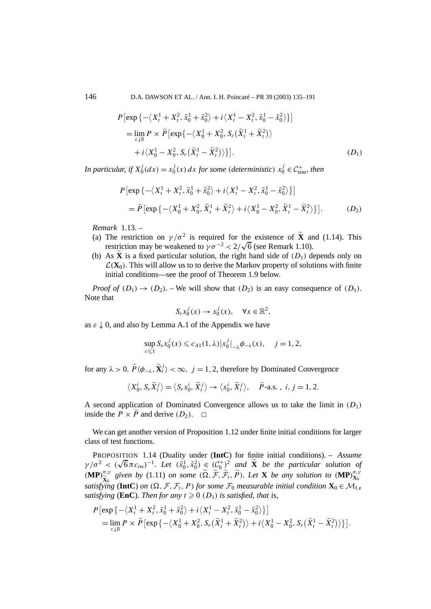146 D.A. DAWSON ET AL. / Ann. I. H. Poincaré – PR 39 (2003) 135–191

$$
P\left[\exp\left\{-\langle X_t^1 + X_t^2, \tilde{x}_0^1 + \tilde{x}_0^2 \rangle + i\langle X_t^1 - X_t^2, \tilde{x}_0^1 - \tilde{x}_0^2 \rangle\right\}\right]
$$
  
= 
$$
\lim_{\varepsilon \downarrow 0} P \times \widetilde{P}\left[\exp\left\{-\langle X_0^1 + X_0^2, S_\varepsilon(\tilde{X}_t^1 + \tilde{X}_t^2) \rangle + i\langle X_0^1 - X_0^2, S_\varepsilon(\tilde{X}_t^1 - \tilde{X}_t^2) \rangle\right\}\right].
$$
 (D<sub>1</sub>)

*In particular, if*  $X_0^j(dx) = x_0^j(x) dx$  *for some (deterministic)*  $x_0^j \in C_{\text{tem}}^+$ *, then* 

$$
P\left[\exp\left\{-\left\langle X_t^1 + X_t^2, \tilde{x}_0^1 + \tilde{x}_0^2 \right\rangle + i\left\langle X_t^1 - X_t^2, \tilde{x}_0^1 - \tilde{x}_0^2 \right\rangle\right\}\right]
$$
  
=  $\tilde{P}\left[\exp\left\{-\left\langle X_0^1 + X_0^2, \tilde{X}_t^1 + \tilde{X}_t^2 \right\rangle + i\left\langle X_0^1 - X_0^2, \tilde{X}_t^1 - \tilde{X}_t^2 \right\rangle\right\}\right].$  (D<sub>2</sub>)

*Remark* 1.13. –

- (a) The restriction on  $\gamma/\sigma^2$  is required for the existence of  $\tilde{\mathbf{X}}$  and (1.14). This The restriction on  $\gamma/\sigma^2$  is required for the existence of **X** and restriction may be weakened to  $\gamma \sigma^{-2} < 2/\sqrt{6}$  (see Remark 1.10).
- (b) As **X** is a fixed particular solution, the right hand side of  $(D_1)$  depends only on  $\mathcal{L}(\mathbf{X}_0)$ . This will allow us to to derive the Markov property of solutions with finite initial conditions—see the proof of Theorem 1.9 below.

*Proof of*  $(D_1) \rightarrow (D_2)$ *.* – We will show that  $(D_2)$  is an easy consequence of  $(D_1)$ *.* Note that

$$
S_{\varepsilon} x_0^j(x) \to x_0^j(x), \quad \forall x \in \mathbb{R}^2,
$$

as  $\varepsilon \downarrow 0$ , and also by Lemma A.1 of the Appendix we have

$$
\sup_{\varepsilon \leqslant 1} S_{\varepsilon} x_0^j(x) \leqslant c_{A1}(1,\lambda) \big| x_0^j \big|_{-\lambda} \phi_{-\lambda}(x), \quad j = 1,2,
$$

for any  $\lambda > 0$ .  $\widetilde{P} \langle \phi_{-\lambda}, \widetilde{\mathbf{X}}_t^j \rangle < \infty$ ,  $j = 1, 2$ , therefore by Dominated Convergence

$$
\langle X_0^i, S_{\varepsilon} \widetilde{X}_t^j \rangle = \langle S_{\varepsilon} x_0^i, \widetilde{X}_t^j \rangle \to \langle x_0^i, \widetilde{X}_t^j \rangle, \quad \widetilde{P} \text{-a.s. , } i, j = 1, 2.
$$

A second application of Dominated Convergence allows us to take the limit in  $(D_1)$ inside the  $P \times P$  and derive  $(D_2)$ .  $\Box$ 

We can get another version of Proposition 1.12 under finite initial conditions for larger class of test functions.

PROPOSITION 1.14 (Duality under (**IntC**) for finite initial conditions). – *Assume γ/σ*<sup>2</sup> <  $(\sqrt{6}\pi c_{rw})^{-1}$ *. Let*  $(\tilde{x}_0^1, \tilde{x}_0^2) \in C_p^+$  *and*  $\tilde{X}$  *be the particular solution of*  $(\mathbf{MP})^{\sigma,\gamma}_{\widetilde{\mathbf{v}}}$  $\widetilde{\mathbf{x}}_0^{\sigma,\gamma}$  given by (1.11) on some  $(\widetilde{\Omega}, \widetilde{\mathcal{F}}, \widetilde{\mathcal{F}}_t, \widetilde{P})$ . Let **X** be any solution to  $(\mathbf{MP})_{\mathbf{X}_0}^{\sigma,\gamma}$ <br>*xing* (IntC) on  $(\Omega, \mathcal{F}, \mathcal{F}, P)$  for some  $\mathcal{F}$ , measurable initial condition **X**0 *satisfying* (IntC) *on*  $(\Omega, \mathcal{F}, \mathcal{F}_t, P)$  *for some*  $\mathcal{F}_0$  *measurable initial condition*  $\mathbf{X}_0 \in \mathcal{M}_{f,e}$ *satisfying* (**EnC**). Then for any  $t \ge 0$  ( $D_1$ ) *is satisfied, that is,* 

$$
P\left[\exp\left\{-\left\langle X_t^1 + X_t^2, \tilde{x}_0^1 + \tilde{x}_0^2 \right\rangle + i\left\langle X_t^1 - X_t^2, \tilde{x}_0^1 - \tilde{x}_0^2 \right\rangle\right\}\right]
$$
  
= 
$$
\lim_{\varepsilon \downarrow 0} P \times \tilde{P}\left[\exp\left\{-\left\langle X_0^1 + X_0^2, S_\varepsilon(\tilde{X}_t^1 + \tilde{X}_t^2)\right\rangle + i\left\langle X_0^1 - X_0^2, S_\varepsilon(\tilde{X}_t^1 - \tilde{X}_t^2)\right\rangle\right\}\right].
$$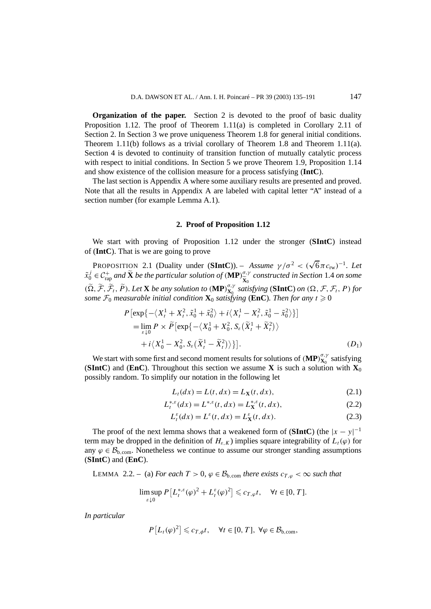**Organization of the paper.** Section 2 is devoted to the proof of basic duality Proposition 1.12. The proof of Theorem 1.11(a) is completed in Corollary 2.11 of Section 2. In Section 3 we prove uniqueness Theorem 1.8 for general initial conditions. Theorem 1.11(b) follows as a trivial corollary of Theorem 1.8 and Theorem 1.11(a). Section 4 is devoted to continuity of transition function of mutually catalytic process with respect to initial conditions. In Section 5 we prove Theorem 1.9, Proposition 1.14 and show existence of the collision measure for a process satisfying (**IntC**).

The last section is Appendix A where some auxiliary results are presented and proved. Note that all the results in Appendix A are labeled with capital letter "A" instead of a section number (for example Lemma A.1).

## **2. Proof of Proposition 1.12**

We start with proving of Proposition 1.12 under the stronger (**SIntC**) instead of (**IntC**). That is we are going to prove

PROPOSITION 2.1 (Duality under (**SIntC**)). – *Assume*  $\gamma/\sigma^2 < (\sqrt{6}\pi c_{rw})^{-1}$ . Let  $\tilde{x}_0^j \in C_{\text{rap}}^+$  and  $\tilde{\mathbf{X}}$  be the particular solution of  $(\textbf{MP})_{\widetilde{\mathbf{X}}_0}^{\sigma, \gamma}$  $(\widetilde{\Omega}, \widetilde{\mathcal{F}}, \widetilde{\mathcal{F}}_t, \widetilde{P})$ . Let **X** be any solution to  $(\mathbf{MP})_{\mathbf{X}_0}^{\sigma, \gamma}$  satisfying  $(\mathbf{SIntC})$  on  $(\Omega, \mathcal{F}, \mathcal{F}_t, P)$  for  $\tilde{\mathbf{x}}_0^{\sigma,\gamma}$  constructed in Section 1.4 on some *some*  $\mathcal{F}_0$  *measurable initial condition*  $\mathbf{X}_0$  *satisfying* (EnC)*. Then for any*  $t \geq 0$ 

$$
P\left[\exp\{-\langle X_t^1 + X_t^2, \tilde{x}_0^1 + \tilde{x}_0^2 \rangle + i\langle X_t^1 - X_t^2, \tilde{x}_0^1 - \tilde{x}_0^2 \rangle\}\right] \\
= \lim_{\varepsilon \downarrow 0} P \times \tilde{P}\left[\exp\{-\langle X_0^1 + X_0^2, S_\varepsilon(\tilde{X}_t^1 + \tilde{X}_t^2) \rangle + i\langle X_0^1 - X_0^2, S_\varepsilon(\tilde{X}_t^1 - \tilde{X}_t^2) \rangle\right].
$$
\n(D<sub>1</sub>)

We start with some first and second moment results for solutions of  $(MP)_{X_0}^{\sigma,\gamma}$  satisfying **(SIntC**) and **(EnC**). Throughout this section we assume **X** is such a solution with  $X_0$ possibly random. To simplify our notation in the following let

$$
L_t(dx) = L(t, dx) = L_{\mathbf{X}}(t, dx),
$$
\n(2.1)

$$
L_t^{*,\varepsilon}(dx) = L^{*,\varepsilon}(t, dx) = L_X^{*,\varepsilon}(t, dx),
$$
\n(2.2)

$$
L_t^{\varepsilon}(dx) = L^{\varepsilon}(t, dx) = L_{\mathbf{X}}^{\varepsilon}(t, dx). \tag{2.3}
$$

The proof of the next lemma shows that a weakened form of (**SIntC**) (the  $|x - y|^{-1}$ term may be dropped in the definition of  $H_{\varepsilon,K}$ ) implies square integrability of  $L_t(\varphi)$  for any  $\varphi \in \mathcal{B}_{b,con}$ . Nonetheless we continue to assume our stronger standing assumptions (**SIntC**) and (**EnC**).

LEMMA 2.2. – (a) *For each*  $T > 0$ ,  $\varphi \in \mathcal{B}_{b, com}$  *there exists*  $c_{T, \varphi} < \infty$  *such that* 

$$
\limsup_{\varepsilon \downarrow 0} P\left[L_t^{*,\varepsilon}(\varphi)^2 + L_t^{\varepsilon}(\varphi)^2\right] \leqslant c_{T,\varphi}t, \quad \forall t \in [0, T].
$$

*In particular*

$$
P\left[L_t(\varphi)^2\right] \leqslant c_{T,\phi}t, \quad \forall t \in [0,T], \ \forall \varphi \in \mathcal{B}_{b,\text{com}},
$$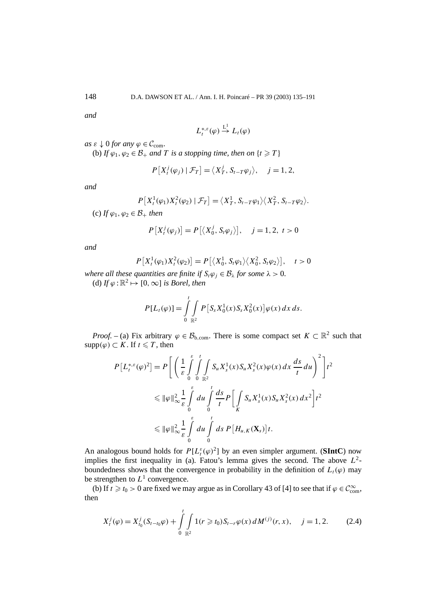*and*

$$
L_t^{*,\varepsilon}(\varphi) \stackrel{\mathsf{L}^1}{\rightarrow} L_t(\varphi)
$$

 $as \varepsilon \downarrow 0$  *for any*  $\varphi \in \mathcal{C}_{com}$ .

(b) *If*  $\varphi_1, \varphi_2 \in \mathcal{B}_+$  *and T is a stopping time, then on*  $\{t \geq T\}$ 

$$
P[X_i^j(\varphi_j) | \mathcal{F}_T] = \langle X_T^j, S_{t-T} \varphi_j \rangle, \quad j = 1, 2,
$$

*and*

$$
P[X_t^1(\varphi_1)X_t^2(\varphi_2) | \mathcal{F}_T] = \langle X_T^1, S_{t-T}\varphi_1 \rangle \langle X_T^2, S_{t-T}\varphi_2 \rangle.
$$

(c) *If*  $\varphi_1, \varphi_2 \in \mathcal{B}_+$  *then* 

$$
P[X_i^j(\varphi_j)] = P[\langle X_0^j, S_i \varphi_j \rangle], \quad j = 1, 2, t > 0
$$

*and*

$$
P[X_t^1(\varphi_1)X_t^2(\varphi_2)] = P[\langle X_0^1, S_t\varphi_1\rangle \langle X_0^2, S_t\varphi_2\rangle], \quad t > 0
$$

*where all these quantities are finite if*  $S_t \varphi_i \in \mathcal{B}_\lambda$  *for some*  $\lambda > 0$ *.* (d) If  $\varphi : \mathbb{R}^2 \mapsto [0, \infty]$  *is Borel, then* 

$$
P[L_t(\varphi)] = \int_{0}^{t} \int_{\mathbb{R}^2} P[S_s X_0^1(x) S_s X_0^2(x)] \varphi(x) dx ds.
$$

*Proof.* – (a) Fix arbitrary  $\varphi \in \mathcal{B}_{b, com}$ . There is some compact set  $K \subset \mathbb{R}^2$  such that supp $(\varphi) \subset K$ . If  $t \leq T$ , then

$$
P[L_t^{*,\varepsilon}(\varphi)^2] = P\left[\left(\frac{1}{\varepsilon}\int\limits_0^{\varepsilon}\int\limits_0^t\int\limits_{\mathbb{R}^2} S_u X_s^1(x) S_u X_s^2(x) \varphi(x) dx \frac{ds}{t} du\right)^2\right] t^2
$$
  
\$\leqslant \|\varphi\|\_{\infty}^2 \frac{1}{\varepsilon} \int\limits\_0^{\varepsilon} du \int\limits\_0^t \frac{ds}{t} P\left[\int\limits\_K S\_u X\_s^1(x) S\_u X\_s^2(x) dx^2\right] t^2\$  
\$\leqslant \|\varphi\|\_{\infty}^2 \frac{1}{\varepsilon} \int\limits\_0^{\varepsilon} du \int\limits\_0^t ds \ P\left[H\_{u,K}(\mathbf{X}\_s)\right] t\$.

An analogous bound holds for  $P[L_t^{\varepsilon}(\varphi)^2]$  by an even simpler argument. (**SIntC**) now implies the first inequality in (a). Fatou's lemma gives the second. The above  $L^2$ boundedness shows that the convergence in probability in the definition of  $L_t(\varphi)$  may be strengthen to  $L^1$  convergence.

(b) If  $t \ge t_0 > 0$  are fixed we may argue as in Corollary 43 of [4] to see that if  $\varphi \in C_{\text{com}}^{\infty}$ , then

$$
X_t^j(\varphi) = X_{t_0}^j(S_{t-t_0}\varphi) + \int\limits_0^t \int\limits_{\mathbb{R}^2} 1(r \ge t_0) S_{t-r}\varphi(x) dM^{(j)}(r, x), \quad j = 1, 2. \tag{2.4}
$$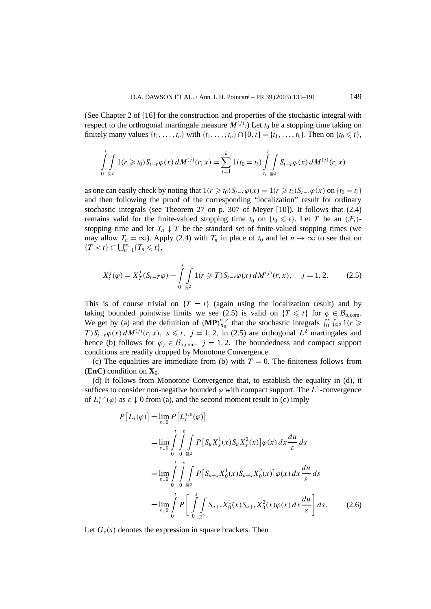(See Chapter 2 of [16] for the construction and properties of the stochastic integral with respect to the orthogonal martingale measure  $M^{(j)}$ .) Let  $t_0$  be a stopping time taking on finitely many values  $\{t_1, ..., t_n\}$  with  $\{t_1, ..., t_n\} \cap [0, t] = \{t_1, ..., t_k\}$ . Then on  $\{t_0 \leq t\}$ ,

$$
\int_{0}^{t} \int_{\mathbb{R}^{2}} 1(r \geq t_{0}) S_{t-r} \varphi(x) dM^{(j)}(r, x) = \sum_{i=1}^{k} 1(t_{0} = t_{i}) \int_{t_{i}}^{t} \int_{\mathbb{R}^{2}} S_{t-r} \varphi(x) dM^{(j)}(r, x)
$$

as one can easily check by noting that  $1(r \geq t_0)S_{t-r}\varphi(x) = 1(r \geq t_i)S_{t-r}\varphi(x)$  on  $\{t_0 = t_i\}$ and then following the proof of the corresponding "localization" result for ordinary stochastic integrals (see Theorem 27 on p. 307 of Meyer [10]). It follows that (2.4) remains valid for the finite-valued stopping time  $t_0$  on  $\{t_0 \leq t\}$ . Let *T* be an  $(\mathcal{F}_t)$ stopping time and let  $T_n \downarrow T$  be the standard set of finite-valued stopping times (we may allow  $T_n = \infty$ ). Apply (2.4) with  $T_n$  in place of  $t_0$  and let  $n \to \infty$  to see that on  ${T \lt t} \subset \bigcup_{n=1}^{\infty} {T_n \leq t},$ 

$$
X_t^j(\varphi) = X_T^j(S_{t-T}\varphi) + \int_0^t \int_{\mathbb{R}^2} 1(r \ge T) S_{t-r}\varphi(x) dM^{(j)}(r, x), \quad j = 1, 2. \tag{2.5}
$$

This is of course trivial on  $\{T = t\}$  (again using the localization result) and by taking bounded pointwise limits we see (2.5) is valid on  $\{T \leq t\}$  for  $\varphi \in \mathcal{B}_{b,\text{com}}$ . We get by (a) and the definition of  $(MP)_{X_0}^{\sigma,\gamma}$  that the stochastic integrals  $\int_0^s \int_{\mathbb{R}^2} 1(r \geq$ *T*) $S_{t-r}\varphi(x) dM^{(j)}(r, x), s \le t, j = 1, 2$ , in (2.5) are orthogonal  $L^2$  martingales and hence (b) follows for  $\varphi_j \in \mathcal{B}_{b, \text{com}}, j = 1, 2$ . The boundedness and compact support conditions are readily dropped by Monotone Convergence.

(c) The equalities are immediate from (b) with  $T = 0$ . The finiteness follows from **(EnC)** condition on  $X_0$ .

(d) It follows from Monotone Convergence that, to establish the equality in (d), it suffices to consider non-negative bounded  $\varphi$  with compact support. The  $L^1$ -convergence of  $L_t^{*,\varepsilon}(\varphi)$  as  $\varepsilon \downarrow 0$  from (a), and the second moment result in (c) imply

$$
P[L_t(\varphi)] = \lim_{\varepsilon \downarrow 0} P[L_t^{*,\varepsilon}(\varphi)]
$$
  
\n
$$
= \lim_{\varepsilon \downarrow 0} \int_{0}^{t} \int_{0}^{\varepsilon} \int_{\mathbb{R}^2} P[S_u X_s^1(x) S_u X_s^2(x)] \varphi(x) dx \frac{du}{\varepsilon} ds
$$
  
\n
$$
= \lim_{\varepsilon \downarrow 0} \int_{0}^{t} \int_{0}^{\varepsilon} \int_{\mathbb{R}^2} P[S_{u+s} X_0^1(x) S_{u+s} X_0^2(x)] \varphi(x) dx \frac{du}{\varepsilon} ds
$$
  
\n
$$
= \lim_{\varepsilon \downarrow 0} \int_{0}^{t} P\left[\int_{0}^{\varepsilon} \int_{\mathbb{R}^2} S_{u+s} X_0^1(x) S_{u+s} X_0^2(x) \varphi(x) dx \frac{du}{\varepsilon}\right] ds. \tag{2.6}
$$

Let  $G_{\varepsilon}(s)$  denotes the expression in square brackets. Then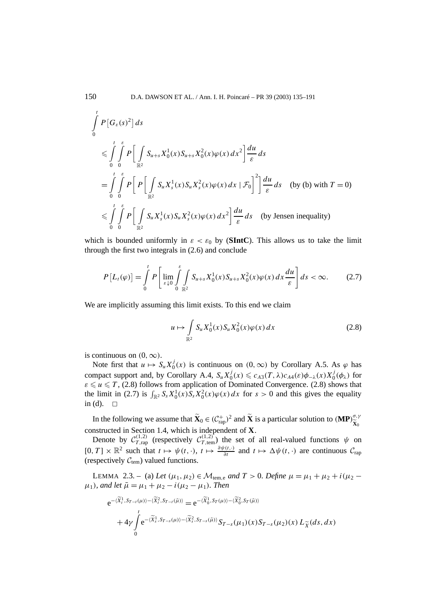$$
\int_{0}^{t} P\left[G_{\varepsilon}(s)^{2}\right] ds
$$
\n
$$
\leqslant \int_{0}^{t} \int_{0}^{\varepsilon} P\left[\int_{\mathbb{R}^{2}} S_{u+s} X_{0}^{1}(x) S_{u+s} X_{0}^{2}(x) \varphi(x) dx^{2}\right] \frac{du}{\varepsilon} ds
$$
\n
$$
= \int_{0}^{t} \int_{0}^{\varepsilon} P\left[P\left[\int_{\mathbb{R}^{2}} S_{u} X_{s}^{1}(x) S_{u} X_{s}^{2}(x) \varphi(x) dx \mid \mathcal{F}_{0}\right]^{2}\right] \frac{du}{\varepsilon} ds \quad \text{(by (b) with } T = 0)
$$
\n
$$
\leqslant \int_{0}^{t} \int_{0}^{\varepsilon} P\left[\int_{\mathbb{R}^{2}} S_{u} X_{s}^{1}(x) S_{u} X_{s}^{2}(x) \varphi(x) dx^{2}\right] \frac{du}{\varepsilon} ds \quad \text{(by Jensen inequality)}
$$

which is bounded uniformly in  $\varepsilon < \varepsilon_0$  by (**SIntC**). This allows us to take the limit through the first two integrals in (2.6) and conclude

$$
P\left[L_t(\varphi)\right] = \int\limits_0^t P\left[\lim_{\varepsilon \downarrow 0} \int\limits_0^{\varepsilon} \int\limits_{\mathbb{R}^2} S_{u+s} X_0^1(x) S_{u+s} X_0^2(x) \varphi(x) \, dx \frac{du}{\varepsilon}\right] ds < \infty. \tag{2.7}
$$

We are implicitly assuming this limit exists. To this end we claim

$$
u \mapsto \int_{\mathbb{R}^2} S_u X_0^1(x) S_u X_0^2(x) \varphi(x) \, dx \tag{2.8}
$$

is continuous on  $(0, \infty)$ .

Note first that  $u \mapsto S_u X_0^j(x)$  is continuous on  $(0, \infty)$  by Corollary A.5. As  $\varphi$  has compact support and, by Corollary A.4,  $S_u X_0^j(x) \leq c_{A3}(T, \lambda) c_{A4}(\varepsilon) \phi_{-\lambda}(x) X_0^j(\phi_\lambda)$  for  $\varepsilon \leq u \leq T$ , (2.8) follows from application of Dominated Convergence. (2.8) shows that the limit in (2.7) is  $\int_{\mathbb{R}^2} S_s X_0^1(x) S_s X_0^2(x) \varphi(x) dx$  for  $s > 0$  and this gives the equality in (d).  $\square$ 

In the following we assume that  $\widetilde{\mathbf{X}}_0 \in (C_{\text{rap}}^+)^2$  and  $\widetilde{\mathbf{X}}$  is a particular solution to  $(\mathbf{MP})_{\widetilde{\mathbf{X}}_0}^{\sigma, \gamma}$ constructed in Section 1.4, which is independent of  $\bf{X}$ . **X**0

Denote by  $C_{T, \text{rap}}^{(1,2)}$  (respectively  $C_{T, \text{temp}}^{(1,2)}$ ) the set of all real-valued functions  $\psi$  on  $[0, T] \times \mathbb{R}^2$  such that  $t \mapsto \psi(t, \cdot), t \mapsto \frac{\partial \psi(t, \cdot)}{\partial t}$  and  $t \mapsto \Delta \psi(t, \cdot)$  are continuous  $C_{\text{rap}}$ (respectively  $C_{tem}$ ) valued functions.

LEMMA 2.3. − (a) Let  $(μ_1, μ_2)$  ∈  $M_{tem,e}$  and  $T > 0$ . Define  $μ = μ_1 + μ_2 + i(μ_2 \mu_1$ *), and let*  $\bar{\mu} = \mu_1 + \mu_2 - i(\mu_2 - \mu_1)$ *. Then* 

$$
e^{-\langle \widetilde{X}_{t}^{1},S_{T-t}(\mu)\rangle - \langle \widetilde{X}_{t}^{2},S_{T-t}(\bar{\mu})\rangle} = e^{-\langle \widetilde{X}_{0}^{1},S_{T}(\mu)\rangle - \langle \widetilde{X}_{0}^{2},S_{T}(\bar{\mu})\rangle} + 4\gamma \int_{0}^{t} e^{-\langle \widetilde{X}_{s}^{1},S_{T-s}(\mu)\rangle - \langle \widetilde{X}_{s}^{2},S_{T-s}(\bar{\mu})\rangle} S_{T-s}(\mu_{1})(x)S_{T-s}(\mu_{2})(x) L_{\widetilde{X}}(ds,dx)
$$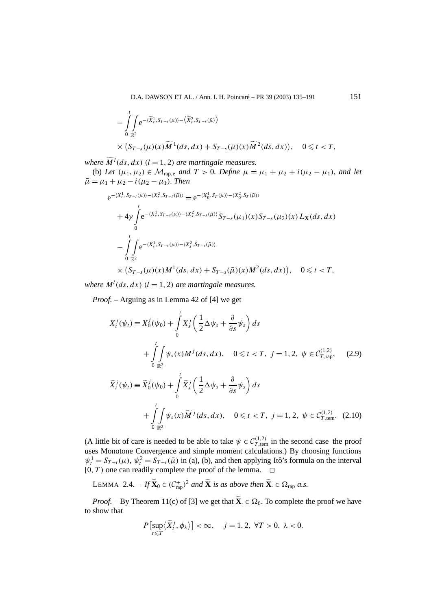D.A. DAWSON ET AL. / Ann. I. H. Poincaré – PR 39 (2003) 135–191 151

$$
-\int_{0}^{t}\int_{\mathbb{R}^{2}}e^{-\langle \widetilde{X}_{s}^{1},S_{T-s}(\mu)\rangle-\langle \widetilde{X}_{s}^{2},S_{T-s}(\bar{\mu})\rangle}\times (S_{T-s}(\mu)(x)\widetilde{M}^{1}(ds,dx)+S_{T-s}(\bar{\mu})(x)\widetilde{M}^{2}(ds,dx)), \quad 0 \leq t < T,
$$

*where*  $\widetilde{M}^l(ds, dx)$  ( $l = 1, 2$ ) *are martingale measures.* 

(b) Let  $(\mu_1, \mu_2) \in \mathcal{M}_{\text{rap},e}$  and  $T > 0$ *. Define*  $\mu = \mu_1 + \mu_2 + i(\mu_2 - \mu_1)$ *, and let*  $\bar{\mu} = \mu_1 + \mu_2 - i(\mu_2 - \mu_1)$ *. Then* 

$$
e^{-\langle X_t^1, S_{T-t}(\mu) \rangle - \langle X_t^2, S_{T-t}(\bar{\mu}) \rangle} = e^{-\langle X_0^1, S_T(\mu) \rangle - \langle X_0^2, S_T(\bar{\mu}) \rangle}
$$
  
+ 
$$
4\gamma \int_0^t e^{-\langle X_s^1, S_{T-s}(\mu) \rangle - \langle X_s^2, S_{T-s}(\bar{\mu}) \rangle} S_{T-s}(\mu_1)(x) S_{T-s}(\mu_2)(x) L_X(ds, dx)
$$
  
- 
$$
\int_0^t \int_{\mathbb{R}^2} e^{-\langle X_s^1, S_{T-s}(\mu) \rangle - \langle X_s^2, S_{T-s}(\bar{\mu}) \rangle}
$$
  
× 
$$
(S_{T-s}(\mu)(x)M^1(ds, dx) + S_{T-s}(\bar{\mu})(x)M^2(ds, dx)), \quad 0 \le t < T,
$$

*where*  $M^l(ds, dx)$  ( $l = 1, 2$ ) *are martingale measures.* 

*Proof. –* Arguing as in Lemma 42 of [4] we get

$$
X_t^j(\psi_t) \equiv X_0^j(\psi_0) + \int_0^t X_s^j \left( \frac{1}{2} \Delta \psi_s + \frac{\partial}{\partial s} \psi_s \right) ds
$$
  
+ 
$$
\int_0^t \int_{\mathbb{R}^2} \psi_s(x) M^j(ds, dx), \quad 0 \le t < T, \ j = 1, 2, \ \psi \in C_{T, \text{rap}}^{(1,2)}, \quad (2.9)
$$
  

$$
\widetilde{X}_t^j(\psi_t) \equiv \widetilde{X}_0^j(\psi_0) + \int_0^t \widetilde{X}_s^j \left( \frac{1}{2} \Delta \psi_s + \frac{\partial}{\partial s} \psi_s \right) ds
$$
  
+ 
$$
\int_0^t \int_{\mathbb{R}^2} \psi_s(x) \widetilde{M}^j(ds, dx), \quad 0 \le t < T, \ j = 1, 2, \ \psi \in C_{T, \text{tem}}^{(1,2)}.
$$
 (2.10)

(A little bit of care is needed to be able to take  $\psi \in C_{T,\text{tem}}^{(1,2)}$  in the second case–the proof uses Monotone Convergence and simple moment calculations.) By choosing functions  $\psi_t^1 = S_{T-t}(\mu)$ ,  $\psi_t^2 = S_{T-t}(\bar{\mu})$  in (a), (b), and then applying Itô's formula on the interval  $[0, T)$  one can readily complete the proof of the lemma.  $\Box$ 

LEMMA 2.4. – 
$$
If \widetilde{\mathbf{X}}_0 \in (\mathcal{C}_{\text{rap}}^+)^2
$$
 and  $\widetilde{\mathbf{X}}$  is as above then  $\widetilde{\mathbf{X}} \in \Omega_{\text{rap}} a.s.$ 

*Proof.* – By Theorem 11(c) of [3] we get that  $\mathbf{X} \in \Omega_0$ . To complete the proof we have to show that

$$
P\left[\sup_{t\leq T}\langle \widetilde{X}_t^j,\phi_\lambda\rangle\right]<\infty, \quad j=1,2, \forall T>0, \ \lambda<0.
$$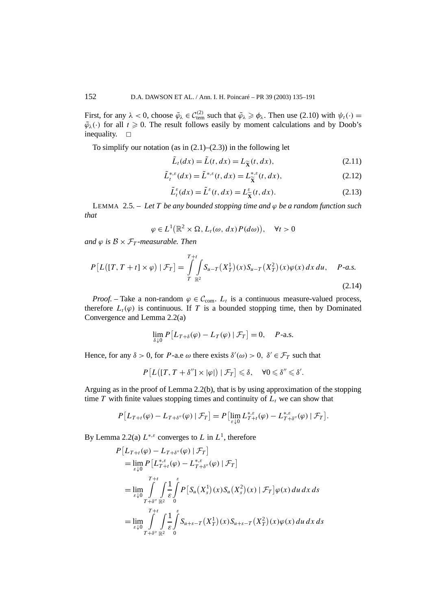First, for any  $\lambda < 0$ , choose  $\tilde{\varphi}_{\lambda} \in C_{\text{tem}}^{(2)}$  such that  $\tilde{\varphi}_{\lambda} \geq \varphi_{\lambda}$ . Then use (2.10) with  $\psi_t(\cdot) =$  $\tilde{\varphi}_{\lambda}(\cdot)$  for all  $t \geq 0$ . The result follows easily by moment calculations and by Doob's inequality.  $\square$ 

To simplify our notation (as in  $(2.1)$ – $(2.3)$ ) in the following let

$$
\tilde{L}_t(dx) = \tilde{L}(t, dx) = L_{\tilde{\mathbf{X}}}(t, dx),\tag{2.11}
$$

$$
\tilde{L}_t^{*,\varepsilon}(dx) = \tilde{L}^{*,\varepsilon}(t, dx) = L_{\tilde{X}}^{*,\varepsilon}(t, dx),
$$
\n(2.12)

$$
\tilde{L}_t^{\varepsilon}(dx) = \tilde{L}^{\varepsilon}(t, dx) = L_{\tilde{\mathbf{X}}}^{\varepsilon}(t, dx). \tag{2.13}
$$

LEMMA 2.5. – *Let T be any bounded stopping time and ϕ be a random function such that*

$$
\varphi \in L^1(\mathbb{R}^2 \times \Omega, L_t(\omega, dx) P(d\omega)), \quad \forall t > 0
$$

*and*  $\varphi$  *is*  $\mathcal{B} \times \mathcal{F}_T$ *-measurable. Then* 

$$
P\left[L\left([T, T+t] \times \varphi\right) | \mathcal{F}_T\right] = \int\limits_{T}^{T+t} \int\limits_{\mathbb{R}^2} S_{u-T}\left(X_T^1\right)(x) S_{u-T}\left(X_T^2\right)(x) \varphi(x) \, dx \, du, \quad P\text{-}a.s. \tag{2.14}
$$

*Proof.* – Take a non-random  $\varphi \in \mathcal{C}_{\text{com}}$ .  $L_t$  is a continuous measure-valued process, therefore  $L_t(\varphi)$  is continuous. If *T* is a bounded stopping time, then by Dominated Convergence and Lemma 2.2(a)

$$
\lim_{\delta \downarrow 0} P[L_{T+\delta}(\varphi) - L_T(\varphi) | \mathcal{F}_T] = 0, \quad P\text{-a.s.}
$$

Hence, for any  $\delta > 0$ , for *P*-a.e  $\omega$  there exists  $\delta'(\omega) > 0$ ,  $\delta' \in \mathcal{F}_T$  such that

$$
P\left[L\big([T, T + \delta''] \times |\varphi|\big) \mid \mathcal{F}_T\right] \leq \delta, \quad \forall 0 \leq \delta'' \leq \delta'.
$$

Arguing as in the proof of Lemma  $2.2(b)$ , that is by using approximation of the stopping time  $T$  with finite values stopping times and continuity of  $L<sub>t</sub>$  we can show that

$$
P[L_{T+t}(\varphi) - L_{T+\delta''}(\varphi) | \mathcal{F}_T] = P[\lim_{\varepsilon \downarrow 0} L_{T+t}^{*,\varepsilon}(\varphi) - L_{T+\delta''}^{*,\varepsilon}(\varphi) | \mathcal{F}_T].
$$

By Lemma 2.2(a)  $L^{*,\varepsilon}$  converges to *L* in  $L^1$ , therefore

$$
P\left[L_{T+t}(\varphi) - L_{T+\delta''}(\varphi) | \mathcal{F}_T\right]
$$
  
\n
$$
= \lim_{\varepsilon \downarrow 0} P\left[L_{T+t}^{*,\varepsilon}(\varphi) - L_{T+\delta''}^{*,\varepsilon}(\varphi) | \mathcal{F}_T\right]
$$
  
\n
$$
= \lim_{\varepsilon \downarrow 0} \int_{T+\delta''}^{T+t} \int_{\mathbb{R}^2} \frac{1}{\varepsilon} \int_{0}^{\varepsilon} P\left[S_u(X_s^1)(x) S_u(X_s^2)(x) | \mathcal{F}_T\right] \varphi(x) du dx ds
$$
  
\n
$$
= \lim_{\varepsilon \downarrow 0} \int_{T+\delta''}^{T+t} \int_{\mathbb{R}^2} \frac{1}{\varepsilon} \int_{0}^{\varepsilon} S_{u+s-T}(X_T^1)(x) S_{u+s-T}(X_T^2)(x) \varphi(x) du dx ds
$$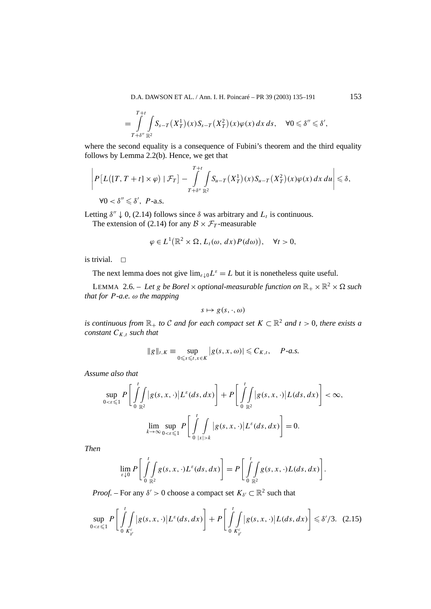D.A. DAWSON ET AL. / Ann. I. H. Poincaré – PR 39 (2003) 135–191 153

$$
=\int\limits_{T+\delta''}\limits^{T+t}\int\limits_{\mathbb{R}^2}S_{s-T}(X_T^1)(x)S_{s-T}(X_T^2)(x)\varphi(x)\,dx\,ds,\quad \forall 0\leqslant \delta''\leqslant \delta',
$$

where the second equality is a consequence of Fubini's theorem and the third equality follows by Lemma 2.2(b). Hence, we get that

$$
\left|P\left[L\left([T,T+t]\times\varphi\right)|\mathcal{F}_T\right]-\int\limits_{T+\delta''\mathbb{R}^2}^{T+t}\hspace{-1mm}\int_{\mathbb{R}^2}S_{u-T}\left(X_T^1\right)(x)S_{u-T}\left(X_T^2\right)(x)\varphi(x)\,dx\,du\right|\leqslant\delta,
$$

 $\forall 0 < \delta'' \leqslant \delta', \ P$ -a.s.

Letting  $\delta'' \downarrow 0$ , (2.14) follows since  $\delta$  was arbitrary and  $L_t$  is continuous.

The extension of (2.14) for any  $\mathcal{B} \times \mathcal{F}_T$ -measurable

$$
\varphi \in L^1(\mathbb{R}^2 \times \Omega, L_t(\omega, dx) P(d\omega)), \quad \forall t > 0,
$$

is trivial.  $\Box$ 

The next lemma does not give  $\lim_{\varepsilon \downarrow 0} L^{\varepsilon} = L$  but it is nonetheless quite useful.

LEMMA 2.6. – Let *g* be Borel  $\times$  optional-measurable function on  $\mathbb{R}_+ \times \mathbb{R}^2 \times \Omega$  such *that for P-a.e. ω the mapping*

$$
s\mapsto g(s,\cdot,\omega)
$$

*is continuous from*  $\mathbb{R}_+$  *to* C *and for each compact set*  $K \subset \mathbb{R}^2$  *and*  $t > 0$ *, there exists a constant*  $C_{K,t}$  *such that* 

$$
||g||_{t,K} \equiv \sup_{0 \leq s \leq t, x \in K} |g(s, x, \omega)| \leq C_{K,t}, \quad P\text{-}a.s.
$$

*Assume also that*

$$
\sup_{0<\varepsilon\leqslant 1}P\bigg[\int_{0}^{t}\int_{\mathbb{R}^{2}}|g(s,x,\cdot)|L^{\varepsilon}(ds,dx)\bigg]+P\bigg[\int_{0}^{t}\int_{\mathbb{R}^{2}}|g(s,x,\cdot)|L(ds,dx)\bigg]<\infty,
$$
  

$$
\lim_{k\to\infty}\sup_{0<\varepsilon\leqslant 1}P\bigg[\int_{0}^{t}\int_{|x|>\kappa}|g(s,x,\cdot)|L^{\varepsilon}(ds,dx)\bigg]=0.
$$

*Then*

$$
\lim_{\varepsilon \downarrow 0} P\bigg[ \int_{0}^{t} \int_{\mathbb{R}^2} g(s, x, \cdot) L^{\varepsilon}(ds, dx) \bigg] = P\bigg[ \int_{0}^{t} \int_{\mathbb{R}^2} g(s, x, \cdot) L(ds, dx) \bigg].
$$

*Proof.* – For any  $\delta' > 0$  choose a compact set  $K_{\delta'} \subset \mathbb{R}^2$  such that

$$
\sup_{0<\varepsilon\leqslant 1}P\bigg[\int\limits_{0}^{t}\int\limits_{K_{\delta'}^c}\big|g(s,x,\cdot)\big|L^{\varepsilon}(ds,dx)\bigg]+P\bigg[\int\limits_{0}^{t}\int\limits_{K_{\delta'}^c}\big|g(s,x,\cdot)\big|L(ds,dx)\bigg]\leqslant \delta'/3. \tag{2.15}
$$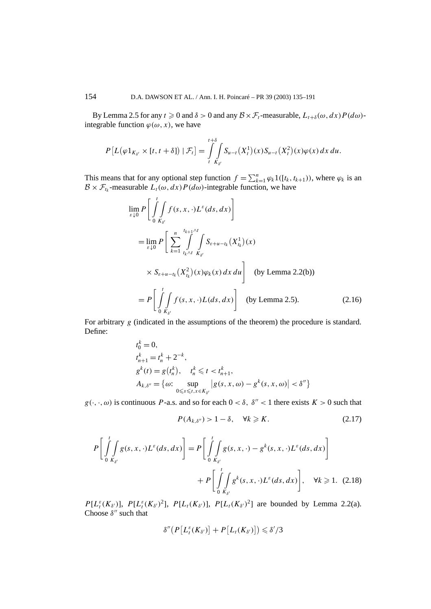By Lemma 2.5 for any  $t \ge 0$  and  $\delta > 0$  and any  $\mathcal{B} \times \mathcal{F}_t$ -measurable,  $L_{t+\delta}(\omega, dx) P(d\omega)$ integrable function  $\varphi(\omega, x)$ , we have

$$
P\left[L(\varphi 1_{K_{\delta'}} \times [t, t + \delta]) \mid \mathcal{F}_t\right] = \int\limits_{t}^{t + \delta} \int\limits_{K_{\delta'}} S_{u - t}(X_t^1)(x) S_{u - t}(X_t^2)(x) \varphi(x) \, dx \, du.
$$

This means that for any optional step function  $f = \sum_{k=1}^{n} \varphi_k 1([t_k, t_{k+1})$ , where  $\varphi_k$  is an  $B \times \mathcal{F}_{t_k}$ -measurable  $L_t(\omega, dx)P(d\omega)$ -integrable function, we have

$$
\lim_{\varepsilon \downarrow 0} P\left[\int_{0}^{t} \int_{K_{\delta'}} f(s, x, \cdot)L^{\varepsilon}(ds, dx)\right]
$$
\n
$$
= \lim_{\varepsilon \downarrow 0} P\left[\sum_{k=1}^{n} \int_{t_{k} \wedge t}^{t_{k+1} \wedge t} \int_{K_{\delta'}} S_{\varepsilon + u - t_{k}}(X_{t_{k}}^{1})(x)\right]
$$
\n
$$
\times S_{\varepsilon + u - t_{k}}(X_{t_{k}}^{2})(x)\varphi_{k}(x) dx du \text{ (by Lemma 2.2(b))}
$$
\n
$$
= P\left[\int_{0}^{t} \int_{K_{\delta'}} f(s, x, \cdot)L(ds, dx)\right] \text{ (by Lemma 2.5).}
$$
\n(2.16)

For arbitrary *g* (indicated in the assumptions of the theorem) the procedure is standard. Define:

$$
t_0^k = 0,
$$
  
\n
$$
t_{n+1}^k = t_n^k + 2^{-k},
$$
  
\n
$$
g^k(t) = g(t_n^k), \quad t_n^k \le t < t_{n+1}^k,
$$
  
\n
$$
A_{k,\delta''} = \{ \omega: \sup_{0 \le s \le t, x \in K_{\delta'}} |g(s, x, \omega) - g^k(s, x, \omega)| < \delta'' \}
$$

 $g(\cdot, \cdot, \omega)$  is continuous *P*-a.s. and so for each  $0 < \delta$ ,  $\delta'' < 1$  there exists  $K > 0$  such that

$$
P(A_{k,\delta''}) > 1 - \delta, \quad \forall k \geqslant K. \tag{2.17}
$$

$$
P\left[\int_{0}^{t} \int_{K_{\delta'}} g(s, x, \cdot) L^{\varepsilon}(ds, dx)\right] = P\left[\int_{0}^{t} \int_{K_{\delta'}} g(s, x, \cdot) - g^{k}(s, x, \cdot) L^{\varepsilon}(ds, dx)\right]
$$
  
+ 
$$
P\left[\int_{0}^{t} \int_{K_{\delta'}} g^{k}(s, x, \cdot) L^{\varepsilon}(ds, dx)\right], \quad \forall k \geq 1. \quad (2.18)
$$

*P*[ $L_t^{\varepsilon}(K_{\delta})$ ], *P*[ $L_t^{\varepsilon}(K_{\delta})^2$ ], *P*[ $L_t(K_{\delta})$ ], *P*[ $L_t(K_{\delta})^2$ ] are bounded by Lemma 2.2(a). Choose  $\delta''$  such that

$$
\delta''\big(P\big[L_t^{\varepsilon}(K_{\delta'})\big] + P\big[L_t(K_{\delta'})\big]\big) \leqslant \delta'/3
$$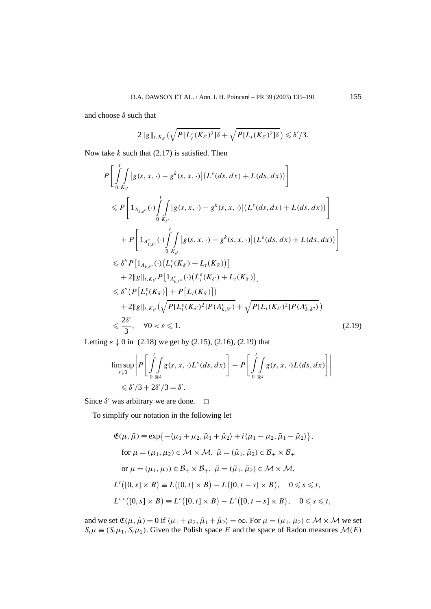and choose *δ* such that

$$
2\|g\|_{t,K_{\delta'}}\big(\sqrt{P[L_{t}^{\varepsilon}(K_{\delta'})^{2}]\delta}+\sqrt{P[L_{t}(K_{\delta'})^{2}]\delta}\big)\leqslant \delta'/3.
$$

Now take *k* such that (2.17) is satisfied. Then

$$
P\left[\int_{0}^{t} |g(s, x, \cdot)-g^{k}(s, x, \cdot)| (L^{\varepsilon}(ds, dx) + L(ds, dx))\right]
$$
  
\n
$$
\leq P\left[1_{A_{k,\delta''}}(\cdot)\int_{0}^{t} |g(s, x, \cdot)-g^{k}(s, x, \cdot)| (L^{\varepsilon}(ds, dx) + L(ds, dx))\right]
$$
  
\n
$$
+ P\left[1_{A_{k,\delta''}^{\varepsilon}}(\cdot)\int_{0}^{t} |g(s, x, \cdot)-g^{k}(s, x, \cdot)| (L^{\varepsilon}(ds, dx) + L(ds, dx))\right]
$$
  
\n
$$
\leq \delta'' P\left[1_{A_{k,\delta''}}(\cdot) (L^{\varepsilon}_{t}(K_{\delta'}) + L_{t}(K_{\delta'}))\right]
$$
  
\n
$$
+ 2\|g\|_{t, K_{\delta'}} P\left[1_{A_{k,\delta''}^{\varepsilon}}(\cdot) (L^{\varepsilon}_{t}(K_{\delta'}) + L_{t}(K_{\delta'}))\right]
$$
  
\n
$$
\leq \delta'' \left(P\left[L^{\varepsilon}_{t}(K_{\delta'})\right] + P\left[L_{t}(K_{\delta'})\right]\right)
$$
  
\n
$$
+ 2\|g\|_{t, K_{\delta'}} \left(\sqrt{P\left[L^{\varepsilon}_{t}(K_{\delta'})^{2}\right]P(A_{k,\delta''}^{\varepsilon})} + \sqrt{P\left[L_{t}(K_{\delta'})^{2}\right]P(A_{k,\delta''}^{\varepsilon})}\right)
$$
  
\n
$$
\leq \frac{2\delta'}{3}, \quad \forall 0 < \varepsilon \leq 1.
$$
 (2.19)

Letting  $\varepsilon \downarrow 0$  in (2.18) we get by (2.15), (2.16), (2.19) that

$$
\limsup_{\varepsilon \downarrow 0} \left| P \left[ \int_{0}^{t} \int_{\mathbb{R}^2} g(s, x, \cdot) L^{\varepsilon}(ds, dx) \right] - P \left[ \int_{0}^{t} \int_{\mathbb{R}^2} g(s, x, \cdot) L(ds, dx) \right] \right|
$$
  
\$\leq \delta'/3 + 2\delta'/3 = \delta'.

Since  $\delta'$  was arbitrary we are done.  $\Box$ 

To simplify our notation in the following let

$$
\mathfrak{E}(\mu, \tilde{\mu}) \equiv \exp\{-\langle \mu_1 + \mu_2, \tilde{\mu}_1 + \tilde{\mu}_2 \rangle + i \langle \mu_1 - \mu_2, \tilde{\mu}_1 - \tilde{\mu}_2 \rangle \},
$$
  
for  $\mu = (\mu_1, \mu_2) \in \mathcal{M} \times \mathcal{M}$ ,  $\tilde{\mu} = (\tilde{\mu}_1, \tilde{\mu}_2) \in \mathcal{B}_+ \times \mathcal{B}_+$   
or  $\mu = (\mu_1, \mu_2) \in \mathcal{B}_+ \times \mathcal{B}_+$ ,  $\tilde{\mu} = (\tilde{\mu}_1, \tilde{\mu}_2) \in \mathcal{M} \times \mathcal{M}$ ,  

$$
L^t([0, s] \times B) \equiv L([0, t] \times B) - L([0, t - s] \times B), \quad 0 \le s \le t,
$$
  

$$
L^{t,\varepsilon}([0, s] \times B) \equiv L^{\varepsilon}([0, t] \times B) - L^{\varepsilon}([0, t - s] \times B), \quad 0 \le s \le t,
$$

and we set  $\mathfrak{E}(\mu, \tilde{\mu}) = 0$  if  $\langle \mu_1 + \mu_2, \tilde{\mu}_1 + \tilde{\mu}_2 \rangle = \infty$ . For  $\mu = (\mu_1, \mu_2) \in \mathcal{M} \times \mathcal{M}$  we set  $S_t\mu \equiv (S_t\mu_1, S_t\mu_2)$ . Given the Polish space *E* and the space of Radon measures  $\mathcal{M}(E)$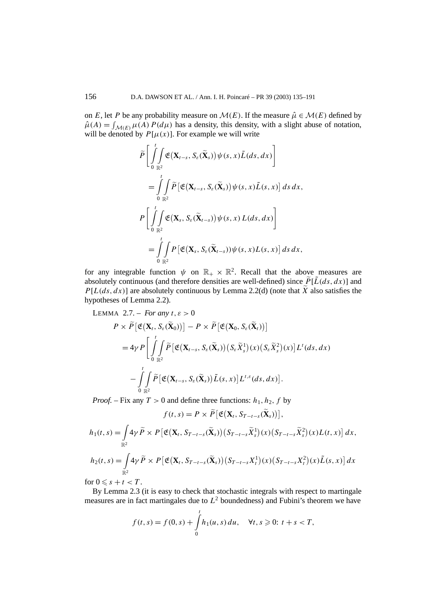on *E*, let *P* be any probability measure on  $\mathcal{M}(E)$ . If the measure  $\hat{\mu} \in \mathcal{M}(E)$  defined by  $\hat{\mu}(A) = \int_{\mathcal{M}(E)} \mu(A) P(d\mu)$  has a density, this density, with a slight abuse of notation, will be denoted by  $P[\mu(x)]$ . For example we will write

$$
\tilde{P}\left[\int_{0}^{t}\int_{\mathbb{R}^{2}}\mathfrak{E}(\mathbf{X}_{t-s},S_{\varepsilon}(\widetilde{\mathbf{X}}_{s}))\psi(s,x)\tilde{L}(ds,dx)\right]
$$
\n
$$
=\int_{0}^{t}\int_{\mathbb{R}^{2}}\tilde{P}\left[\mathfrak{E}(\mathbf{X}_{t-s},S_{\varepsilon}(\widetilde{\mathbf{X}}_{s}))\psi(s,x)\tilde{L}(s,x)\right]ds\,dx,
$$
\n
$$
P\left[\int_{0}^{t}\int_{\mathbb{R}^{2}}\mathfrak{E}(\mathbf{X}_{s},S_{\varepsilon}(\widetilde{\mathbf{X}}_{t-s}))\psi(s,x)L(ds,dx)\right]
$$
\n
$$
=\int_{0}^{t}\int_{\mathbb{R}^{2}}P\left[\mathfrak{E}(\mathbf{X}_{s},S_{\varepsilon}(\widetilde{\mathbf{X}}_{t-s}))\psi(s,x)L(s,x)\right]ds\,dx,
$$

for any integrable function  $\psi$  on  $\mathbb{R}_+ \times \mathbb{R}^2$ . Recall that the above measures are absolutely continuous (and therefore densities are well-defined) since  $\tilde{P}[\tilde{L}(ds, dx)]$  and  $P[L(ds, dx)]$  are absolutely continuous by Lemma 2.2(d) (note that  $\hat{X}$  also satisfies the hypotheses of Lemma 2.2).

LEMMA 2.7. – For any 
$$
t, \varepsilon > 0
$$
  
\n
$$
P \times \widetilde{P} [\mathfrak{E} (\mathbf{X}_t, S_\varepsilon(\widetilde{\mathbf{X}}_0))] - P \times \widetilde{P} [\mathfrak{E} (\mathbf{X}_0, S_\varepsilon(\widetilde{\mathbf{X}}_t))]
$$
\n
$$
= 4\gamma P \Bigg[ \int_0^t \int_{\mathbb{R}^2} \widetilde{P} [\mathfrak{E} (\mathbf{X}_{t-s}, S_\varepsilon(\widetilde{\mathbf{X}}_s)) (S_\varepsilon \widetilde{X}_s^1)(x) (S_\varepsilon \widetilde{X}_s^2)(x)] L^t(ds, dx)
$$
\n
$$
- \int_0^t \int_{\mathbb{R}^2} \widetilde{P} [\mathfrak{E} (\mathbf{X}_{t-s}, S_\varepsilon(\widetilde{\mathbf{X}}_s)) \widetilde{L}(s, x)] L^{t,\varepsilon}(ds, dx)].
$$

*Proof.* – Fix any  $T > 0$  and define three functions:  $h_1, h_2, f$  by

$$
f(t,s) = P \times \widetilde{P} \big[ \mathfrak{E} \big( \mathbf{X}_t, S_{T-t-s}(\widetilde{\mathbf{X}}_s) \big) \big],
$$

$$
h_1(t,s) = \int_{\mathbb{R}^2} 4\gamma \, \widetilde{P} \times P \left[ \mathfrak{E}(\mathbf{X}_t, S_{T-t-s}(\widetilde{\mathbf{X}}_s)) (S_{T-t-s} \widetilde{X}_s^1)(x) (S_{T-t-s} \widetilde{X}_s^2)(x) L(t,x) \right] dx,
$$

$$
h_2(t,s) = \int_{\mathbb{R}^2} \mathcal{A} \gamma \widetilde{P} \times P \left[ \mathfrak{E}(\mathbf{X}_t, S_{T-t-s}(\widetilde{\mathbf{X}}_s)) (S_{T-t-s} X_t^1)(x) (S_{T-t-s} X_t^2)(x) \widetilde{L}(s,x) \right] dx
$$

for  $0 \leqslant s + t < T$ .

By Lemma 2.3 (it is easy to check that stochastic integrals with respect to martingale measures are in fact martingales due to  $L^2$  boundedness) and Fubini's theorem we have

$$
f(t,s) = f(0,s) + \int_{0}^{t} h_1(u,s) du, \quad \forall t, s \geq 0: t + s < T,
$$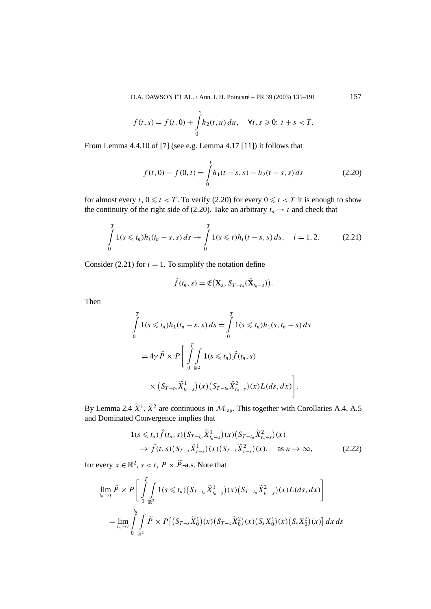D.A. DAWSON ET AL. / Ann. I. H. Poincaré – PR 39 (2003) 135–191 157

$$
f(t,s) = f(t,0) + \int_{0}^{s} h_2(t,u) du, \quad \forall t, s \geq 0: t + s < T.
$$

From Lemma 4.4.10 of [7] (see e.g. Lemma 4.17 [11]) it follows that

$$
f(t,0) - f(0,t) = \int_{0}^{t} h_1(t-s,s) - h_2(t-s,s) \, ds \tag{2.20}
$$

for almost every *t*,  $0 \le t < T$ . To verify (2.20) for every  $0 \le t < T$  it is enough to show the continuity of the right side of (2.20). Take an arbitrary  $t_n \to t$  and check that

$$
\int_{0}^{T} 1(s \leq t_n) h_i(t_n - s, s) ds \to \int_{0}^{T} 1(s \leq t) h_i(t - s, s) ds, \quad i = 1, 2.
$$
 (2.21)

Consider (2.21) for  $i = 1$ . To simplify the notation define

$$
\hat{f}(t_n, s) = \mathfrak{E}(\mathbf{X}_s, S_{T-t_n}(\widetilde{\mathbf{X}}_{t_n-s})).
$$

Then

$$
\int_{0}^{T} 1(s \leq t_n) h_1(t_n - s, s) ds = \int_{0}^{T} 1(s \leq t_n) h_1(s, t_n - s) ds
$$
  
=  $4\gamma \tilde{P} \times P \left[ \int_{0}^{T} \int_{\mathbb{R}^2} 1(s \leq t_n) \hat{f}(t_n, s) \times (S_{T-t_n} \tilde{X}_{t_n-s}^1)(x) (S_{T-t_n} \tilde{X}_{t_n-s}^2)(x) L(ds, dx) \right].$ 

By Lemma 2.4  $\tilde{X}^1$ ,  $\tilde{X}^2$  are continuous in  $\mathcal{M}_{\text{rap}}$ . This together with Corollaries A.4, A.5 and Dominated Convergence implies that

$$
\begin{split} 1(s \leq t_n) \hat{f}(t_n, s) \big( S_{T-t_n} \widetilde{X}_{t_n-s}^1 \big)(x) \big( S_{T-t_n} \widetilde{X}_{t_n-s}^2 \big)(x) \\ \to \hat{f}(t, s) \big( S_{T-t} \widetilde{X}_{t-s}^1 \big)(x) \big( S_{T-t} \widetilde{X}_{t-s}^2 \big)(x), \quad \text{as } n \to \infty, \end{split} \tag{2.22}
$$

for every  $x \in \mathbb{R}^2$ ,  $s < t$ ,  $P \times \tilde{P}$ -a.s. Note that

$$
\lim_{t_n \to t} \widetilde{P} \times P \left[ \int\limits_0^T \int\limits_{\mathbb{R}^2} 1(s \leq t_n) (S_{T-t_n} \widetilde{X}_{t_n-s}^1)(x) (S_{T-t_n} \widetilde{X}_{t_n-s}^2)(x) L(ds, dx) \right]
$$
\n
$$
= \lim_{t_n \to t} \int\limits_0^{t_n} \int\limits_{\mathbb{R}^2} \widetilde{P} \times P \left[ (S_{T-s} \widetilde{X}_0^1)(x) (S_{T-s} \widetilde{X}_0^2)(x) (S_s X_0^1)(x) (S_s X_0^2)(x) \right] dx ds
$$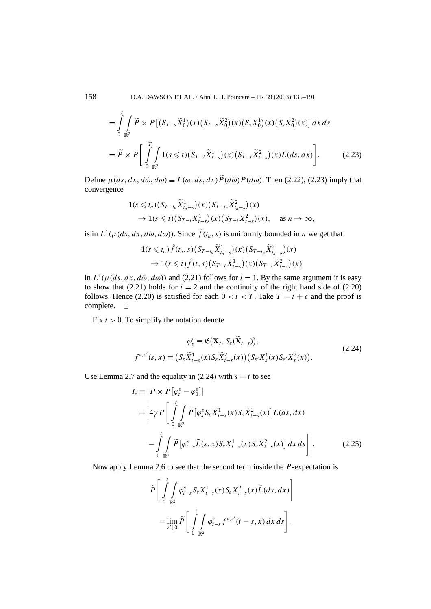158 D.A. DAWSON ET AL. / Ann. I. H. Poincaré – PR 39 (2003) 135–191

$$
= \int_{0}^{t} \int_{\mathbb{R}^{2}} \tilde{P} \times P\left[ (S_{T-s}\tilde{X}_{0}^{1})(x)(S_{T-s}\tilde{X}_{0}^{2})(x)(S_{s}X_{0}^{1})(x)(S_{s}X_{0}^{2})(x) \right] dx ds
$$
  

$$
= \tilde{P} \times P\left[ \int_{0}^{T} \int_{\mathbb{R}^{2}} 1(s \leq t)(S_{T-t}\tilde{X}_{t-s}^{1})(x)(S_{T-t}\tilde{X}_{t-s}^{2})(x)L(ds, dx) \right].
$$
 (2.23)

Define  $\mu(ds, dx, d\tilde{\omega}, d\omega) \equiv L(\omega, ds, dx) P(d\tilde{\omega}) P(d\omega)$ . Then (2.22), (2.23) imply that convergence

$$
\begin{aligned} 1(s \leq t_n) \big( S_{T-t_n} \widetilde{X}_{t_n-s}^1 \big) (x) \big( S_{T-t_n} \widetilde{X}_{t_n-s}^2 \big) (x) \\ &\to 1(s \leq t) \big( S_{T-t} \widetilde{X}_{t-s}^1 \big) (x) \big( S_{T-t} \widetilde{X}_{t-s}^2 \big) (x), \quad \text{as } n \to \infty, \end{aligned}
$$

is in  $L^1(\mu(ds, dx, d\tilde{\omega}, d\omega))$ . Since  $\hat{f}(t_n, s)$  is uniformly bounded in *n* we get that

$$
\begin{aligned} 1(s \leq t_n) \hat{f}(t_n, s) \big( S_{T-t_n} \widetilde{X}_{t_n-s}^1 \big)(x) \big( S_{T-t_n} \widetilde{X}_{t_n-s}^2 \big)(x) \\ \to 1(s \leq t) \hat{f}(t, s) \big( S_{T-t} \widetilde{X}_{t-s}^1 \big)(x) \big( S_{T-t} \widetilde{X}_{t-s}^2 \big)(x) \end{aligned}
$$

in  $L^1(\mu(ds, dx, d\tilde{\omega}, d\omega))$  and (2.21) follows for  $i = 1$ . By the same argument it is easy to show that (2.21) holds for  $i = 2$  and the continuity of the right hand side of (2.20) follows. Hence (2.20) is satisfied for each  $0 < t < T$ . Take  $T = t + \varepsilon$  and the proof is complete.  $\square$ 

Fix  $t > 0$ . To simplify the notation denote

$$
\varphi_s^{\varepsilon} \equiv \mathfrak{E}\big(\mathbf{X}_s, S_{\varepsilon}(\widetilde{\mathbf{X}}_{t-s})\big),
$$
\n
$$
f^{\varepsilon,\varepsilon'}(s,x) \equiv \big(S_{\varepsilon} \widetilde{X}_{t-s}^1(x) S_{\varepsilon} \widetilde{X}_{t-s}^2(x)\big) \big(S_{\varepsilon'} X_s^1(x) S_{\varepsilon'} X_s^2(x)\big).
$$
\n(2.24)

Use Lemma 2.7 and the equality in (2.24) with  $s = t$  to see

$$
I_{\varepsilon} = |P \times \widetilde{P}[\varphi_{t}^{\varepsilon} - \varphi_{0}^{\varepsilon}]|
$$
  
\n
$$
= \left| 4\gamma P \left[ \int_{0}^{t} \int_{\mathbb{R}^{2}} \widetilde{P}[\varphi_{s}^{\varepsilon} S_{\varepsilon} \widetilde{X}_{t-s}^{1}(x) S_{\varepsilon} \widetilde{X}_{t-s}^{2}(x)] L(ds, dx) \right. \right.\n
$$
- \int_{0}^{t} \int_{\mathbb{R}^{2}} \widetilde{P}[\varphi_{t-s}^{\varepsilon} \widetilde{L}(s, x) S_{\varepsilon} X_{t-s}^{1}(x) S_{\varepsilon} X_{t-s}^{2}(x)] dx ds \right].
$$
 (2.25)
$$

Now apply Lemma 2.6 to see that the second term inside the *P*-expectation is

$$
\widetilde{P}\left[\int_{0}^{t}\int_{\mathbb{R}^{2}}\varphi_{t-s}^{\varepsilon}S_{\varepsilon}X_{t-s}^{1}(x)S_{\varepsilon}X_{t-s}^{2}(x)\widetilde{L}(ds,dx)\right]
$$
\n
$$
=\lim_{\varepsilon'\downarrow0}\widetilde{P}\left[\int_{0}^{t}\int_{\mathbb{R}^{2}}\varphi_{t-s}^{\varepsilon}f^{\varepsilon,\varepsilon'}(t-s,x)\,dx\,ds\right].
$$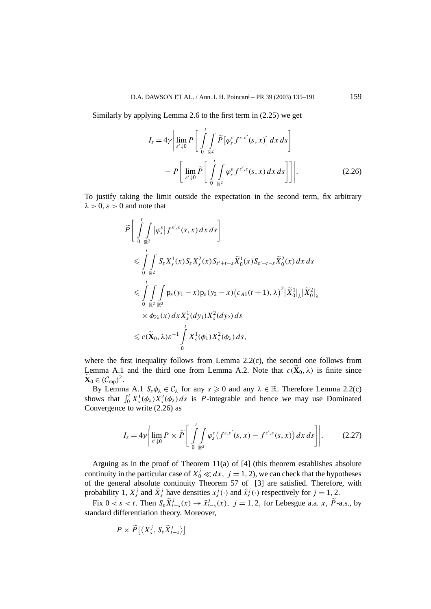Similarly by applying Lemma 2.6 to the first term in (2.25) we get

$$
I_{\varepsilon} = 4\gamma \left| \lim_{\varepsilon' \downarrow 0} P \left[ \int_{0}^{t} \int_{\mathbb{R}^2} \widetilde{P} \left[ \varphi_{s}^{\varepsilon} f^{\varepsilon, \varepsilon'}(s, x) \right] dx ds \right] - P \left[ \lim_{\varepsilon' \downarrow 0} \widetilde{P} \left[ \int_{0}^{t} \int_{\mathbb{R}^2} \varphi_{s}^{\varepsilon} f^{\varepsilon', \varepsilon}(s, x) dx ds \right] \right] \right|.
$$
 (2.26)

To justify taking the limit outside the expectation in the second term, fix arbitrary  $\lambda > 0$ *, ε* > 0 and note that

$$
\tilde{P}\left[\int_{0}^{t}\int_{\mathbb{R}^{2}}|\varphi_{s}^{\varepsilon}|f^{\varepsilon',\varepsilon}(s,x) dx ds\right]
$$
\n
$$
\leqslant \int_{0}^{t}\int_{\mathbb{R}^{2}}S_{\varepsilon}X_{s}^{1}(x)S_{\varepsilon}X_{s}^{2}(x)S_{\varepsilon'+t-s}\tilde{X}_{0}^{1}(x)S_{\varepsilon'+t-s}\tilde{X}_{0}^{2}(x) dx ds
$$
\n
$$
\leqslant \int_{0}^{t}\int_{\mathbb{R}^{2}}p_{\varepsilon}(y_{1}-x)p_{\varepsilon}(y_{2}-x)(c_{A1}(t+1),\lambda)^{2}|\tilde{X}_{0}^{1}|_{\lambda}|\tilde{X}_{0}^{2}|_{\lambda}
$$
\n
$$
\times \phi_{2\lambda}(x) dx X_{s}^{1}(dy_{1})X_{s}^{2}(dy_{2}) ds
$$
\n
$$
\leqslant c(\tilde{\mathbf{X}}_{0},\lambda)\varepsilon^{-1}\int_{0}^{t}X_{s}^{1}(\phi_{\lambda})X_{s}^{2}(\phi_{\lambda}) ds,
$$

where the first inequality follows from Lemma  $2.2(c)$ , the second one follows from Lemma A.1 and the third one from Lemma A.2. Note that  $c(\mathbf{X}_0, \lambda)$  is finite since  $\widetilde{\mathbf{X}}_0 \in (\mathcal{C}_{\text{rap}})^2.$ 

By Lemma A.1  $S_s \phi_\lambda \in C_\lambda$  for any  $s \geq 0$  and any  $\lambda \in \mathbb{R}$ . Therefore Lemma 2.2(c) shows that  $\int_0^t X_s^1(\phi_\lambda) X_s^2(\phi_\lambda) ds$  is *P*-integrable and hence we may use Dominated Convergence to write (2.26) as

$$
I_{\varepsilon} = 4\gamma \left| \lim_{\varepsilon' \downarrow 0} P \times \widetilde{P} \left[ \int_{0}^{t} \int_{\mathbb{R}^2} \varphi_s^{\varepsilon} \left( f^{\varepsilon,\varepsilon'}(s,x) - f^{\varepsilon',\varepsilon}(s,x) \right) dx \, ds \right] \right|.
$$
 (2.27)

Arguing as in the proof of Theorem 11(a) of [4] (this theorem establishes absolute continuity in the particular case of  $X_0^j \ll dx$ ,  $j = 1, 2$ ), we can check that the hypotheses of the general absolute continuity Theorem 57 of [3] are satisfied. Therefore, with probability 1,  $X_s^j$  and  $\tilde{X}_s^j$  have densities  $x_s^j(\cdot)$  and  $\tilde{x}_s^j(\cdot)$  respectively for  $j = 1, 2$ .

Fix  $0 < s < t$ . Then  $S_{\varepsilon} \widetilde{X}_{t-s}^j(x) \to \widetilde{x}_{t-s}^j(x)$ ,  $j = 1, 2$ , for Lebesgue a.a. *x*,  $\widetilde{P}$ -a.s., by standard differentiation theory. Moreover,

$$
P \times \widetilde{P}[\langle X_s^j, S_{\varepsilon} \widetilde{X}_{t-s}^j \rangle]
$$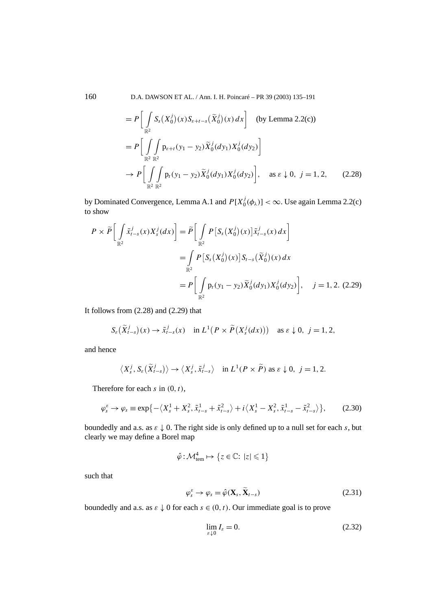160 D.A. DAWSON ET AL. / Ann. I. H. Poincaré – PR 39 (2003) 135–191

$$
= P\left[\int_{\mathbb{R}^2} S_s(X_0^j)(x) S_{\varepsilon+t-s}(\tilde{X}_0^j)(x) dx\right] \text{ (by Lemma 2.2(c))}
$$
  

$$
= P\left[\int_{\mathbb{R}^2} \int_{\mathbb{R}^2} p_{\varepsilon+t}(y_1 - y_2) \tilde{X}_0^j(dy_1) X_0^j(dy_2)\right]
$$

$$
\to P\left[\int_{\mathbb{R}^2} \int_{\mathbb{R}^2} p_t(y_1 - y_2) \tilde{X}_0^j(dy_1) X_0^j(dy_2)\right], \text{ as } \varepsilon \downarrow 0, j = 1, 2, \qquad (2.28)
$$

by Dominated Convergence, Lemma A.1 and  $P[X_0^j(\phi_\lambda)] < \infty$ . Use again Lemma 2.2(c) to show

$$
P \times \widetilde{P} \Big[ \int_{\mathbb{R}^2} \widetilde{x}_{t-s}^j(x) X_s^j(dx) \Big] = \widetilde{P} \Big[ \int_{\mathbb{R}^2} P \big[ S_s(X_0^j)(x) \big] \widetilde{x}_{t-s}^j(x) dx \Big]
$$
  
= 
$$
\int_{\mathbb{R}^2} P \big[ S_s(X_0^j)(x) \big] S_{t-s}(\widetilde{X}_0^j)(x) dx
$$
  
= 
$$
P \Big[ \int_{\mathbb{R}^2} p_t(y_1 - y_2) \widetilde{X}_0^j(dy_1) X_0^j(dy_2) \Big], \quad j = 1, 2. (2.29)
$$

It follows from (2.28) and (2.29) that

$$
S_{\varepsilon}\big(\widetilde{X}_{t-s}^j\big)(x)\to \widetilde{x}_{t-s}^j(x)\quad\text{in }L^1\big(P\times\widetilde{P}\big(X_s^j(dx)\big)\big)\quad\text{as }\varepsilon\downarrow 0,\ j=1,2,
$$

and hence

$$
\langle X_s^j, S_{\varepsilon}(\widetilde{X}_{t-s}^j) \rangle \to \langle X_s^j, \widetilde{x}_{t-s}^j \rangle \quad \text{in } L^1(P \times \widetilde{P}) \text{ as } \varepsilon \downarrow 0, \ \ j=1,2.
$$

Therefore for each *s* in *(*0*,t)*,

$$
\varphi_s^{\varepsilon} \to \varphi_s \equiv \exp\left\{-\left\langle X_s^1 + X_s^2, \tilde{x}_{t-s}^1 + \tilde{x}_{t-s}^2 \right\rangle + i\left\langle X_s^1 - X_s^2, \tilde{x}_{t-s}^1 - \tilde{x}_{t-s}^2 \right\rangle \right\},\tag{2.30}
$$

boundedly and a.s. as  $\varepsilon \downarrow 0$ . The right side is only defined up to a null set for each *s*, but clearly we may define a Borel map

$$
\hat{\varphi} : \mathcal{M}_{\text{tem}}^4 \mapsto \{ z \in \mathbb{C} : |z| \leq 1 \}
$$

such that

$$
\varphi_s^{\varepsilon} \to \varphi_s = \hat{\varphi}(\mathbf{X}_s, \widetilde{\mathbf{X}}_{t-s})
$$
\n(2.31)

boundedly and a.s. as  $\varepsilon \downarrow 0$  for each  $s \in (0, t)$ . Our immediate goal is to prove

$$
\lim_{\varepsilon \downarrow 0} I_{\varepsilon} = 0. \tag{2.32}
$$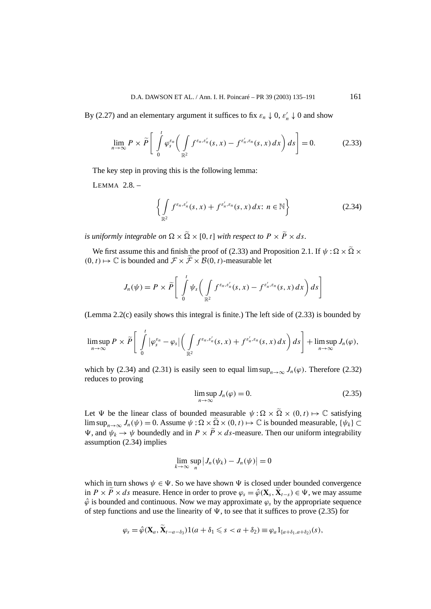By (2.27) and an elementary argument it suffices to fix  $\varepsilon_n \downarrow 0$ ,  $\varepsilon'_n \downarrow 0$  and show

$$
\lim_{n\to\infty} P \times \widetilde{P}\left[\int\limits_{0}^{t} \varphi_s^{\varepsilon_n}\bigg(\int\limits_{\mathbb{R}^2} f^{\varepsilon_n,\varepsilon'_n}(s,x) - f^{\varepsilon'_n,\varepsilon_n}(s,x) \,dx\bigg) \,ds\right] = 0. \tag{2.33}
$$

The key step in proving this is the following lemma:

LEMMA 2.8. –

$$
\left\{\int\limits_{\mathbb{R}^2} f^{\varepsilon_n,\varepsilon'_n}(s,x) + f^{\varepsilon'_n,\varepsilon_n}(s,x) dx : n \in \mathbb{N}\right\}
$$
 (2.34)

*is uniformly integrable on*  $\Omega \times \Omega \times [0, t]$  *with respect to*  $P \times \overline{P} \times ds$ *.* 

We first assume this and finish the proof of (2.33) and Proposition 2.1. If  $\psi : \Omega \times \overline{\Omega} \times$  $(0, t) \mapsto \mathbb{C}$  is bounded and  $\mathcal{F} \times \widetilde{\mathcal{F}} \times \mathcal{B}(0, t)$ -measurable let

$$
J_n(\psi) = P \times \widetilde{P} \left[ \int_0^t \psi_s \left( \int_{\mathbb{R}^2} f^{\varepsilon_n, \varepsilon'_n}(s, x) - f^{\varepsilon'_n, \varepsilon_n}(s, x) \, dx \right) ds \right]
$$

(Lemma  $2.2(c)$  easily shows this integral is finite.) The left side of  $(2.33)$  is bounded by

$$
\limsup_{n\to\infty} P \times \widetilde{P}\left[\int\limits_{0}^{t}|\varphi_{s}^{\varepsilon_{n}}-\varphi_{s}|\left(\int\limits_{\mathbb{R}^{2}}f^{\varepsilon_{n},\varepsilon'_{n}}(s,x)+f^{\varepsilon'_{n},\varepsilon_{n}}(s,x) dx\right) ds\right]+\limsup_{n\to\infty} J_{n}(\varphi),
$$

which by (2.34) and (2.31) is easily seen to equal  $\limsup_{n\to\infty} J_n(\varphi)$ . Therefore (2.32) reduces to proving

$$
\limsup_{n \to \infty} J_n(\varphi) = 0. \tag{2.35}
$$

Let  $\Psi$  be the linear class of bounded measurable  $\psi : \Omega \times \tilde{\Omega} \times (0, t) \mapsto \mathbb{C}$  satisfying lim sup<sub>*n*→∞</sub>  $J_n(\psi) = 0$ . Assume  $\psi : \Omega \times \tilde{\Omega} \times (0, t) \mapsto \mathbb{C}$  is bounded measurable,  $\{\psi_k\} \subset$ *V*, and  $\psi_k \to \psi$  boundedly and in  $P \times P \times ds$ -measure. Then our uniform integrability assumption (2.34) implies

$$
\lim_{k\to\infty}\sup_n\left|J_n(\psi_k)-J_n(\psi)\right|=0
$$

which in turn shows  $\psi \in \Psi$ . So we have shown  $\Psi$  is closed under bounded convergence in  $P \times \overline{P} \times ds$  measure. Hence in order to prove  $\varphi_s = \hat{\varphi}(\mathbf{X}_s, \mathbf{X}_{t-s}) \in \Psi$ , we may assume  $\hat{\varphi}$  is bounded and continuous. Now we may approximate  $\varphi_s$  by the appropriate sequence of step functions and use the linearity of  $\Psi$ , to see that it suffices to prove (2.35) for

$$
\varphi_s = \hat{\varphi}(\mathbf{X}_a, \mathbf{X}_{t-a-\delta_3})1(a+\delta_1 \leq s < a+\delta_2) \equiv \varphi_a 1_{[a+\delta_1, a+\delta_2)}(s),
$$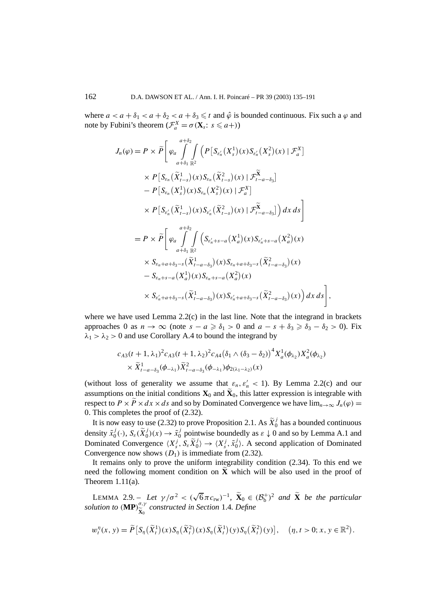where  $a < a + \delta_1 < a + \delta_2 < a + \delta_3 \le t$  and  $\hat{\varphi}$  is bounded continuous. Fix such a  $\varphi$  and note by Fubini's theorem  $(\mathcal{F}_a^X = \sigma(\mathbf{X}_s: s \le a+) )$ 

$$
J_n(\varphi) = P \times \widetilde{P} \left[ \varphi_a \int_{a+\delta_1}^{a+\delta_2} \int_{\mathbb{R}^2} \left( P \left[ S_{\varepsilon_n'}(X_s^1)(x) S_{\varepsilon_n'}(X_s^2)(x) \mid \mathcal{F}_a^X \right] \right. \\ \times P \left[ S_{\varepsilon_n}(\widetilde{X}_{t-s}^1)(x) S_{\varepsilon_n}(\widetilde{X}_{t-s}^2)(x) \mid \mathcal{F}_{t-a-\delta_3}^X \right] \\ - P \left[ S_{\varepsilon_n}(X_s^1)(x) S_{\varepsilon_n}(X_s^2)(x) \mid \mathcal{F}_a^X \right] \\ \times P \left[ S_{\varepsilon_n'}(\widetilde{X}_{t-s}^1)(x) S_{\varepsilon_n'}(\widetilde{X}_{t-s}^2)(x) \mid \mathcal{F}_{t-a-\delta_3}^X \right] \right) dx ds \bigg] \\ = P \times \widetilde{P} \left[ \varphi_a \int_{a+\delta_1}^{a+\delta_2} \int_{\mathbb{R}^2} \left( S_{\varepsilon_n'+s-a}(X_a^1)(x) S_{\varepsilon_n'+s-a}(X_a^2)(x) \right. \\ \times S_{\varepsilon_n+a+\delta_3-s}(\widetilde{X}_{t-a-\delta_3}^1)(x) S_{\varepsilon_n+a+\delta_3-s}(\widetilde{X}_{t-a-\delta_3}^2)(x) \\ - S_{\varepsilon_n+s-a}(X_a^1)(x) S_{\varepsilon_n+s-a}(X_a^2)(x) \\ \times S_{\varepsilon_n'+a+\delta_3-s}(\widetilde{X}_{t-a-\delta_3}^1)(x) S_{\varepsilon_n'+a+\delta_3-s}(\widetilde{X}_{t-a-\delta_3}^2)(x) \right) dx ds \bigg]
$$

where we have used Lemma  $2.2(c)$  in the last line. Note that the integrand in brackets approaches 0 as  $n \to \infty$  (note  $s - a \ge \delta_1 > 0$  and  $a - s + \delta_3 \ge \delta_3 - \delta_2 > 0$ ). Fix  $\lambda_1 > \lambda_2 > 0$  and use Corollary A.4 to bound the integrand by

*,*

$$
c_{A3}(t+1,\lambda_1)^2 c_{A3}(t+1,\lambda_2)^2 c_{A4} (\delta_1 \wedge (\delta_3 - \delta_2))^4 X_a^1(\phi_{\lambda_2}) X_a^2(\phi_{\lambda_2})
$$
  
 
$$
\times \widetilde{X}_{t-a-\delta_3}^1(\phi_{-\lambda_1}) \widetilde{X}_{t-a-\delta_3}^2(\phi_{-\lambda_1}) \phi_{2(\lambda_1-\lambda_2)}(x)
$$

(without loss of generality we assume that  $\varepsilon_n$ ,  $\varepsilon'_n$  < 1). By Lemma 2.2(c) and our assumptions on the initial conditions  $\mathbf{X}_0$  and  $\mathbf{X}_0$ , this latter expression is integrable with respect to  $P \times \overline{P} \times dx \times ds$  and so by Dominated Convergence we have  $\lim_{n \to \infty} J_n(\varphi) =$ 0. This completes the proof of (2.32).

It is now easy to use (2.32) to prove Proposition 2.1. As  $\widetilde{X}_0^j$  has a bounded continuous density  $\tilde{x}_0^j(\cdot)$ ,  $S_{\varepsilon}(\tilde{X}_0^j)(x) \to \tilde{x}_0^j$  pointwise boundedly as  $\varepsilon \downarrow 0$  and so by Lemma A.1 and Dominated Convergence  $\langle X_s^j, S_s \tilde{X}_0^j \rangle \rightarrow \langle X_s^j, \tilde{X}_0^j \rangle$ . A second application of Dominated Convergence now shows  $(D_1)$  is immediate from (2.32).

It remains only to prove the uniform integrability condition (2.34). To this end we need the following moment condition on **X** which will be also used in the proof of Theorem  $1.11(a)$ .

LEMMA 2.9. – *Let*  $\gamma/\sigma^2 < (\sqrt{6}\pi c_{rw})^{-1}$ ,  $\widetilde{\mathbf{X}}_0 \in (\mathcal{B}_b^+)^2$  *and*  $\widetilde{\mathbf{X}}$  *be the particular solution to*  $(\mathbf{MP})_{\widetilde{\mathbf{x}}}^{\sigma,\gamma}$  $\widetilde{\mathbf{x}}_0^{\sigma,\gamma}$  constructed in Section 1.4*. Define* 

$$
w_t^\eta(x, y) = \widetilde{P}\left[S_\eta\left(\widetilde{X}_t^1\right)(x)S_\eta\left(\widetilde{X}_t^2\right)(x)S_\eta\left(\widetilde{X}_t^1\right)(y)S_\eta\left(\widetilde{X}_t^2\right)(y)\right], \quad (\eta, t > 0; x, y \in \mathbb{R}^2).
$$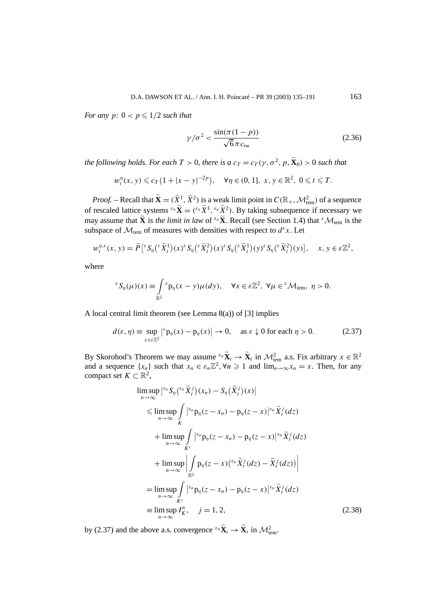*For any*  $p: 0 < p \leq 1/2$  *such that* 

$$
\gamma/\sigma^2 < \frac{\sin(\pi(1-p))}{\sqrt{6}\pi c_{\text{rw}}} \tag{2.36}
$$

*the following holds. For each*  $T > 0$ *, there is a*  $c_T = c_T(\gamma, \sigma^2, p, \widetilde{\mathbf{X}}_0) > 0$  *such that* 

$$
w_t^n(x, y) \le c_T (1 + |x - y|^{-2p}), \quad \forall \eta \in (0, 1], \ x, y \in \mathbb{R}^2, \ 0 \le t \le T.
$$

*Proof.* – Recall that  $\widetilde{\mathbf{X}} = (\widetilde{X}^1, \widetilde{X}^2)$  is a weak limit point in  $C(\mathbb{R}_+, \mathcal{M}_{\text{tem}}^2)$  of a sequence of rescaled lattice systems  $\epsilon_n \tilde{\mathbf{X}} = (\epsilon_n \tilde{X}^1, \epsilon_n \tilde{X}^2)$ . By taking subsequence if necessary we may assume that  $\tilde{\mathbf{X}}$  is *the limit in law* of  $\epsilon_n \tilde{\mathbf{X}}$ . Recall (see Section 1.4) that  $\epsilon \mathcal{M}_{tem}$  is the subspace of  $\mathcal{M}_{tem}$  of measures with densities with respect to  $d^{\varepsilon}x$ . Let

$$
w_t^{\eta,\varepsilon}(x,y) = \widetilde{P}\big[{}^{\varepsilon}S_{\eta}\big({}^{\varepsilon}\widetilde{X}_t^1\big)(x)^{\varepsilon}S_{\eta}\big({}^{\varepsilon}\widetilde{X}_t^2\big)(x)^{\varepsilon}S_{\eta}\big({}^{\varepsilon}\widetilde{X}_t^1\big)(y)^{\varepsilon}S_{\eta}\big({}^{\varepsilon}\widetilde{X}_t^2\big)(y)\big], \quad x, y \in \varepsilon \mathbb{Z}^2,
$$

where

$$
{}^{\varepsilon}S_{\eta}(\mu)(x) \equiv \int\limits_{\mathbb{R}^2} {}^{\varepsilon}p_{\eta}(x-y)\mu(dy), \quad \forall x \in \varepsilon \mathbb{Z}^2, \ \forall \mu \in {}^{\varepsilon} \mathcal{M}_{\text{tem}}, \ \eta > 0.
$$

A local central limit theorem (see Lemma 8(a)) of [3] implies

$$
d(\varepsilon, \eta) \equiv \sup_{x \in \varepsilon \mathbb{Z}^2} \left| \varepsilon \mathbf{p}_{\eta}(x) - \mathbf{p}_{\eta}(x) \right| \to 0, \quad \text{as } \varepsilon \downarrow 0 \text{ for each } \eta > 0. \tag{2.37}
$$

By Skorohod's Theorem we may assume  $e^{i\pi}$  $\tilde{\mathbf{X}}_t \to \tilde{\mathbf{X}}_t$  in  $\mathcal{M}_{\text{tem}}^2$  a.s. Fix arbitrary  $x \in \mathbb{R}^2$ and a sequence  $\{x_n\}$  such that  $x_n \in \varepsilon_n \mathbb{Z}^2$ ,  $\forall n \geq 1$  and  $\lim_{n \to \infty} x_n = x$ . Then, for any compact set  $K \subset \mathbb{R}^2$ ,

$$
\limsup_{n \to \infty} \left| \xi_n S_\eta \left( \xi_n \widetilde{X}_t^j \right) (x_n) - S_\eta \left( \widetilde{X}_t^j \right) (x) \right|
$$
\n
$$
\leq \limsup_{n \to \infty} \int_K \left| \xi_n \mathbf{p}_\eta (z - x_n) - \mathbf{p}_\eta (z - x) \right| \xi_n \widetilde{X}_t^j (dz)
$$
\n
$$
+ \limsup_{n \to \infty} \int_K \left| \xi_n \mathbf{p}_\eta (z - x_n) - \mathbf{p}_\eta (z - x) \right| \xi_n \widetilde{X}_t^j (dz)
$$
\n
$$
+ \limsup_{n \to \infty} \left| \int_{\mathbb{R}^2} \mathbf{p}_\eta (z - x) \left( \xi_n \widetilde{X}_t^j (dz) - \widetilde{X}_t^j (dz) \right) \right|
$$
\n
$$
= \limsup_{n \to \infty} \int_{K^c} \left| \xi_n \mathbf{p}_\eta (z - x_n) - \mathbf{p}_\eta (z - x) \right| \xi_n \widetilde{X}_t^j (dz)
$$
\n
$$
= \limsup_{n \to \infty} \int_{K^c} \xi_n \widetilde{X}_t^j (dz)
$$
\n
$$
= \limsup_{n \to \infty} I_K^n, \quad j = 1, 2,
$$
\n(2.38)

by (2.37) and the above a.s. convergence  ${}^{\varepsilon_n} \tilde{\mathbf{X}}_t \to \tilde{\mathbf{X}}_t$  in  $\mathcal{M}_{\text{tem}}^2$ .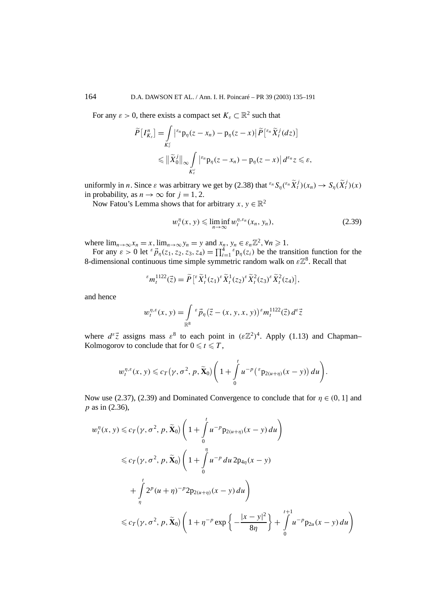For any  $\varepsilon > 0$ , there exists a compact set  $K_{\varepsilon} \subset \mathbb{R}^2$  such that

$$
\widetilde{P}\left[I_{K_{\varepsilon}}^{n}\right] = \int\limits_{K_{\varepsilon}^{c}} \left| \varepsilon_{n} p_{\eta}(z - x_{n}) - p_{\eta}(z - x) \right| \widetilde{P}\left[\varepsilon_{n} \widetilde{X}_{t}^{j}(dz)\right] \leq \left\| \widetilde{X}_{0}^{j} \right\|_{\infty} \int\limits_{K_{\varepsilon}^{c}} \left| \varepsilon_{n} p_{\eta}(z - x_{n}) - p_{\eta}(z - x) \right| d^{\varepsilon_{n}} z \leq \varepsilon,
$$

uniformly in *n*. Since *ε* was arbitrary we get by (2.38) that  ${}^{\varepsilon_n}S_\eta({}^{\varepsilon_n}\tilde{X}_t^j)(x_n) \to S_\eta(\tilde{X}_t^j)(x)$ in probability, as  $n \to \infty$  for  $j = 1, 2$ .

Now Fatou's Lemma shows that for arbitrary *x*,  $v \in \mathbb{R}^2$ 

$$
w_t^n(x, y) \leq \liminf_{n \to \infty} w_t^{n, \varepsilon_n}(x_n, y_n), \tag{2.39}
$$

where  $\lim_{n\to\infty} x_n = x$ ,  $\lim_{n\to\infty} y_n = y$  and  $x_n, y_n \in \varepsilon_n \mathbb{Z}^2$ ,  $\forall n \ge 1$ .

For any  $\varepsilon > 0$  let  $\epsilon \vec{p}_{\eta}(z_1, z_2, z_3, z_4) = \prod_{i=1}^4 \epsilon p_{\eta}(z_i)$  be the transition function for the 8-dimensional continuous time simple symmetric random walk on  $\varepsilon \mathbb{Z}^8$ . Recall that

$$
^{\varepsilon}m_t^{1122}(\vec{z}) = \widetilde{P}\left[ ^{\varepsilon}\widetilde{X}_t^1(z_1)^{\varepsilon}\widetilde{X}_t^1(z_2)^{\varepsilon}\widetilde{X}_t^2(z_3)^{\varepsilon}\widetilde{X}_t^2(z_4)\right],
$$

and hence

$$
w_t^{\eta,\varepsilon}(x,\,y)=\int\limits_{\mathbb{R}^8}\,^{\varepsilon}\vec{p}_{\eta}\big(\vec{z}-(x,\,y,\,x,\,y)\big)^{\varepsilon}m_t^{1122}(\vec{z})\,d^{\varepsilon}\vec{z}
$$

where  $d^{\varepsilon} \vec{z}$  assigns mass  $\varepsilon^8$  to each point in  $(\varepsilon \mathbb{Z}^2)^4$ . Apply (1.13) and Chapman– Kolmogorov to conclude that for  $0 \le t \le T$ ,

$$
w_t^{\eta,\varepsilon}(x, y) \leqslant c_T(\gamma, \sigma^2, p, \widetilde{\mathbf{X}}_0) \Bigg(1 + \int\limits_0^t u^{-p} \big({}^{\varepsilon}p_{2(u+\eta)}(x-y)\bigg) du\Bigg).
$$

Now use (2.37), (2.39) and Dominated Convergence to conclude that for  $\eta \in (0, 1]$  and *p* as in (2.36),

$$
w_t^\eta(x, y) \leq c_T(\gamma, \sigma^2, p, \widetilde{\mathbf{X}}_0) \left( 1 + \int_0^t u^{-p} p_{2(u+\eta)}(x - y) du \right)
$$
  

$$
\leq c_T(\gamma, \sigma^2, p, \widetilde{\mathbf{X}}_0) \left( 1 + \int_0^\eta u^{-p} du 2p_{4\eta}(x - y) du \right)
$$
  

$$
+ \int_\eta^t 2^p (u + \eta)^{-p} 2p_{2(u+\eta)}(x - y) du
$$
  

$$
\leq c_T(\gamma, \sigma^2, p, \widetilde{\mathbf{X}}_0) \left( 1 + \eta^{-p} \exp\left\{ -\frac{|x - y|^2}{8\eta} \right\} + \int_0^{t+1} u^{-p} p_{2u}(x - y) du \right)
$$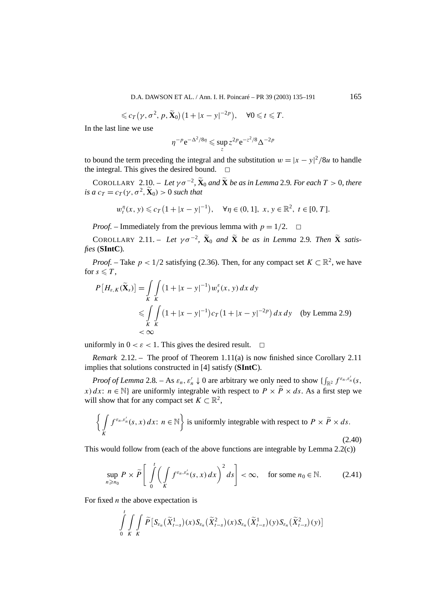D.A. DAWSON ET AL. / Ann. I. H. Poincaré – PR 39 (2003) 135–191 165

$$
\leq c_T(\gamma, \sigma^2, p, \widetilde{\mathbf{X}}_0)(1+|x-y|^{-2p}), \quad \forall 0 \leq t \leq T.
$$

In the last line we use

$$
\eta^{-p} e^{-\Delta^2/8\eta} \leqslant \sup_z z^{2p} e^{-z^2/8} \Delta^{-2p}
$$

to bound the term preceding the integral and the substitution  $w = |x - y|^2/8u$  to handle the integral. This gives the desired bound.  $\Box$ 

COROLLARY 2.10. – Let  $\gamma \sigma^{-2}$ ,  $\widetilde{\mathbf{X}}_0$  and  $\widetilde{\mathbf{X}}$  be as in Lemma 2.9. For each  $T > 0$ , there *is a*  $c_T = c_T(\gamma, \sigma^2, \mathbf{\tilde{X}}_0) > 0$  *such that* 

$$
w_t^{\eta}(x, y) \leq c_T (1 + |x - y|^{-1}), \quad \forall \eta \in (0, 1], \ x, y \in \mathbb{R}^2, t \in [0, T].
$$

*Proof.* – Immediately from the previous lemma with  $p = 1/2$ .  $\Box$ 

COROLLARY 2.11. – Let  $\gamma \sigma^{-2}$ ,  $\widetilde{\mathbf{X}}_0$  and  $\widetilde{\mathbf{X}}$  be as in Lemma 2.9. Then  $\widetilde{\mathbf{X}}$  satis*fies* (**SIntC**)*.*

*Proof.* – Take  $p < 1/2$  satisfying (2.36). Then, for any compact set  $K \subset \mathbb{R}^2$ , we have for  $s \leqslant T$ ,

$$
P\left[H_{\varepsilon,K}(\tilde{\mathbf{X}}_s)\right] = \int\limits_K \int\limits_K (1 + |x - y|^{-1}) w_s^{\varepsilon}(x, y) dx dy
$$
  
\$\leqslant \int\limits\_K \int\limits\_K (1 + |x - y|^{-1}) c\_T (1 + |x - y|^{-2p}) dx dy \text{ (by Lemma 2.9)}\$  
\$< \infty\$

uniformly in  $0 < \varepsilon < 1$ . This gives the desired result.  $\Box$ 

*Remark* 2.12. – The proof of Theorem 1.11(a) is now finished since Corollary 2.11 implies that solutions constructed in [4] satisfy (**SIntC**).

*Proof of Lemma* 2.8*.* – As  $\varepsilon_n$ ,  $\varepsilon'_n \downarrow 0$  are arbitrary we only need to show  $\{\int_{\mathbb{R}^2} f^{\varepsilon_n, \varepsilon'_n}(s, \cdot) \}$ *x*) *dx*: *n*  $\in$  N} are uniformly integrable with respect to *P*  $\times$  *P*  $\times$  *ds*. As a first step we will show that for any compact set  $K \subset \mathbb{R}^2$ ,

$$
\left\{ \int\limits_K f^{\varepsilon_n, \varepsilon'_n}(s, x) dx \colon n \in \mathbb{N} \right\} \text{ is uniformly integrable with respect to } P \times \tilde{P} \times ds. \tag{2.40}
$$

This would follow from (each of the above functions are integrable by Lemma 2.2(c))

$$
\sup_{n\geq n_0} P \times \widetilde{P}\left[\int\limits_0^t \left(\int\limits_K f^{\varepsilon_n,\varepsilon'_n}(s,x)\,dx\right)^2 ds\right] < \infty, \quad \text{for some } n_0 \in \mathbb{N}.\tag{2.41}
$$

For fixed *n* the above expectation is

$$
\int\limits_0^t\int\limits_K\int\limits_K\widetilde{P}\left[S_{\varepsilon_n}\big(\widetilde{X}_{t-s}^1\big)(x)S_{\varepsilon_n}\big(\widetilde{X}_{t-s}^2\big)(x)S_{\varepsilon_n}\big(\widetilde{X}_{t-s}^1\big)(y)S_{\varepsilon_n}\big(\widetilde{X}_{t-s}^2\big)(y)\right]
$$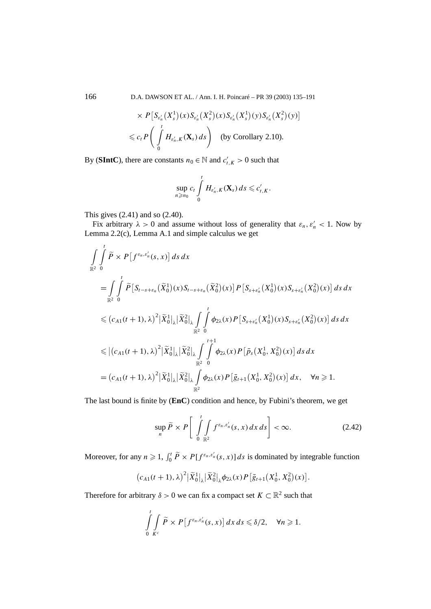166 D.A. DAWSON ET AL. / Ann. I. H. Poincaré – PR 39 (2003) 135–191

$$
\times P\left[S_{\varepsilon'_n}(X_s^1)(x)S_{\varepsilon'_n}(X_s^2)(x)S_{\varepsilon'_n}(X_s^1)(y)S_{\varepsilon'_n}(X_s^2)(y)\right]
$$
  
\$\leq c\_t P\left(\int\limits\_0^t H\_{\varepsilon'\_n,K}(\mathbf{X}\_s) ds\right) \text{ (by Corollary 2.10).}

By (**SIntC**), there are constants  $n_0 \in \mathbb{N}$  and  $c'_{t,K} > 0$  such that

$$
\sup_{n\geqslant n_0} c_t \int\limits_0^t H_{\varepsilon'_n,K}(\mathbf{X}_s)\,ds\leqslant c'_{t,K}.
$$

This gives (2.41) and so (2.40).

Fix arbitrary  $\lambda > 0$  and assume without loss of generality that  $\varepsilon_n, \varepsilon'_n < 1$ . Now by Lemma 2.2(c), Lemma A.1 and simple calculus we get

$$
\int_{\mathbb{R}^2} \int_{0}^{t} \tilde{P} \times P[f^{ \varepsilon_{n}, \varepsilon_{n}^{\prime}}(s, x)] ds dx
$$
\n  
\n
$$
= \int_{\mathbb{R}^2} \int_{0}^{t} \tilde{P}[S_{t-s+\varepsilon_{n}}(\tilde{X}_{0}^{1})(x)S_{t-s+\varepsilon_{n}}(\tilde{X}_{0}^{2})(x)] P[S_{s+\varepsilon_{n}^{\prime}}(X_{0}^{1})(x)S_{s+\varepsilon_{n}^{\prime}}(X_{0}^{2})(x)] ds dx
$$
\n  
\n
$$
\leq (c_{A1}(t+1), \lambda)^2 |\tilde{X}_{0}^{1}|_{\lambda} |\tilde{X}_{0}^{2}|_{\lambda} \int_{\mathbb{R}^2} \int_{0}^{t} \phi_{2\lambda}(x) P[S_{s+\varepsilon_{n}^{\prime}}(X_{0}^{1})(x)S_{s+\varepsilon_{n}^{\prime}}(X_{0}^{2})(x)] ds dx
$$
\n  
\n
$$
\leq |(c_{A1}(t+1), \lambda)^2 |\tilde{X}_{0}^{1}|_{\lambda} |\tilde{X}_{0}^{2}|_{\lambda} \int_{\mathbb{R}^2} \int_{0}^{t+1} \phi_{2\lambda}(x) P[\bar{p}_{s}(X_{0}^{1}, X_{0}^{2})(x)] ds dx
$$
\n  
\n
$$
= (c_{A1}(t+1), \lambda)^2 |\tilde{X}_{0}^{1}|_{\lambda} |\tilde{X}_{0}^{2}|_{\lambda} \int_{\mathbb{R}^2} \phi_{2\lambda}(x) P[\bar{g}_{t+1}(X_{0}^{1}, X_{0}^{2})(x)] dx, \quad \forall n \geq 1.
$$

The last bound is finite by (**EnC**) condition and hence, by Fubini's theorem, we get

$$
\sup_{n} \widetilde{P} \times P\left[\int_{0}^{t} \int_{\mathbb{R}^{2}} f^{\varepsilon_{n},\varepsilon'_{n}}(s,x) \, dx \, ds\right] < \infty. \tag{2.42}
$$

Moreover, for any  $n \ge 1$ ,  $\int_0^t \tilde{P} \times P[f^{\varepsilon_n, \varepsilon'_n}(s, x)] ds$  is dominated by integrable function

$$
\big(c_{A1}(t+1),\lambda\big)^2\big|\widetilde{X}_0^1\big|_{\lambda}\big|\widetilde{X}_0^2\big|_{\lambda}\phi_{2\lambda}(x)P\big[\bar{g}_{t+1}\big(X_0^1,X_0^2\big)(x)\big].
$$

Therefore for arbitrary  $\delta > 0$  we can fix a compact set  $K \subset \mathbb{R}^2$  such that

$$
\int\limits_{0}^{t}\int\limits_{K^{c}}\widetilde{P}\times P[f^{\varepsilon_{n},\varepsilon'_{n}}(s,x)]\,dx\,ds\leqslant \delta/2,\quad \forall n\geqslant 1.
$$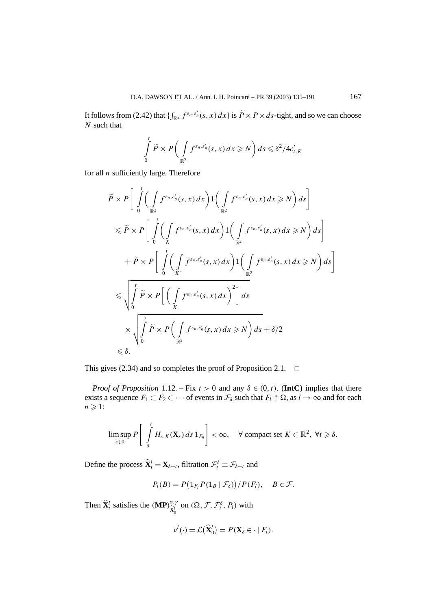It follows from (2.42) that  $\{\int_{\mathbb{R}^2} f^{\varepsilon_n,\varepsilon'_n}(s,x)\,dx\}$  is  $\widetilde{P}\times P\times ds$ -tight, and so we can choose *N* such that

$$
\int_{0}^{t} \widetilde{P} \times P\bigg(\int_{\mathbb{R}^{2}} f^{\varepsilon_{n},\varepsilon'_{n}}(s,x) dx \geq N\bigg) ds \leq \delta^{2}/4c'_{t,K}
$$

for all *n* sufficiently large. Therefore

$$
\tilde{P} \times P \Bigg[ \int_{0}^{t} \Big( \int_{\mathbb{R}^{2}} f^{\varepsilon_{n}, \varepsilon'_{n}}(s, x) dx \Big) 1 \Big( \int_{\mathbb{R}^{2}} f^{\varepsilon_{n}, \varepsilon'_{n}}(s, x) dx \geq N \Big) ds \Bigg] \n\leq \tilde{P} \times P \Bigg[ \int_{0}^{t} \Big( \int_{K} f^{\varepsilon_{n}, \varepsilon'_{n}}(s, x) dx \Big) 1 \Big( \int_{\mathbb{R}^{2}} f^{\varepsilon_{n}, \varepsilon'_{n}}(s, x) dx \geq N \Big) ds \Bigg] \n+ \tilde{P} \times P \Bigg[ \int_{0}^{t} \Big( \int_{K^{c}} f^{\varepsilon_{n}, \varepsilon'_{n}}(s, x) dx \Big) 1 \Big( \int_{\mathbb{R}^{2}} f^{\varepsilon_{n}, \varepsilon'_{n}}(s, x) dx \geq N \Big) ds \Bigg] \n\leq \sqrt{\int_{0}^{t} \tilde{P} \times P \Bigg[ \Big( \int_{K} f^{\varepsilon_{n}, \varepsilon'_{n}}(s, x) dx \Big)^{2} \Bigg] ds} \n\times \sqrt{\int_{0}^{t} \tilde{P} \times P \Big( \int_{\mathbb{R}^{2}} f^{\varepsilon_{n}, \varepsilon'_{n}}(s, x) dx \geq N \Big) ds + \delta/2} < \delta.
$$

This gives (2.34) and so completes the proof of Proposition 2.1.  $\Box$ 

*Proof of Proposition* 1.12*.* – Fix  $t > 0$  and any  $\delta \in (0, t)$ . (**IntC**) implies that there exists a sequence  $F_1 \subset F_2 \subset \cdots$  of events in  $\mathcal{F}_\delta$  such that  $F_l \uparrow \Omega$ , as  $l \to \infty$  and for each  $n \geqslant 1$ :

$$
\limsup_{\varepsilon\downarrow 0} P\left[\int_{\delta}^{t} H_{\varepsilon,K}(\mathbf{X}_{s}) ds 1_{F_{n}}\right] < \infty, \quad \forall \text{ compact set } K \subset \mathbb{R}^{2}, \ \forall t \geqslant \delta.
$$

Define the process  $\hat{\mathbf{X}}_t^l = \mathbf{X}_{\delta+t}$ , filtration  $\mathcal{F}_t^{\delta} \equiv \mathcal{F}_{\delta+t}$  and

$$
P_l(B) = P\left(\mathbb{1}_{F_l} P(\mathbb{1}_B \mid \mathcal{F}_{\delta})\right) / P(F_l), \quad B \in \mathcal{F}.
$$

Then  $\hat{\mathbf{X}}_t^l$  satisfies the  $(\mathbf{MP})_{\hat{\mathbf{X}}_t^l}^{\sigma,\gamma}$  $\hat{\mathbf{x}}_0^{\prime}$  on  $(\Omega, \mathcal{F}, \mathcal{F}_t^{\delta}, P_l)$  with

$$
\nu^l(\cdot) = \mathcal{L}(\widehat{\mathbf{X}}_0^l) = P(\mathbf{X}_{\delta} \in \cdot \mid F_l).
$$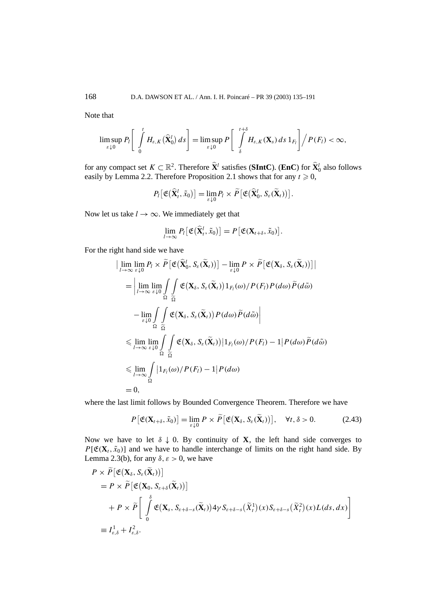Note that

$$
\limsup_{\varepsilon\downarrow 0} P_l\left[\int\limits_0^t H_{\varepsilon,K}(\widehat{\mathbf{X}}_0^l)\,ds\right] = \limsup_{\varepsilon\downarrow 0} P\left[\int\limits_{\delta}^{t+\delta} H_{\varepsilon,K}(\mathbf{X}_s)\,ds\,1_{F_l}\right] \bigg/ P(F_l) < \infty,
$$

for any compact set  $K \subset \mathbb{R}^2$ . Therefore  $\widehat{\mathbf{X}}^l$  satisfies (**SIntC**). (**EnC**) for  $\widehat{\mathbf{X}}^l_0$  also follows easily by Lemma 2.2. Therefore Proposition 2.1 shows that for any  $t \ge 0$ ,

$$
P_l\big[\mathfrak{E}\big(\widehat{\mathbf{X}}_t^l,\widetilde{x}_0\big)\big]=\lim_{\varepsilon\downarrow 0}P_l\times \widetilde{P}\big[\mathfrak{E}\big(\widehat{\mathbf{X}}_0^l,S_{\varepsilon}(\widetilde{\mathbf{X}}_t)\big)\big].
$$

Now let us take  $l \rightarrow \infty$ . We immediately get that

$$
\lim_{l\to\infty} P_l\big[\mathfrak{E}(\widehat{\mathbf{X}}_t^l, \widetilde{x}_0)\big] = P\big[\mathfrak{E}(\mathbf{X}_{t+\delta}, \widetilde{x}_0)\big].
$$

For the right hand side we have

$$
\begin{split}\n&\lim_{l\to\infty}\lim_{\varepsilon\downarrow0}P_{l}\times\widetilde{P}\big[\mathfrak{E}\big(\widehat{\mathbf{X}}_{0}^{l},S_{\varepsilon}(\widetilde{\mathbf{X}}_{t})\big)\big]-\lim_{\varepsilon\downarrow0}P\times\widetilde{P}\big[\mathfrak{E}\big(\mathbf{X}_{\delta},S_{\varepsilon}(\widetilde{\mathbf{X}}_{t})\big)\big]\big| \\
&=\left|\lim_{l\to\infty}\lim_{\varepsilon\downarrow0}\int_{\Omega}\int_{\widetilde{\Omega}}\mathfrak{E}\big(\mathbf{X}_{\delta},S_{\varepsilon}(\widetilde{\mathbf{X}}_{t})\big)\mathbf{1}_{F_{l}}(\omega)/P(F_{l})P(d\omega)\widetilde{P}(d\widetilde{\omega})\right. \\
&\left.-\lim_{\varepsilon\downarrow0}\int_{\Omega}\int_{\widetilde{\Omega}}\mathfrak{E}\big(\mathbf{X}_{\delta},S_{\varepsilon}(\widetilde{\mathbf{X}}_{t})\big)P(d\omega)\widetilde{P}(d\widetilde{\omega})\right| \\
&\leqslant \lim_{l\to\infty}\lim_{\varepsilon\downarrow0}\int_{\Omega}\int_{\widetilde{\Omega}}\mathfrak{E}\big(\mathbf{X}_{\delta},S_{\varepsilon}(\widetilde{\mathbf{X}}_{t})\big)\big|\mathbf{1}_{F_{l}}(\omega)/P(F_{l})-1\big|P(d\omega)\widetilde{P}(d\widetilde{\omega})\big| \\
&\leqslant \lim_{l\to\infty}\int_{\Omega}\big|\mathbf{1}_{F_{l}}(\omega)/P(F_{l})-1\big|P(d\omega) \\
&=0,\n\end{split}
$$

where the last limit follows by Bounded Convergence Theorem. Therefore we have

$$
P\left[\mathfrak{E}(\mathbf{X}_{t+\delta},\tilde{x}_0)\right]=\lim_{\varepsilon\downarrow 0}P\times\widetilde{P}\left[\mathfrak{E}(\mathbf{X}_{\delta},S_{\varepsilon}(\widetilde{\mathbf{X}}_t))\right],\quad\forall t,\delta>0.
$$
 (2.43)

Now we have to let  $\delta \downarrow 0$ . By continuity of **X**, the left hand side converges to  $P[\mathfrak{E}(\mathbf{X}_t, \tilde{x}_0)]$  and we have to handle interchange of limits on the right hand side. By Lemma 2.3(b), for any  $\delta$ ,  $\varepsilon > 0$ , we have

$$
P \times \widetilde{P} [\mathfrak{E} (\mathbf{X}_{\delta}, S_{\varepsilon}(\widetilde{\mathbf{X}}_{t}))]
$$
  
=  $P \times \widetilde{P} [\mathfrak{E} (\mathbf{X}_{0}, S_{\varepsilon+\delta}(\widetilde{\mathbf{X}}_{t}))]$   
+  $P \times \widetilde{P} \Bigg[ \int_{0}^{\delta} \mathfrak{E} (\mathbf{X}_{s}, S_{\varepsilon+\delta-s}(\widetilde{\mathbf{X}}_{t})) 4 \gamma S_{\varepsilon+\delta-s}(\widetilde{X}_{t}^{1})(x) S_{\varepsilon+\delta-s}(\widetilde{X}_{t}^{2})(x) L(ds, dx) \Bigg]$   
=  $I_{\varepsilon,\delta}^{1} + I_{\varepsilon,\delta}^{2}$ .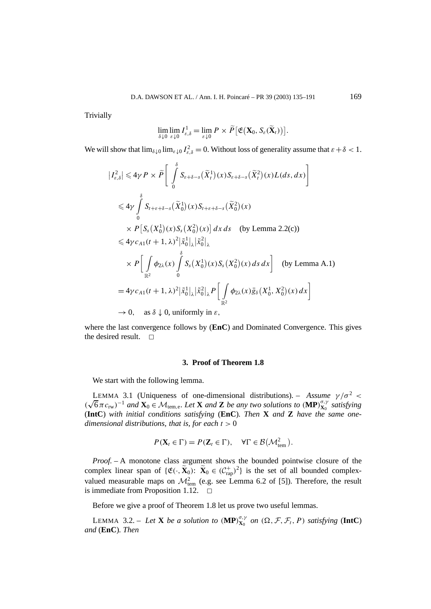**Trivially** 

$$
\lim_{\delta\downarrow 0}\lim_{\varepsilon\downarrow 0}I^1_{\varepsilon,\delta}=\lim_{\varepsilon\downarrow 0}P\times \widetilde{P}\big[\mathfrak{E}(\mathbf{X}_0,S_{\varepsilon}(\widetilde{\mathbf{X}}_t))\big].
$$

We will show that  $\lim_{\delta \downarrow 0} \lim_{\varepsilon \downarrow 0} I_{\varepsilon,\delta}^2 = 0$ . Without loss of generality assume that  $\varepsilon + \delta < 1$ .

$$
\begin{split}\n|I_{\varepsilon,\delta}^{2}| \leq 4\gamma P \times \widetilde{P} \left[ \int_{0}^{\delta} S_{\varepsilon+\delta-s}(\widetilde{X}_{t}^{1})(x) S_{\varepsilon+\delta-s}(\widetilde{X}_{t}^{2})(x) L(ds, dx) \right] \\
&\leq 4\gamma \int_{0}^{\delta} S_{t+\varepsilon+\delta-s}(\widetilde{X}_{0}^{1})(x) S_{t+\varepsilon+\delta-s}(\widetilde{X}_{0}^{2})(x) \\
&\times P \left[ S_{s}(X_{0}^{1})(x) S_{s}(X_{0}^{2})(x) \right] dx ds \quad \text{(by Lemma 2.2(c))} \\
&\leq 4\gamma c_{A1}(t+1, \lambda)^{2} |\widetilde{x}_{0}^{1}|_{\lambda} |\widetilde{x}_{0}^{2}|_{\lambda} \\
&\times P \left[ \int_{\mathbb{R}^{2}} \phi_{2\lambda}(x) \int_{0}^{\delta} S_{s}(X_{0}^{1})(x) S_{s}(X_{0}^{2})(x) ds dx \right] \quad \text{(by Lemma A.1)} \\
&= 4\gamma c_{A1}(t+1, \lambda)^{2} |\widetilde{x}_{0}^{1}|_{\lambda} |\widetilde{x}_{0}^{2}|_{\lambda} P \left[ \int_{\mathbb{R}^{2}} \phi_{2\lambda}(x) \overline{g}_{\delta}(X_{0}^{1}, X_{0}^{2})(x) dx \right] \\
&\to 0, \text{ as } \delta \downarrow 0, \text{ uniformly in } \varepsilon,\n\end{split}
$$

where the last convergence follows by (**EnC**) and Dominated Convergence. This gives the desired result.  $\Box$ 

#### **3. Proof of Theorem 1.8**

We start with the following lemma.

LEMMA 3.1 (Uniqueness of one-dimensional distributions). – Assume  $\gamma/\sigma^2$  < *(*√ $6πc$ <sub>rw</sub> $)$ <sup>-1</sup> *and* **X**<sub>0</sub> ∈  $M$ <sub>tem,e</sub>*. Let* **X** *and* **Z** *be any two solutions to* (**MP**) $^{\sigma, \gamma}_{X_0}$  *satisfying* (**IntC**) *with initial conditions satisfying* (**EnC**)*. Then* **X** *and* **Z** *have the same onedimensional distributions, that is, for each t >* 0

$$
P(\mathbf{X}_t \in \Gamma) = P(\mathbf{Z}_t \in \Gamma), \quad \forall \Gamma \in \mathcal{B}(\mathcal{M}_{tem}^2).
$$

*Proof. –* A monotone class argument shows the bounded pointwise closure of the complex linear span of  $\{\mathfrak{E}(\cdot,\widetilde{\mathbf{X}}_0): \widetilde{\mathbf{X}}_0 \in (\mathcal{C}^+_{\text{rap}})^2\}$  is the set of all bounded complexvalued measurable maps on  $\mathcal{M}_{\text{tem}}^2$  (e.g. see Lemma 6.2 of [5]). Therefore, the result is immediate from Proposition 1.12.  $\Box$ 

Before we give a proof of Theorem 1.8 let us prove two useful lemmas.

LEMMA 3.2. – Let **X** be a solution to  $(\mathbf{MP})_{\mathbf{X}_0}^{\sigma,\gamma}$  on  $(\Omega, \mathcal{F}, \mathcal{F}_t, P)$  satisfying  $(\mathbf{IntC})$ *and* (**EnC**)*. Then*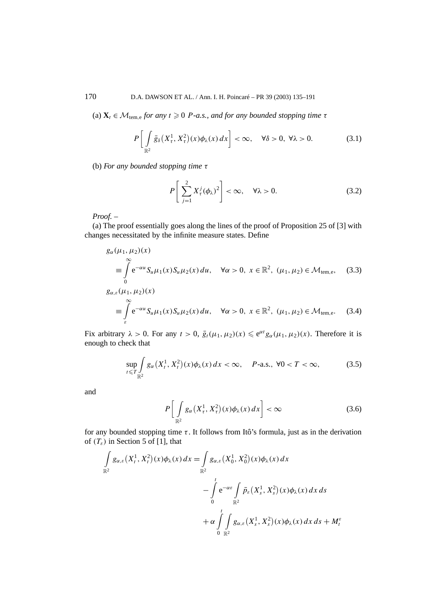170 D.A. DAWSON ET AL. / Ann. I. H. Poincaré – PR 39 (2003) 135–191

(a)  $\mathbf{X}_t \in \mathcal{M}_{\text{tem.}e}$  *for any*  $t \geq 0$  *P-a.s., and for any bounded stopping time*  $\tau$ 

$$
P\bigg[\int_{\mathbb{R}^2} \bar{g}_{\delta}\big(X_{\tau}^1, X_{\tau}^2\big)(x)\phi_{\lambda}(x)\,dx\bigg] < \infty, \quad \forall \delta > 0, \ \forall \lambda > 0. \tag{3.1}
$$

(b) *For any bounded stopping time τ*

$$
P\left[\sum_{j=1}^{2} X_{\tau}^{j}(\phi_{\lambda})^{2}\right] < \infty, \quad \forall \lambda > 0. \tag{3.2}
$$

*Proof. –*

(a) The proof essentially goes along the lines of the proof of Proposition 25 of [3] with changes necessitated by the infinite measure states. Define

$$
g_{\alpha}(\mu_1, \mu_2)(x)
$$
  
\n
$$
\equiv \int_{0}^{\infty} e^{-\alpha u} S_u \mu_1(x) S_u \mu_2(x) du, \quad \forall \alpha > 0, x \in \mathbb{R}^2, (\mu_1, \mu_2) \in \mathcal{M}_{tem,e}, \quad (3.3)
$$
  
\n
$$
g_{\alpha,\varepsilon}(\mu_1, \mu_2)(x)
$$
  
\n
$$
\equiv \int_{\varepsilon}^{\infty} e^{-\alpha u} S_u \mu_1(x) S_u \mu_2(x) du, \quad \forall \alpha > 0, x \in \mathbb{R}^2, (\mu_1, \mu_2) \in \mathcal{M}_{tem,e}. \quad (3.4)
$$

Fix arbitrary  $\lambda > 0$ . For any  $t > 0$ ,  $\bar{g}_t(\mu_1, \mu_2)(x) \leq e^{\alpha t} g_\alpha(\mu_1, \mu_2)(x)$ . Therefore it is enough to check that

$$
\sup_{t \leq T} \int_{\mathbb{R}^2} g_\alpha(X_t^1, X_t^2)(x) \phi_\lambda(x) dx < \infty, \quad P\text{-a.s., } \forall 0 < T < \infty,\tag{3.5}
$$

and

$$
P\left[\int_{\mathbb{R}^2} g_\alpha\left(X_\tau^1, X_\tau^2\right)(x)\phi_\lambda(x)\,dx\right] < \infty \tag{3.6}
$$

for any bounded stopping time *τ* . It follows from Itô's formula, just as in the derivation of  $(T_{\varepsilon})$  in Section 5 of [1], that

$$
\int_{\mathbb{R}^2} g_{\alpha,\varepsilon}(X_t^1, X_t^2)(x) \phi_\lambda(x) dx = \int_{\mathbb{R}^2} g_{\alpha,\varepsilon}(X_0^1, X_0^2)(x) \phi_\lambda(x) dx \n- \int_0^t e^{-\alpha \varepsilon} \int_{\mathbb{R}^2} \bar{p}_{\varepsilon}(X_s^1, X_s^2)(x) \phi_\lambda(x) dx ds \n+ \alpha \int_0^t \int_{\mathbb{R}^2} g_{\alpha,\varepsilon}(X_s^1, X_s^2)(x) \phi_\lambda(x) dx ds + M_t^{\varepsilon}
$$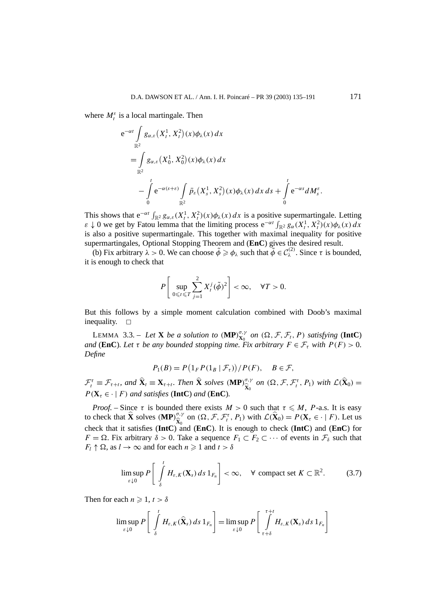where  $M_t^{\varepsilon}$  is a local martingale. Then

$$
e^{-\alpha t} \int_{\mathbb{R}^2} g_{\alpha,\varepsilon}(X_t^1, X_t^2)(x) \phi_\lambda(x) dx
$$
  
= 
$$
\int_{\mathbb{R}^2} g_{\alpha,\varepsilon}(X_0^1, X_0^2)(x) \phi_\lambda(x) dx
$$
  

$$
- \int_0^t e^{-\alpha(s+\varepsilon)} \int_{\mathbb{R}^2} \bar{p}_{\varepsilon}(X_s^1, X_s^2)(x) \phi_\lambda(x) dx ds + \int_0^t e^{-\alpha s} dM_s^{\varepsilon}.
$$

This shows that  $e^{-\alpha t} \int_{\mathbb{R}^2} g_{\alpha,\varepsilon}(X_t^1, X_t^2)(x) \phi_\lambda(x) dx$  is a positive supermartingale. Letting *ε*  $\downarrow$  0 we get by Fatou lemma that the limiting process  $e^{-\alpha t} \int_{\mathbb{R}^2} g_\alpha(X_t^1, X_t^2)(x) \phi_\lambda(x) dx$ is also a positive supermartingale. This together with maximal inequality for positive supermartingales, Optional Stopping Theorem and (**EnC**) gives the desired result.

(b) Fix arbitrary  $\lambda > 0$ . We can choose  $\tilde{\phi} \ge \phi_{\lambda}$  such that  $\tilde{\phi} \in C_{\lambda}^{(2)}$ . Since  $\tau$  is bounded, it is enough to check that

$$
P\left[\sup_{0\leq t\leq T}\sum_{j=1}^2X_t^j(\tilde{\phi})^2\right]<\infty,\quad\forall T>0.
$$

But this follows by a simple moment calculation combined with Doob's maximal inequality.  $\square$ 

LEMMA 3.3. – *Let* **X** *be a solution to*  $(\mathbf{MP})_{\mathbf{X}_0}^{\sigma,\gamma}$  *on*  $(\Omega, \mathcal{F}, \mathcal{F}_t, P)$  *satisfying* (**IntC**) *and* (**EnC**). Let  $\tau$  *be any bounded stopping time. Fix arbitrary*  $F \in \mathcal{F}_{\tau}$  *with*  $P(F) > 0$ *. Define*

$$
P_1(B) = P\left(\frac{1}{F}P\left(\frac{1}{B} | \mathcal{F}_\tau\right)\right) / P(F), \quad B \in \mathcal{F},
$$

 $\mathcal{F}_t^{\tau} \equiv \mathcal{F}_{\tau+t}$ , and  $\hat{\mathbf{X}}_t \equiv \mathbf{X}_{\tau+t}$ . Then  $\hat{\mathbf{X}}$  solves  $(\mathbf{MP})_{\widehat{\mathbf{X}}_0}^{\sigma,\gamma}$  $\hat{\mathbf{x}}_0^{\sigma,\gamma}$  on  $(\Omega, \mathcal{F}, \mathcal{F}_t^{\tau}, P_1)$  with  $\mathcal{L}(\hat{\mathbf{X}}_0) =$  $P(X_t \in \cdot | F)$  *and satisfies* (**IntC**) *and* (**EnC**).

*Proof.* – Since  $\tau$  is bounded there exists  $M > 0$  such that  $\tau \leq M$ , *P*-a.s. It is easy to check that  $\hat{\mathbf{X}}$  solves  $(\mathbf{MP})_{\hat{\mathbf{X}}_0}^{\sigma, \gamma}$ check that it satisfies ( $IntC$ ) and ( $Enc$ ). It is enough to check ( $IntC$ ) and ( $Enc$ ) for  $\hat{\mathbf{x}}_0^{\sigma, \gamma}$  on  $(\Omega, \mathcal{F}, \mathcal{F}_t^{\tau}, P_1)$  with  $\mathcal{L}(\hat{\mathbf{X}}_0) = P(\mathbf{X}_{\tau} \in \cdot | F)$ . Let us *F* =  $\Omega$ . Fix arbitrary  $\delta > 0$ . Take a sequence  $F_1 \subset F_2 \subset \cdots$  of events in  $\mathcal{F}_{\delta}$  such that  $F_l \uparrow \Omega$ , as  $l \to \infty$  and for each  $n \geq 1$  and  $t > \delta$ 

$$
\limsup_{\varepsilon \downarrow 0} P\left[\int_{\delta}^{t} H_{\varepsilon,K}(\mathbf{X}_{s}) ds 1_{F_{n}}\right] < \infty, \quad \forall \text{ compact set } K \subset \mathbb{R}^{2}.
$$
 (3.7)

Then for each  $n \geq 1$ ,  $t > \delta$ 

$$
\limsup_{\varepsilon \downarrow 0} P\left[\int_{\delta}^{t} H_{\varepsilon,K}(\hat{\mathbf{X}}_{s}) ds 1_{F_{n}}\right] = \limsup_{\varepsilon \downarrow 0} P\left[\int_{\tau+\delta}^{\tau+t} H_{\varepsilon,K}(\mathbf{X}_{s}) ds 1_{F_{n}}\right]
$$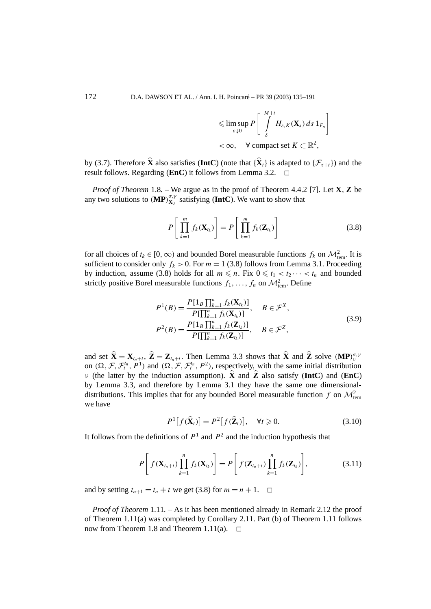$$
\leqslant \limsup_{\varepsilon \downarrow 0} P \left[ \int_{\delta}^{M+t} H_{\varepsilon,K}(\mathbf{X}_s) \, ds \, 1_{F_n} \right]
$$
  
< 
$$
< \infty, \quad \forall \text{ compact set } K \subset \mathbb{R}^2,
$$

by (3.7). Therefore  $\hat{\mathbf{X}}$  also satisfies (**IntC**) (note that  ${\hat{\mathbf{X}}_t}$  is adapted to  ${\mathcal{F}_{\tau+t}}$ ) and the result follows. Regarding (**EnC**) it follows from Lemma 3.2. result follows. Regarding (**EnC**) it follows from Lemma 3.2.

*Proof of Theorem* 1.8*. –* We argue as in the proof of Theorem 4.4.2 [7]. Let **X**, **Z** be any two solutions to  $(MP)_{X_0}^{\sigma,\gamma}$  satisfying (IntC). We want to show that

$$
P\left[\prod_{k=1}^{m} f_k(\mathbf{X}_{t_k})\right] = P\left[\prod_{k=1}^{m} f_k(\mathbf{Z}_{t_k})\right]
$$
(3.8)

for all choices of  $t_k \in [0, \infty)$  and bounded Borel measurable functions  $f_k$  on  $\mathcal{M}_{tem}^2$ . It is sufficient to consider only  $f_k > 0$ . For  $m = 1$  (3.8) follows from Lemma 3.1. Proceeding by induction, assume (3.8) holds for all  $m \leq n$ . Fix  $0 \leq t_1 < t_2 \cdots < t_n$  and bounded strictly positive Borel measurable functions  $f_1, \ldots, f_n$  on  $\mathcal{M}^2_{\text{tem}}$ . Define

$$
P^{1}(B) = \frac{P[1_{B} \prod_{k=1}^{n} f_{k}(\mathbf{X}_{t_{k}})]}{P[\prod_{k=1}^{n} f_{k}(\mathbf{X}_{t_{k}})]}, \quad B \in \mathcal{F}^{X},
$$
  

$$
P^{2}(B) = \frac{P[1_{B} \prod_{k=1}^{n} f_{k}(\mathbf{Z}_{t_{k}})]}{P[\prod_{k=1}^{n} f_{k}(\mathbf{Z}_{t_{k}})]}, \quad B \in \mathcal{F}^{Z},
$$
\n(3.9)

and set  $\hat{\mathbf{X}} = \mathbf{X}_{t_n+t}$ ,  $\hat{\mathbf{Z}} = \mathbf{Z}_{t_n+t}$ . Then Lemma 3.3 shows that  $\hat{\mathbf{X}}$  and  $\hat{\mathbf{Z}}$  solve  $(\mathbf{MP})_y^{\sigma,y}$ on  $(\Omega, \mathcal{F}, \mathcal{F}^{t_n}_t, P^1)$  and  $(\Omega, \mathcal{F}, \mathcal{F}^{t_n}_t, P^2)$ , respectively, with the same initial distribution *ν* (the latter by the induction assumption).  $\hat{\mathbf{X}}$  and  $\hat{\mathbf{Z}}$  also satisfy (**IntC**) and (**EnC**) by Lemma 3.3, and therefore by Lemma 3.1 they have the same one dimensionaldistributions. This implies that for any bounded Borel measurable function  $f$  on  $\mathcal{M}_{\text{tem}}^2$ we have

$$
P^{1}[f(\widehat{\mathbf{X}}_{t})] = P^{2}[f(\widehat{\mathbf{Z}}_{t})], \quad \forall t \geqslant 0.
$$
 (3.10)

It follows from the definitions of  $P<sup>1</sup>$  and  $P<sup>2</sup>$  and the induction hypothesis that

$$
P\left[f(\mathbf{X}_{t_n+t})\prod_{k=1}^n f_k(\mathbf{X}_{t_k})\right] = P\left[f(\mathbf{Z}_{t_n+t})\prod_{k=1}^n f_k(\mathbf{Z}_{t_k})\right],
$$
\n(3.11)

and by setting  $t_{n+1} = t_n + t$  we get (3.8) for  $m = n + 1$ .  $\Box$ 

*Proof of Theorem* 1.11*. –* As it has been mentioned already in Remark 2.12 the proof of Theorem 1.11(a) was completed by Corollary 2.11. Part (b) of Theorem 1.11 follows now from Theorem 1.8 and Theorem 1.11(a).  $\Box$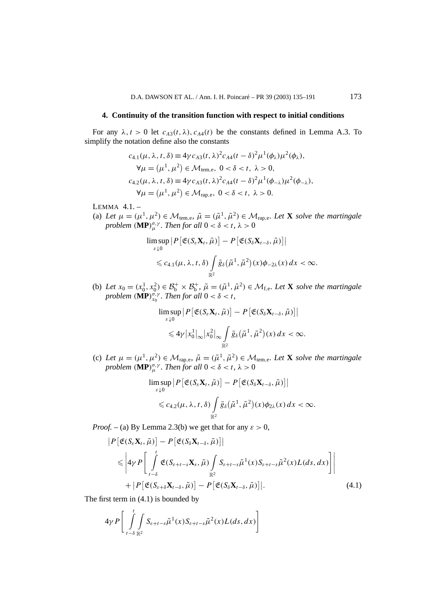#### **4. Continuity of the transition function with respect to initial conditions**

For any  $\lambda$ ,  $t > 0$  let  $c_{A3}(t, \lambda)$ ,  $c_{A4}(t)$  be the constants defined in Lemma A.3. To simplify the notation define also the constants

$$
c_{4.1}(\mu, \lambda, t, \delta) \equiv 4\gamma c_{A3}(t, \lambda)^2 c_{A4}(t - \delta)^2 \mu^1(\phi_\lambda) \mu^2(\phi_\lambda),
$$
  
\n
$$
\forall \mu = (\mu^1, \mu^2) \in \mathcal{M}_{tem,e}, 0 < \delta < t, \lambda > 0,
$$
  
\n
$$
c_{4.2}(\mu, \lambda, t, \delta) \equiv 4\gamma c_{A3}(t, \lambda)^2 c_{A4}(t - \delta)^2 \mu^1(\phi_{-\lambda}) \mu^2(\phi_{-\lambda}),
$$
  
\n
$$
\forall \mu = (\mu^1, \mu^2) \in \mathcal{M}_{rap,e}, 0 < \delta < t, \lambda > 0.
$$

LEMMA 4.1. –

(a) Let  $\mu = (\mu^1, \mu^2) \in \mathcal{M}_{tem,e}, \tilde{\mu} = (\tilde{\mu}^1, \tilde{\mu}^2) \in \mathcal{M}_{rap,e}.$  Let **X** solve the martingale *problem*  $(\mathbf{MP})^{\sigma,\gamma}_{\mu}$ *. Then for all*  $0 < \delta < t$ *,*  $\lambda > 0$ 

$$
\limsup_{\varepsilon \downarrow 0} \left| P \left[ \mathfrak{E} (S_{\varepsilon} \mathbf{X}_t, \tilde{\mu}) \right] - P \left[ \mathfrak{E} (S_{\delta} \mathbf{X}_{t-\delta}, \tilde{\mu}) \right] \right|
$$
  
\$\leqslant c\_{4.1}(\mu, \lambda, t, \delta) \int\_{\mathbb{R}^2} \bar{g}\_{\delta}(\tilde{\mu}^1, \tilde{\mu}^2)(x) \phi\_{-2\lambda}(x) dx < \infty\$.

(b) Let  $x_0 = (x_0^1, x_0^2) \in \mathcal{B}_b^+ \times \mathcal{B}_b^+$ ,  $\tilde{\mu} = (\tilde{\mu}^1, \tilde{\mu}^2) \in \mathcal{M}_{f,e}$ . Let **X** solve the martingale *problem* (**MP**) $_{x_0}^{\sigma,\gamma}$ *. Then for all*  $0 < \delta < t$ *,* 

$$
\limsup_{\varepsilon \downarrow 0} \left| P\left[\mathfrak{E}(S_{\varepsilon} \mathbf{X}_{t}, \tilde{\mu})\right] - P\left[\mathfrak{E}(S_{\delta} \mathbf{X}_{t-\delta}, \tilde{\mu})\right] \right|
$$
  
\$\leqslant 4\gamma |x\_0^1|\_{\infty} |x\_0^2|\_{\infty} \int\_{\mathbb{R}^2} \bar{g}\_{\delta}(\tilde{\mu}^1, \tilde{\mu}^2)(x) dx < \infty\$.

(c) Let  $\mu = (\mu^1, \mu^2) \in \mathcal{M}_{\text{rap,e}}, \ \tilde{\mu} = (\tilde{\mu}^1, \tilde{\mu}^2) \in \mathcal{M}_{\text{tem,e}}$ . Let **X** solve the martingale *problem*  $(\mathbf{MP})_{\mu}^{\sigma,\gamma}$ *. Then for all*  $0 < \delta < t$ *,*  $\lambda > 0$ 

$$
\limsup_{\varepsilon \downarrow 0} \left| P \left[ \mathfrak{E} (S_{\varepsilon} \mathbf{X}_t, \tilde{\mu}) \right] - P \left[ \mathfrak{E} (S_{\delta} \mathbf{X}_{t-\delta}, \tilde{\mu}) \right] \right|
$$
  
\$\leqslant c\_{4,2}(\mu, \lambda, t, \delta) \int\_{\mathbb{R}^2} \bar{g}\_{\delta}(\tilde{\mu}^1, \tilde{\mu}^2)(x) \phi\_{2\lambda}(x) dx < \infty\$.

*Proof.* – (a) By Lemma 2.3(b) we get that for any  $\varepsilon > 0$ ,

$$
\begin{split} \left| P\left[\mathfrak{E}(S_{\varepsilon}\mathbf{X}_{t},\tilde{\mu})\right] - P\left[\mathfrak{E}(S_{\delta}\mathbf{X}_{t-\delta},\tilde{\mu})\right] \right| \\ &\leqslant \left| 4\gamma P\left[ \int\limits_{t-\delta}^{t} \mathfrak{E}(S_{\varepsilon+t-s}\mathbf{X}_{s},\tilde{\mu}) \int\limits_{\mathbb{R}^{2}} S_{\varepsilon+t-s}\tilde{\mu}^{1}(x) S_{\varepsilon+t-s}\tilde{\mu}^{2}(x) L(ds,dx) \right] \right| \\ &+ \left| P\left[ \mathfrak{E}(S_{\varepsilon+\delta}\mathbf{X}_{t-\delta},\tilde{\mu})\right] - P\left[ \mathfrak{E}(S_{\delta}\mathbf{X}_{t-\delta},\tilde{\mu})\right] \right|. \end{split} \tag{4.1}
$$

The first term in (4.1) is bounded by

$$
4\gamma P\bigg[\int\limits_{t-\delta}^t\int\limits_{\mathbb{R}^2}S_{\varepsilon+t-s}\tilde{\mu}^1(x)S_{\varepsilon+t-s}\tilde{\mu}^2(x)L(ds,dx)\bigg]
$$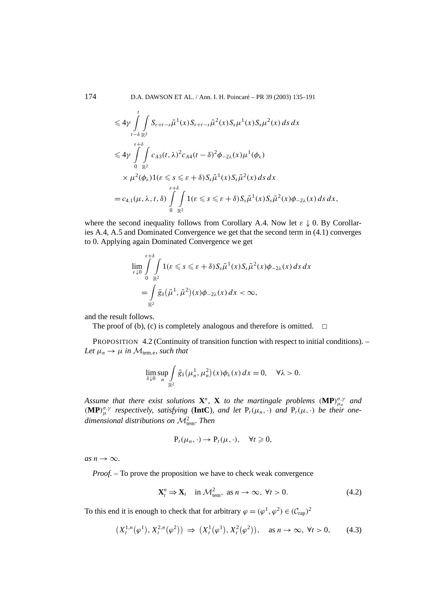174 D.A. DAWSON ET AL. / Ann. I. H. Poincaré – PR 39 (2003) 135–191

$$
\leq 4\gamma \int_{t-\delta}^{t} \int_{\mathbb{R}^2} S_{\varepsilon+t-s} \tilde{\mu}^1(x) S_{\varepsilon+t-s} \tilde{\mu}^2(x) S_s \mu^1(x) S_s \mu^2(x) ds dx
$$
  
\n
$$
\leq 4\gamma \int_{0}^{\varepsilon+\delta} \int_{\mathbb{R}^2} c_{A3}(t,\lambda)^2 c_{A4}(t-\delta)^2 \phi_{-2\lambda}(x) \mu^1(\phi_{\lambda})
$$
  
\n
$$
\times \mu^2(\phi_{\lambda}) 1(\varepsilon \leq s \leq \varepsilon + \delta) S_s \tilde{\mu}^1(x) S_s \tilde{\mu}^2(x) ds dx
$$
  
\n
$$
= c_{4.1}(\mu, \lambda, t, \delta) \int_{0}^{\varepsilon+\delta} \int_{\mathbb{R}^2} 1(\varepsilon \leq s \leq \varepsilon + \delta) S_s \tilde{\mu}^1(x) S_s \tilde{\mu}^2(x) \phi_{-2\lambda}(x) ds dx,
$$

where the second inequality follows from Corollary A.4. Now let *ε* ↓ 0. By Corollaries A.4, A.5 and Dominated Convergence we get that the second term in (4.1) converges to 0. Applying again Dominated Convergence we get

$$
\lim_{\varepsilon \downarrow 0} \int_{0}^{\varepsilon + \delta} \int_{\mathbb{R}^2} 1(\varepsilon \leqslant s \leqslant \varepsilon + \delta) S_s \tilde{\mu}^1(x) S_s \tilde{\mu}^2(x) \phi_{-2\lambda}(x) \, ds \, dx
$$
\n
$$
= \int_{\mathbb{R}^2} \bar{g}_{\delta}(\tilde{\mu}^1, \tilde{\mu}^2)(x) \phi_{-2\lambda}(x) \, dx < \infty,
$$

and the result follows.

The proof of (b), (c) is completely analogous and therefore is omitted.  $\Box$ 

PROPOSITION 4.2 (Continuity of transition function with respect to initial conditions). – *Let*  $\mu_n \to \mu$  *in*  $M_{tem,e}$ *, such that* 

$$
\lim_{\delta \downarrow 0} \sup_n \int_{\mathbb{R}^2} \bar{g}_\delta(\mu_n^1, \mu_n^2)(x) \phi_\lambda(x) dx = 0, \quad \forall \lambda > 0.
$$

*Assume that there exist solutions* **X***<sup>n</sup>,* **X** *to the martingale problems (***MP***)σ,γ µn and*  $(\mathbf{MP})_{\mu}^{\sigma,\gamma}$  *respectively, satisfying* (**IntC**)*, and let*  $P_t(\mu_n, \cdot)$  *and*  $P_t(\mu, \cdot)$  *be their onedimensional distributions on* <sup>M</sup><sup>2</sup> tem*. Then*

$$
P_t(\mu_n,\cdot)\to P_t(\mu,\cdot),\quad \forall t\geqslant 0,
$$

 $as n \rightarrow \infty$ .

*Proof.* – To prove the proposition we have to check weak convergence

$$
\mathbf{X}_t^n \Rightarrow \mathbf{X}_t \quad \text{in } \mathcal{M}_{\text{tem}}^2, \text{ as } n \to \infty, \ \forall t > 0. \tag{4.2}
$$

To this end it is enough to check that for arbitrary  $\varphi = (\varphi^1, \varphi^2) \in (C_{\text{rap}})^2$ 

$$
(X_t^{1,n}(\varphi^1), X_t^{2,n}(\varphi^2)) \Rightarrow (X_t^1(\varphi^1), X_t^2(\varphi^2)), \quad \text{as } n \to \infty, \ \forall t > 0,\tag{4.3}
$$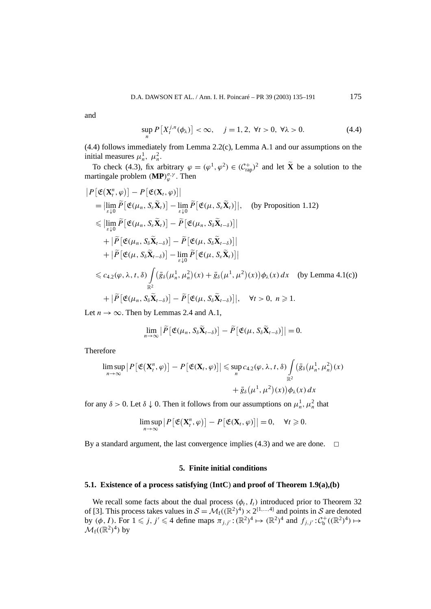and

$$
\sup_{n} P[X_{t}^{j,n}(\phi_{\lambda})] < \infty, \quad j = 1, 2, \ \forall t > 0, \ \forall \lambda > 0. \tag{4.4}
$$

(4.4) follows immediately from Lemma 2.2(c), Lemma A.1 and our assumptions on the initial measures  $\mu_n^1$ ,  $\mu_n^2$ .

To check (4.3), fix arbitrary  $\varphi = (\varphi^1, \varphi^2) \in (C_{\text{rap}}^+)^2$  and let  $\tilde{\mathbf{X}}$  be a solution to the martingale problem  $(\mathbf{MP})_{\varphi}^{\sigma,\gamma}$ . Then

$$
|P[\mathfrak{E}(\mathbf{X}_{t}^{n},\varphi)] - P[\mathfrak{E}(\mathbf{X}_{t},\varphi)]|
$$
\n
$$
= |\lim_{\varepsilon \downarrow 0} \widetilde{P}[\mathfrak{E}(\mu_{n}, S_{\varepsilon} \widetilde{\mathbf{X}}_{t})] - \lim_{\varepsilon \downarrow 0} \widetilde{P}[\mathfrak{E}(\mu, S_{\varepsilon} \widetilde{\mathbf{X}}_{t})]|, \text{ (by Proposition 1.12)}
$$
\n
$$
\leq |\lim_{\varepsilon \downarrow 0} \widetilde{P}[\mathfrak{E}(\mu_{n}, S_{\varepsilon} \widetilde{\mathbf{X}}_{t})] - \widetilde{P}[\mathfrak{E}(\mu_{n}, S_{\delta} \widetilde{\mathbf{X}}_{t-\delta})]|
$$
\n
$$
+ |\widetilde{P}[\mathfrak{E}(\mu_{n}, S_{\delta} \widetilde{\mathbf{X}}_{t-\delta})] - \widetilde{P}[\mathfrak{E}(\mu, S_{\delta} \widetilde{\mathbf{X}}_{t-\delta})]|
$$
\n
$$
+ |\widetilde{P}[\mathfrak{E}(\mu, S_{\delta} \widetilde{\mathbf{X}}_{t-\delta})] - \lim_{\varepsilon \downarrow 0} \widetilde{P}[\mathfrak{E}(\mu, S_{\varepsilon} \widetilde{\mathbf{X}}_{t})]|
$$
\n
$$
\leq c_{4.2}(\varphi, \lambda, t, \delta) \int_{\mathbb{R}^{2}} (\bar{g}_{\delta}(\mu_{n}^{1}, \mu_{n}^{2})(x) + \bar{g}_{\delta}(\mu^{1}, \mu^{2})(x)) \phi_{\lambda}(x) dx \text{ (by Lemma 4.1(c))}
$$
\n
$$
+ |\widetilde{P}[\mathfrak{E}(\mu_{n}, S_{\delta} \widetilde{\mathbf{X}}_{t-\delta})] - \widetilde{P}[\mathfrak{E}(\mu, S_{\delta} \widetilde{\mathbf{X}}_{t-\delta})]|, \quad \forall t > 0, n \geq 1.
$$
\nLet  $n \to \infty$ . Then by I ammer 2.4 and A.1

Let  $n \to \infty$ . Then by Lemmas 2.4 and A.1,

$$
\lim_{n\to\infty}\big|\widetilde{P}\big[\mathfrak{E}(\mu_n,\mathcal{S}_{\delta}\widetilde{\mathbf{X}}_{t-\delta})\big]-\widetilde{P}\big[\mathfrak{E}(\mu,\mathcal{S}_{\delta}\widetilde{\mathbf{X}}_{t-\delta})\big]\big|=0.
$$

Therefore

$$
\limsup_{n\to\infty} |P[\mathfrak{E}(\mathbf{X}_t^n,\varphi)] - P[\mathfrak{E}(\mathbf{X}_t,\varphi)]| \leq \sup_n c_{4.2}(\varphi,\lambda,t,\delta) \int_{\mathbb{R}^2} (\bar{g}_\delta(\mu_n^1,\mu_n^2)(x) + \bar{g}_\delta(\mu^1,\mu^2)(x)) \phi_\lambda(x) dx
$$

for any  $\delta > 0$ . Let  $\delta \downarrow 0$ . Then it follows from our assumptions on  $\mu_n^1$ ,  $\mu_n^2$  that

$$
\limsup_{n\to\infty} |P[\mathfrak{E}(\mathbf{X}_t^n,\varphi)] - P[\mathfrak{E}(\mathbf{X}_t,\varphi)]| = 0, \quad \forall t \geq 0.
$$

By a standard argument, the last convergence implies  $(4.3)$  and we are done.  $\Box$ 

## **5. Finite initial conditions**

#### **5.1. Existence of a process satisfying** (**IntC**) **and proof of Theorem 1.9(a),(b)**

We recall some facts about the dual process  $(\phi_t, I_t)$  introduced prior to Theorem 32 of [3]. This process takes values in  $S = M_f((\mathbb{R}^2)^4) \times 2^{\{1,\ldots,4\}}$  and points in S are denoted by  $(\phi, I)$ . For  $1 \leq j, j' \leq 4$  define maps  $\pi_{j,j'} : (\mathbb{R}^2)^4 \mapsto (\mathbb{R}^2)^4$  and  $f_{j,j'} : C_b^+((\mathbb{R}^2)^4) \mapsto$  $\mathcal{M}_f((\mathbb{R}^2)^4)$  by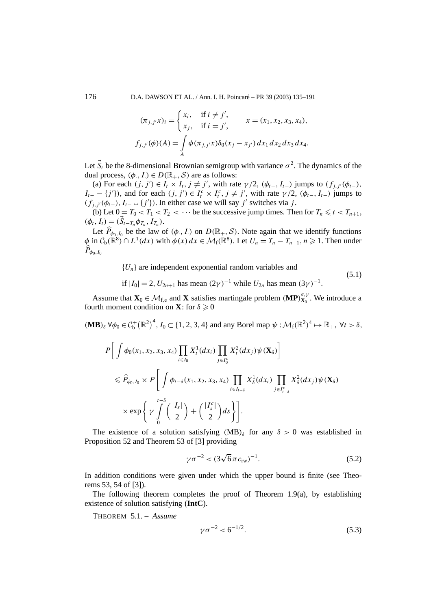176 D.A. DAWSON ET AL. / Ann. I. H. Poincaré – PR 39 (2003) 135–191

$$
(\pi_{j,j'}x)_i = \begin{cases} x_i, & \text{if } i \neq j', \\ x_j, & \text{if } i = j', \end{cases} \qquad x = (x_1, x_2, x_3, x_4),
$$

$$
f_{j,j'}(\phi)(A) = \int_A \phi(\pi_{j,j'}x)\delta_0(x_j - x_{j'}) dx_1 dx_2 dx_3 dx_4.
$$

Let  $\vec{S}_t$  be the 8-dimensional Brownian semigroup with variance  $\sigma^2$ . The dynamics of the dual process,  $(\phi, I) \in D(\mathbb{R}_+, \mathcal{S})$  are as follows:

(a) For each  $(j, j') \in I_t \times I_t$ ,  $j \neq j'$ , with rate  $\gamma/2$ ,  $(\phi_{t-}, I_{t-})$  jumps to  $(f_{j,j'}(\phi_{t-}),$ *I*<sub>*t*</sub> − {*j'*}), and for each  $(j, j') \in I_t^c \times I_t^c$ ,  $j \neq j'$ , with rate  $\gamma/2$ ,  $(\phi_{t-}, I_{t-})$  jumps to  $(f_{j,j'}(\phi_{t-}), I_{t-} \cup \{j'\})$ . In either case we will say *j'* switches via *j*.

(b) Let  $0 = T_0 < T_1 < T_2 < \cdots$  be the successive jump times. Then for  $T_n \le t < T_{n+1}$ ,  $(\phi_t, I_t) = (\vec{S}_{t-T_n} \phi_{T_n}, I_{T_n}).$ 

Let  $\hat{P}_{\phi_0, I_0}$  be the law of  $(\phi, I)$  on  $D(\mathbb{R}_+, S)$ . Note again that we identify functions  $\phi$  in  $C_b(\mathbb{R}^8) \cap L^1(dx)$  with  $\phi(x) dx \in \mathcal{M}_f(\mathbb{R}^8)$ . Let  $U_n = T_n - T_{n-1}, n \ge 1$ . Then under  $P_{\phi_0,I_0}$ 

 ${U_n}$  are independent exponential random variables and

if  $|I_0| = 2$ ,  $U_{2n+1}$  has mean  $(2\gamma)^{-1}$  while  $U_{2n}$  has mean  $(3\gamma)^{-1}$ .

Assume that  $\mathbf{X}_0 \in \mathcal{M}_{f,e}$  and **X** satisfies martingale problem  $(\mathbf{MP})_{\mathbf{X}_0}^{\sigma,\gamma}$ . We introduce a fourth moment condition on **X**: for  $\delta \geq 0$ 

 $(\mathbf{MB})_{\delta} \forall \phi_0 \in C_{\mathbf{b}}^+(\mathbb{R}^2)^4$ ,  $I_0 \subset \{1, 2, 3, 4\}$  and any Borel map  $\psi : \mathcal{M}_{\mathbf{f}}(\mathbb{R}^2)^4 \mapsto \mathbb{R}_+$ ,  $\forall t > \delta$ ,

$$
P\bigg[\int \phi_0(x_1, x_2, x_3, x_4) \prod_{i \in I_0} X_i^1(dx_i) \prod_{j \in I_0^c} X_i^2(dx_j) \psi(\mathbf{X}_\delta)\bigg]
$$
  
\$\leqslant \widehat{P}\_{\phi\_0, I\_0} \times P\bigg[\int \phi\_{t-\delta}(x\_1, x\_2, x\_3, x\_4) \prod\_{i \in I\_{t-\delta}} X\_\delta^1(dx\_i) \prod\_{j \in I\_{t-\delta}^c} X\_\delta^2(dx\_j) \psi(\mathbf{X}\_\delta)\$  
\$\times \exp\bigg\{\gamma \int\limits\_0^{t-\delta} {\binom{|I\_s|}{2} + \binom{|I\_s^c|}{2} ds} \bigg\}\bigg].

The existence of a solution satisfying  $(MB)_{\delta}$  for any  $\delta > 0$  was established in Proposition 52 and Theorem 53 of [3] providing

$$
\gamma \sigma^{-2} < (3\sqrt{6}\pi c_{\text{rw}})^{-1}.\tag{5.2}
$$

(5.1)

In addition conditions were given under which the upper bound is finite (see Theorems 53, 54 of [3]).

The following theorem completes the proof of Theorem 1.9(a), by establishing existence of solution satisfying (**IntC**).

THEOREM 5.1. – *Assume*

$$
\gamma \sigma^{-2} < 6^{-1/2}.\tag{5.3}
$$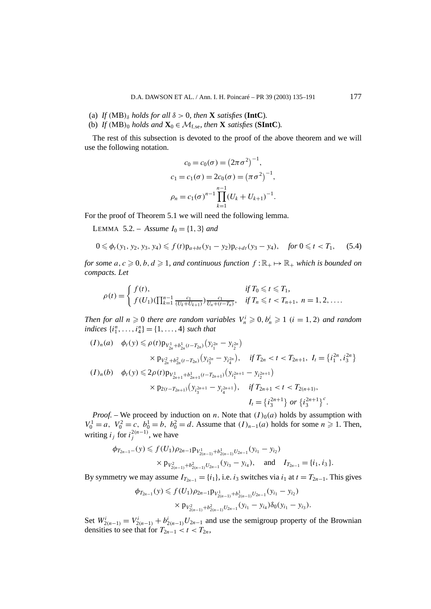- (a) *If*  $(MB)_{\delta}$  *holds for all*  $\delta > 0$ *, then* **X** *satisfies* (**IntC**).
- (b) *If*  $(MB)_0$  *holds and*  $\mathbf{X}_0 \in \mathcal{M}_{f,se}$ *, then* **X** *satisfies* (**SIntC**).

The rest of this subsection is devoted to the proof of the above theorem and we will use the following notation.

$$
c_0 = c_0(\sigma) = (2\pi \sigma^2)^{-1},
$$
  
\n
$$
c_1 = c_1(\sigma) = 2c_0(\sigma) = (\pi \sigma^2)^{-1},
$$
  
\n
$$
\rho_n = c_1(\sigma)^{n-1} \prod_{k=1}^{n-1} (U_k + U_{k+1})^{-1}.
$$

For the proof of Theorem 5.1 we will need the following lemma.

**LEMMA** 5.2. – *Assume*  $I_0 = \{1, 3\}$  *and* 

$$
0 \leq \phi_t(y_1, y_2, y_3, y_4) \leq f(t)p_{a+bt}(y_1 - y_2)p_{c+dt}(y_3 - y_4), \quad \text{for } 0 \leq t < T_1,\tag{5.4}
$$

*for some*  $a, c \ge 0, b, d \ge 1$ , and continuous function  $f : \mathbb{R}_+ \mapsto \mathbb{R}_+$  which is bounded on *compacts. Let*

$$
\rho(t) = \begin{cases} f(t), & \text{if } T_0 \leq t \leq T_1, \\ f(U_1) (\prod_{k=1}^{n-1} \frac{c_1}{(U_k + U_{k+1})}) \frac{c_1}{U_n + (t - T_n)}, & \text{if } T_n \leq t < T_{n+1}, \ n = 1, 2, \dots. \end{cases}
$$

*Then for all*  $n \geq 0$  *there are random variables*  $V_n^i \geq 0, b_n^i \geq 1$   $(i = 1, 2)$  *and random indices*  $\{i_1^n, \ldots, i_4^n\} = \{1, \ldots, 4\}$  *such that* 

$$
(I)_n(a) \quad \phi_t(y) \le \rho(t) \mathbf{p}_{V_{2n}^1 + b_{2n}^1(t - T_{2n})}(y_{i_1^{2n}} - y_{i_2^{2n}})
$$
  
\n
$$
\times \mathbf{p}_{V_{2n}^2 + b_{2n}^2(t - T_{2n})}(y_{i_3^{2n}} - y_{i_4^{2n}}), \quad \text{if } T_{2n} < t < T_{2n+1}, \ I_t = \{i_1^{2n}, i_3^{2n}\}
$$
  
\n
$$
(I)_n(b) \quad \phi_t(y) \le 2\rho(t) \mathbf{p}_{V_{2n+1}^1 + b_{2n+1}^1(t - T_{2n+1})}(y_{i_1^{2n+1}} - y_{i_2^{2n+1}})
$$
  
\n
$$
\times \mathbf{p}_{2(t - T_{2n+1})}(y_{i_3^{2n+1}} - y_{i_4^{2n+1}}), \quad \text{if } T_{2n+1} < t < T_{2(n+1)},
$$
  
\n
$$
I_t = \{i_3^{2n+1}\} \text{ or } \{i_3^{2n+1}\}^c.
$$

*Proof.* – We proceed by induction on *n*. Note that  $(I)_0(a)$  holds by assumption with *V*<sup>1</sup><sup>0</sup> = *a*, *V*<sup>2</sup><sup>2</sup> = *c*, *b*<sup>1</sup><sub>0</sub></sub> = *b*, *b*<sup>2</sup><sub>0</sub> = *d*. Assume that *(I)<sub>n−1</sub>(<i>a)* holds for some *n* ≥ 1. Then, writing  $i_j$  for  $i_j^{2(n-1)}$ , we have

$$
\phi_{T_{2n-1}-}(y) \leq f(U_1)\rho_{2n-1}p_{V_{2(n-1)}^1 + b_{2(n-1)}^1 U_{2n-1}}(y_{i_1} - y_{i_2})
$$
  
 
$$
\times p_{V_{2(n-1)}^2 + b_{2(n-1)}^2 U_{2n-1}}(y_{i_3} - y_{i_4}), \text{ and } I_{T_{2n-1}} = \{i_1, i_3\}.
$$

By symmetry we may assume  $I_{T_{2n-1}} = \{i_1\}$ , i.e.  $i_3$  switches via  $i_1$  at  $t = T_{2n-1}$ . This gives

$$
\begin{aligned} \phi_{T_{2n-1}}(y) &\leq f(U_1)\rho_{2n-1}p_{V_{2(n-1)}^1 + b_{2(n-1)}^1}U_{2n-1}}(y_{i_1} - y_{i_2}) \\ &\times p_{V_{2(n-1)}^2 + b_{2(n-1)}^2}U_{2n-1}}(y_{i_1} - y_{i_4})\delta_0(y_{i_1} - y_{i_3}). \end{aligned}
$$

Set  $W_{2(n-1)}^i = V_{2(n-1)}^i + b_{2(n-1)}^i U_{2n-1}$  and use the semigroup property of the Brownian densities to see that for  $T_{2n-1} < t < T_{2n}$ ,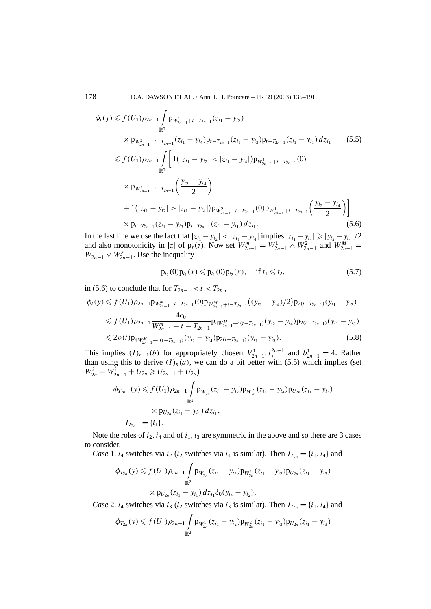178 D.A. DAWSON ET AL. / Ann. I. H. Poincaré – PR 39 (2003) 135–191

$$
\phi_t(y) \leq f(U_1)\rho_{2n-1} \int_{\mathbb{R}^2} p_{W_{2n-1}^1 + t - T_{2n-1}}(z_{i_1} - y_{i_2})
$$
\n
$$
\times p_{W_{2n-1}^2 + t - T_{2n-1}}(z_{i_1} - y_{i_4})p_{t - T_{2n-1}}(z_{i_1} - y_{i_3})p_{t - T_{2n-1}}(z_{i_1} - y_{i_1}) dz_{i_1} \qquad (5.5)
$$
\n
$$
\leq f(U_1)\rho_{2n-1} \int_{\mathbb{R}^2} \left[ 1(|z_{i_1} - y_{i_2}| < |z_{i_1} - y_{i_4}|) p_{W_{2n-1}^1 + t - T_{2n-1}}(0) \right.
$$
\n
$$
\times p_{W_{2n-1}^2 + t - T_{2n-1}}\left(\frac{y_{i_2} - y_{i_4}}{2}\right)
$$
\n
$$
+ 1(|z_{i_1} - y_{i_2}| > |z_{i_1} - y_{i_4}|) p_{W_{2n-1}^2 + t - T_{2n-1}}(0) p_{W_{2n-1}^1 + t - T_{2n-1}}\left(\frac{y_{i_2} - y_{i_4}}{2}\right) \right]
$$
\n
$$
\times p_{t - T_{2n-1}}(z_{i_1} - y_{i_3}) p_{t - T_{2n-1}}(z_{i_1} - y_{i_1}) dz_{i_1}.
$$
\n(5.6)

In the last line we use the fact that  $|z_{i_1} - y_{i_2}| < |z_{i_1} - y_{i_4}|$  implies  $|z_{i_1} - y_{i_4}| ≥ |y_{i_2} - y_{i_4}|/2$ and also monotonicity in |*z*| of  $p_s(z)$ . Now set  $W_{2n-1}^m = W_{2n-1}^1 \wedge W_{2n-1}^2$  and  $W_{2n-1}^M =$  $W_{2n-1}^1 \vee W_{2n-1}^2$ . Use the inequality

$$
p_{t_2}(0)p_{t_1}(x) \leq p_{t_1}(0)p_{t_2}(x), \quad \text{if } t_1 \leq t_2,\tag{5.7}
$$

in (5.6) to conclude that for  $T_{2n-1} < t < T_{2n}$ ,

$$
\phi_t(y) \leq f(U_1)\rho_{2n-1}p_{W_{2n-1}^{m}+t-T_{2n-1}}(0)p_{W_{2n-1}^{M}+t-T_{2n-1}}((y_{i_2}-y_{i_4})/2)p_{2(t-T_{2n-1})}(y_{i_1}-y_{i_3})
$$
\n
$$
\leq f(U_1)\rho_{2n-1}\frac{4c_0}{W_{2n-1}^m+t-T_{2n-1}}p_{4W_{2n-1}^{M}+4(t-T_{2n-1})}(y_{i_2}-y_{i_4})p_{2(t-T_{2n-1})}(y_{i_1}-y_{i_3})
$$
\n
$$
\leq 2\rho(t)p_{4W_{2n-1}^{M}+4(t-T_{2n-1})}(y_{i_2}-y_{i_4})p_{2(t-T_{2n-1})}(y_{i_1}-y_{i_3}).
$$
\n(5.8)

This implies  $(I)_{n-1}(b)$  for appropriately chosen  $V_{2n-1}^1$ ,  $i_j^{2n-1}$  and  $b_{2n-1}^1 = 4$ . Rather than using this to derive  $(I)_n(a)$ , we can do a bit better with (5.5) which implies (set  $W_{2n}^i = W_{2n-1}^i + U_{2n} \ge U_{2n-1} + U_{2n}$ 

$$
\phi_{T_{2n}}(y) \leq f(U_1)\rho_{2n-1} \int_{\mathbb{R}^2} p_{W_{2n}^1}(z_{i_1} - y_{i_2}) p_{W_{2n}^2}(z_{i_1} - y_{i_4}) p_{U_{2n}}(z_{i_1} - y_{i_3})
$$
  
 
$$
\times p_{U_{2n}}(z_{i_1} - y_{i_1}) dz_{i_1},
$$
  
\n
$$
I_{T_{2n}} = \{i_1\}.
$$

Note the roles of  $i_2$ ,  $i_4$  and of  $i_1$ ,  $i_3$  are symmetric in the above and so there are 3 cases to consider.

*Case* 1. *i*<sub>4</sub> switches via *i*<sub>2</sub> (*i*<sub>2</sub> switches via *i*<sub>4</sub> is similar). Then  $I_{T_{2n}} = \{i_1, i_4\}$  and

$$
\phi_{T_{2n}}(y) \leqslant f(U_1)\rho_{2n-1} \int_{\mathbb{R}^2} p_{W_{2n}^1}(z_{i_1} - y_{i_2}) p_{W_{2n}^2}(z_{i_1} - y_{i_2}) p_{U_{2n}}(z_{i_1} - y_{i_3})
$$
  
 
$$
\times p_{U_{2n}}(z_{i_1} - y_{i_1}) dz_{i_1} \delta_0(y_{i_4} - y_{i_2}).
$$

*Case* 2. *i*<sub>4</sub> switches via *i*<sub>3</sub> (*i*<sub>2</sub> switches via *i*<sub>3</sub> is similar). Then  $I_{T_{2n}} = \{i_1, i_4\}$  and

$$
\phi_{T_{2n}}(y) \leqslant f(U_1)\rho_{2n-1} \int_{\mathbb{R}^2} p_{W_{2n}^1}(z_{i_1}-y_{i_2}) p_{W_{2n}^2}(z_{i_1}-y_{i_3}) p_{U_{2n}}(z_{i_1}-y_{i_3})
$$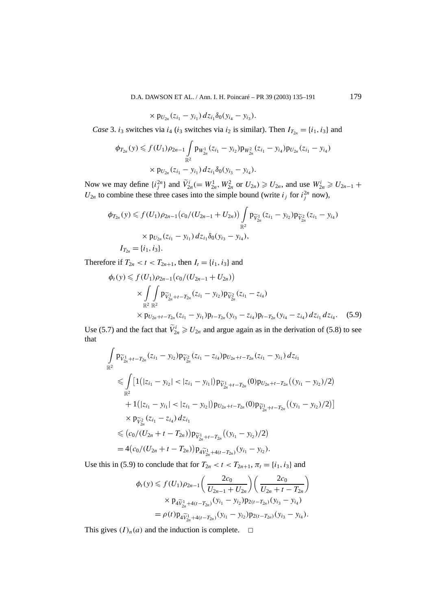D.A. DAWSON ET AL. / Ann. I. H. Poincaré – PR 39 (2003) 135–191 179

$$
\times p_{U_{2n}}(z_{i_1}-y_{i_1})\,dz_{i_1}\delta_0(y_{i_4}-y_{i_3}).
$$

*Case* 3. *i*<sub>3</sub> switches via *i*<sub>4</sub> (*i*<sub>3</sub> switches via *i*<sub>2</sub> is similar). Then  $I_{T_{2n}} = \{i_1, i_3\}$  and

$$
\phi_{T_{2n}}(y) \leqslant f(U_1)\rho_{2n-1} \int_{\mathbb{R}^2} p_{W_{2n}^1}(z_{i_1} - y_{i_2}) p_{W_{2n}^2}(z_{i_1} - y_{i_4}) p_{U_{2n}}(z_{i_1} - y_{i_4})
$$
  
 
$$
\times p_{U_{2n}}(z_{i_1} - y_{i_1}) dz_{i_1} \delta_0(y_{i_3} - y_{i_4}).
$$

Now we may define  $\{i_j^{2n}\}\$  and  $\tilde{V}_{2n}^i (= W_{2n}^1, W_{2n}^2 \text{ or } U_{2n}) \geq U_{2n}$ , and use  $W_{2n}^i \geq U_{2n-1}$  +  $U_{2n}$  to combine these three cases into the simple bound (write  $i_j$  for  $i_j^{2n}$  now),

$$
\phi_{T_{2n}}(y) \leq f(U_1)\rho_{2n-1}(c_0/(U_{2n-1} + U_{2n})) \int_{\mathbb{R}^2} p_{\widetilde{V}_{2n}^1}(z_{i_1} - y_{i_2}) p_{\widetilde{V}_{2n}^2}(z_{i_1} - y_{i_4})
$$
  
 
$$
\times p_{U_{2n}}(z_{i_1} - y_{i_1}) dz_{i_1} \delta_0(y_{i_3} - y_{i_4}),
$$
  
\n
$$
I_{T_{2n}} = \{i_1, i_3\}.
$$

Therefore if  $T_{2n} < t < T_{2n+1}$ , then  $I_t = \{i_1, i_3\}$  and

$$
\phi_t(y) \leq f(U_1)\rho_{2n-1}(c_0/(U_{2n-1} + U_{2n}))
$$
\n
$$
\times \int\int\limits_{\mathbb{R}^2} p_{\widetilde{V}_{2n}^1 + t - T_{2n}}(z_{i_1} - y_{i_2}) p_{\widetilde{V}_{2n}^2}(z_{i_1} - z_{i_4})
$$
\n
$$
\times p_{U_{2n} + t - T_{2n}}(z_{i_1} - y_{i_1}) p_{t - T_{2n}}(y_{i_3} - z_{i_4}) p_{t - T_{2n}}(y_{i_4} - z_{i_4}) dz_{i_1} dz_{i_4}.
$$
\n(5.9)

Use (5.7) and the fact that  $\tilde{V}_{2n}^i \geq U_{2n}$  and argue again as in the derivation of (5.8) to see that

$$
\int_{\mathbb{R}^2} \mathbf{p}_{\widetilde{V}_{2n}^1+t-T_{2n}}(z_{i_1}-y_{i_2})\mathbf{p}_{\widetilde{V}_{2n}^2}(z_{i_1}-z_{i_4})\mathbf{p}_{U_{2n}+t-T_{2n}}(z_{i_1}-y_{i_1})\,dz_{i_1}
$$
\n
$$
\leqslant \int_{\mathbb{R}^2} \left[1\left(|z_{i_1}-y_{i_2}|<|z_{i_1}-y_{i_1}|\right)\mathbf{p}_{\widetilde{V}_{2n}^1+t-T_{2n}}(0)\mathbf{p}_{U_{2n}+t-T_{2n}}((y_{i_1}-y_{i_2})/2)\right.\right.
$$
\n
$$
+1\left(|z_{i_1}-y_{i_1}|<|z_{i_1}-y_{i_2}|\right)\mathbf{p}_{U_{2n}+t-T_{2n}}(0)\mathbf{p}_{\widetilde{V}_{2n}^1+t-T_{2n}}((y_{i_1}-y_{i_2})/2)\right]
$$
\n
$$
\times \mathbf{p}_{\widetilde{V}_{2n}^2}(z_{i_1}-z_{i_4})\,dz_{i_1}
$$
\n
$$
\leqslant \left(c_0/(U_{2n}+t-T_{2n})\right)\mathbf{p}_{\widetilde{V}_{2n}^1+t-T_{2n}}((y_{i_1}-y_{i_2})/2)
$$
\n
$$
= 4\left(c_0/(U_{2n}+t-T_{2n})\right)\mathbf{p}_{4\widetilde{V}_{2n}^1+4(t-T_{2n})}(y_{i_1}-y_{i_2}).
$$

Use this in (5.9) to conclude that for  $T_{2n} < t < T_{2n+1}, \pi_t = \{i_1, i_3\}$  and

$$
\phi_t(y) \leq f(U_1)\rho_{2n-1}\left(\frac{2c_0}{U_{2n-1}+U_{2n}}\right)\left(\frac{2c_0}{U_{2n}+t-T_{2n}}\right)
$$

$$
\times \mathbf{p}_4\widetilde{v}_{2n}^1 + 4(t-T_{2n})\left(\mathbf{y}_{i_1} - \mathbf{y}_{i_2}\right)\mathbf{p}_{2(t-T_{2n})}\left(\mathbf{y}_{i_3} - \mathbf{y}_{i_4}\right)
$$

$$
= \rho(t)\mathbf{p}_4\widetilde{v}_{2n}^1 + 4(t-T_{2n})\left(\mathbf{y}_{i_1} - \mathbf{y}_{i_2}\right)\mathbf{p}_{2(t-T_{2n})}\left(\mathbf{y}_{i_3} - \mathbf{y}_{i_4}\right).
$$

This gives  $(I)_n(a)$  and the induction is complete.  $\Box$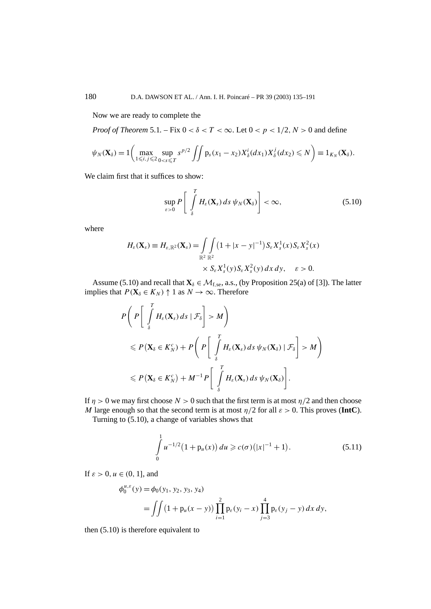Now we are ready to complete the

*Proof of Theorem* 5.1. – Fix  $0 < \delta < T < \infty$ . Let  $0 < p < 1/2$ ,  $N > 0$  and define

$$
\psi_N(\mathbf{X}_{\delta})=1\bigg(\max_{1\leq i,j\leq 2}\sup_{0
$$

We claim first that it suffices to show:

$$
\sup_{\varepsilon>0} P\left[\int_{\delta}^{T} H_{\varepsilon}(\mathbf{X}_{s}) ds \psi_{N}(\mathbf{X}_{\delta})\right] < \infty, \tag{5.10}
$$

where

$$
H_{\varepsilon}(\mathbf{X}_s) \equiv H_{\varepsilon, \mathbb{R}^2}(\mathbf{X}_s) = \int_{\mathbb{R}^2} \int_{\mathbb{R}^2} (1 + |x - y|^{-1}) S_{\varepsilon} X_s^1(x) S_{\varepsilon} X_s^2(x)
$$
  
 
$$
\times S_{\varepsilon} X_s^1(y) S_{\varepsilon} X_s^2(y) dx dy, \quad \varepsilon > 0.
$$

Assume (5.10) and recall that  $\mathbf{X}_{\delta} \in \mathcal{M}_{f,se}$ , a.s., (by Proposition 25(a) of [3]). The latter implies that  $P(\mathbf{X}_{\delta} \in K_N) \uparrow 1$  as  $N \to \infty$ . Therefore

$$
P\left(P\left[\int_{\delta}^{T} H_{\varepsilon}(\mathbf{X}_{s}) ds \mid \mathcal{F}_{\delta}\right] > M\right)
$$
  
\$\leqslant P(\mathbf{X}\_{\delta} \in K\_{N}^{c}) + P\left(P\left[\int\_{\delta}^{T} H\_{\varepsilon}(\mathbf{X}\_{s}) ds \psi\_{N}(\mathbf{X}\_{\delta}) \mid \mathcal{F}\_{\delta}\right] > M\right)\$  
\$\leqslant P(\mathbf{X}\_{\delta} \in K\_{N}^{c}) + M^{-1}P\left[\int\_{\delta}^{T} H\_{\varepsilon}(\mathbf{X}\_{s}) ds \psi\_{N}(\mathbf{X}\_{\delta})\right].\$

If  $\eta > 0$  we may first choose  $N > 0$  such that the first term is at most  $\eta/2$  and then choose *M* large enough so that the second term is at most  $\eta/2$  for all  $\varepsilon > 0$ . This proves (IntC).

Turning to (5.10), a change of variables shows that

$$
\int_{0}^{1} u^{-1/2} (1 + p_u(x)) du \ge c(\sigma) (|x|^{-1} + 1).
$$
 (5.11)

If  $\varepsilon > 0$ ,  $u \in (0, 1]$ , and

$$
\phi_0^{u,\varepsilon}(y) = \phi_0(y_1, y_2, y_3, y_4)
$$
  
= 
$$
\iint (1 + p_u(x - y)) \prod_{i=1}^2 p_\varepsilon(y_i - x) \prod_{j=3}^4 p_\varepsilon(y_j - y) dx dy,
$$

then (5.10) is therefore equivalent to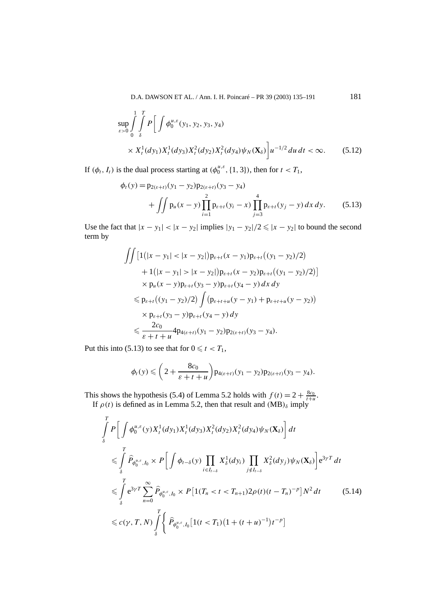D.A. DAWSON ET AL. / Ann. I. H. Poincaré – PR 39 (2003) 135–191 181

$$
\sup_{\varepsilon>0} \int\limits_{0}^{1} \int\limits_{\delta}^{T} P\bigg[\int \phi_0^{u,\varepsilon}(y_1, y_2, y_3, y_4)\n\times X_t^1(dy_1) X_t^1(dy_3) X_t^2(dy_2) X_t^2(dy_4) \psi_N(\mathbf{X}_\delta)\bigg] u^{-1/2} du dt < \infty.
$$
\n(5.12)

If  $(\phi_t, I_t)$  is the dual process starting at  $(\phi_0^{\mu,\varepsilon}, \{1, 3\})$ , then for  $t < T_1$ ,

$$
\phi_t(y) = p_{2(\varepsilon+t)}(y_1 - y_2)p_{2(\varepsilon+t)}(y_3 - y_4) \n+ \iint p_u(x - y) \prod_{i=1}^2 p_{\varepsilon+t}(y_i - x) \prod_{j=3}^4 p_{\varepsilon+t}(y_j - y) dx dy.
$$
\n(5.13)

Use the fact that  $|x - y_1| < |x - y_2|$  implies  $|y_1 - y_2|/2 \le |x - y_2|$  to bound the second term by

$$
\iint [1(|x - y_1| < |x - y_2|) p_{\varepsilon + t} (x - y_1) p_{\varepsilon + t} ((y_1 - y_2)/2) \\
+ 1(|x - y_1| > |x - y_2|) p_{\varepsilon + t} (x - y_2) p_{\varepsilon + t} ((y_1 - y_2)/2)] \\
\times p_u(x - y) p_{\varepsilon + t} (y_3 - y) p_{\varepsilon + t} (y_4 - y) dx dy \\
\leq p_{\varepsilon + t} ((y_1 - y_2)/2) \int (p_{\varepsilon + t + u} (y - y_1) + p_{\varepsilon + t + u} (y - y_2)) \\
\times p_{\varepsilon + t} (y_3 - y) p_{\varepsilon + t} (y_4 - y) dy \\
\leq \frac{2c_0}{\varepsilon + t + u} 4 p_{4(\varepsilon + t)} (y_1 - y_2) p_{2(\varepsilon + t)} (y_3 - y_4).
$$

Put this into (5.13) to see that for  $0 \le t < T_1$ ,

$$
\phi_t(y) \leqslant \left(2+\frac{8c_0}{\varepsilon+t+u}\right) \mathsf{p}_{4(\varepsilon+t)}(y_1-y_2)\mathsf{p}_{2(\varepsilon+t)}(y_3-y_4).
$$

This shows the hypothesis (5.4) of Lemma 5.2 holds with  $f(t) = 2 + \frac{8c_0}{t+u}$ .

If  $\rho(t)$  is defined as in Lemma 5.2, then that result and  $(MB)_{\delta}$  imply

$$
\int_{\delta}^{T} P\left[\int \phi_0^{u,\varepsilon}(y) X_t^1(dy_1) X_t^1(dy_3) X_t^2(dy_2) X_t^2(dy_4) \psi_N(\mathbf{X}_{\delta})\right] dt
$$
\n
$$
\leqslant \int_{\delta}^{T} \hat{P}_{\phi_0^{u,\varepsilon},I_0} \times P\left[\int \phi_{t-\delta}(y) \prod_{i \in I_{t-\delta}} X_s^1(dy_i) \prod_{j \notin I_{t-\delta}} X_s^2(dy_j) \psi_N(\mathbf{X}_{\delta})\right] e^{3\gamma T} dt
$$
\n
$$
\leqslant \int_{\delta}^{T} e^{3\gamma T} \sum_{n=0}^{\infty} \hat{P}_{\phi_0^{u,\varepsilon},I_0} \times P\left[1(T_n < t < T_{n+1})2\rho(t)(t - T_n)^{-p}\right] N^2 dt \tag{5.14}
$$
\n
$$
\leqslant c(\gamma, T, N) \int_{\delta}^{T} \left\{\hat{P}_{\phi_0^{u,\varepsilon},I_0} \left[1(t < T_1)(1 + (t + u)^{-1})t^{-p}\right]\right.
$$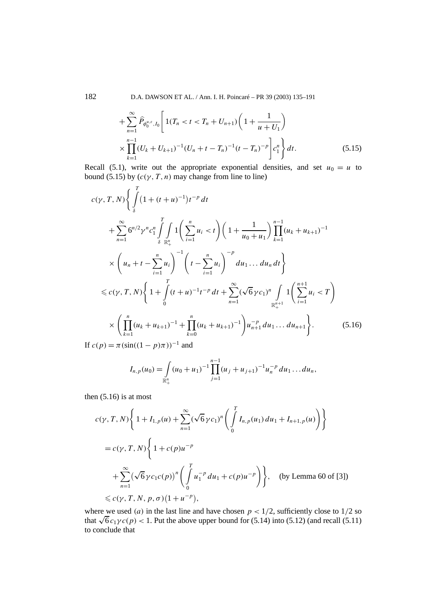182 D.A. DAWSON ET AL. / Ann. I. H. Poincaré – PR 39 (2003) 135–191

$$
+\sum_{n=1}^{\infty} \widehat{P}_{\phi_0^{u,s},I_0} \left[ 1(T_n < t < T_n + U_{n+1}) \left( 1 + \frac{1}{u + U_1} \right) \times \prod_{k=1}^{n-1} (U_k + U_{k+1})^{-1} (U_n + t - T_n)^{-1} (t - T_n)^{-p} \right] c_1^n \right\} dt. \tag{5.15}
$$

Recall (5.1), write out the appropriate exponential densities, and set  $u_0 = u$  to bound (5.15) by  $(c(\gamma, T, n)$  may change from line to line)

$$
c(\gamma, T, N) \Biggl\{ \int_{\delta}^{T} (1 + (t + u)^{-1}) t^{-p} dt
$$
  
+ 
$$
\sum_{n=1}^{\infty} 6^{n/2} \gamma^{n} c_{1}^{n} \int_{\delta}^{T} \int_{\mathbb{R}_{+}^{n}} 1 \Biggl( \sum_{i=1}^{n} u_{i} < t \Biggr) \Biggl( 1 + \frac{1}{u_{0} + u_{1}} \Biggr) \prod_{k=1}^{n-1} (u_{k} + u_{k+1})^{-1}
$$
  

$$
\times \Biggl( u_{n} + t - \sum_{i=1}^{n} u_{i} \Biggr)^{-1} \Biggl( t - \sum_{i=1}^{n} u_{i} \Biggr)^{-p} du_{1} \dots du_{n} dt \Biggr\}
$$
  

$$
\leq c(\gamma, T, N) \Biggl\{ 1 + \int_{0}^{T} (t + u)^{-1} t^{-p} dt + \sum_{n=1}^{\infty} (\sqrt{6} \gamma c_{1})^{n} \int_{\mathbb{R}_{+}^{n+1}} 1 \Biggl( \sum_{i=1}^{n+1} u_{i} < T \Biggr)
$$
  

$$
\times \Biggl( \prod_{k=1}^{n} (u_{k} + u_{k+1})^{-1} + \prod_{k=0}^{n} (u_{k} + u_{k+1})^{-1} \Biggr) u_{n+1}^{-p} du_{1} \dots du_{n+1} \Biggr\}.
$$
  
(5.16)  
If  $c(p) = \pi (\sin((1 - p)\pi))^{-1}$  and

$$
I_{n,p}(u_0) = \int_{\mathbb{R}_+^n} (u_0 + u_1)^{-1} \prod_{j=1}^{n-1} (u_j + u_{j+1})^{-1} u_n^{-p} du_1 \dots du_n,
$$

then  $(5.16)$  is at most

$$
c(\gamma, T, N) \left\{ 1 + I_{1, p}(u) + \sum_{n=1}^{\infty} (\sqrt{6} \gamma c_1)^n \left( \int_0^T I_{n, p}(u_1) du_1 + I_{n+1, p}(u) \right) \right\}
$$
  
=  $c(\gamma, T, N) \left\{ 1 + c(p)u^{-p} + \sum_{n=1}^{\infty} (\sqrt{6} \gamma c_1 c(p))^n \left( \int_0^T u_1^{-p} du_1 + c(p)u^{-p} \right) \right\}, \text{ (by Lemma 60 of [3])}$   
 $\leq c(\gamma, T, N, p, \sigma) (1 + u^{-p}),$ 

where we used (*a*) in the last line and have chosen  $p < 1/2$ , sufficiently close to  $1/2$  so that  $\sqrt{6} c_1 \gamma c(p) < 1$ . Put the above upper bound for (5.14) into (5.12) (and recall (5.11) to conclude that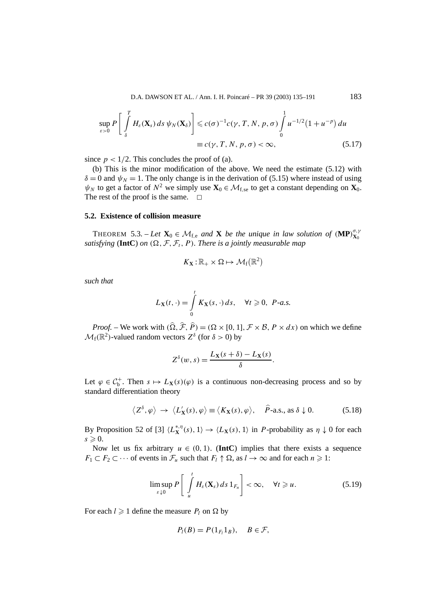$$
\sup_{\varepsilon>0} P\left[\int_{\delta}^{T} H_{\varepsilon}(\mathbf{X}_{s}) ds \psi_{N}(\mathbf{X}_{\delta})\right] \leqslant c(\sigma)^{-1} c(\gamma, T, N, p, \sigma) \int_{0}^{1} u^{-1/2} (1 + u^{-p}) du
$$
  

$$
\equiv c(\gamma, T, N, p, \sigma) < \infty,
$$
 (5.17)

since  $p < 1/2$ . This concludes the proof of (a).

(b) This is the minor modification of the above. We need the estimate (5.12) with  $\delta = 0$  and  $\psi_N = 1$ . The only change is in the derivation of (5.15) where instead of using  $\psi_N$  to get a factor of  $N^2$  we simply use  $\mathbf{X}_0 \in \mathcal{M}_{f,se}$  to get a constant depending on  $\mathbf{X}_0$ . The rest of the proof is the same.  $\square$ 

## **5.2. Existence of collision measure**

THEOREM 5.3. – Let  $\mathbf{X}_0 \in \mathcal{M}_{f,e}$  and  $\mathbf{X}$  be the unique in law solution of  $(\mathbf{MP})_{\mathbf{X}_0}^{\sigma,\gamma}$ **X**0 *satisfying* (**IntC**) *on*  $(\Omega, \mathcal{F}, \mathcal{F}_t, P)$ *. There is a jointly measurable map* 

$$
K_{\mathbf{X}}:\mathbb{R}_+\times\Omega\mapsto\mathcal{M}_{\mathrm{f}}(\mathbb{R}^2)
$$

*such that*

$$
L_{\mathbf{X}}(t,\cdot) = \int\limits_0^t K_{\mathbf{X}}(s,\cdot) \, ds, \quad \forall t \geq 0, \ P\text{-}a.s.
$$

*Proof.* – We work with  $(\hat{\Omega}, \hat{\mathcal{F}}, \hat{P}) = (\Omega \times [0, 1], \mathcal{F} \times \mathcal{B}, P \times dx)$  on which we define  $\mathcal{M}_f(\mathbb{R}^2)$ -valued random vectors  $Z^{\delta}$  (for  $\delta > 0$ ) by

$$
Z^{\delta}(w, s) = \frac{L_{\mathbf{X}}(s+\delta) - L_{\mathbf{X}}(s)}{\delta}.
$$

Let  $\varphi \in C_b^+$ . Then  $s \mapsto L_X(s)(\varphi)$  is a continuous non-decreasing process and so by standard differentiation theory

$$
\langle Z^{\delta}, \varphi \rangle \to \langle L_{\mathbf{X}}^{\prime}(s), \varphi \rangle \equiv \langle K_{\mathbf{X}}(s), \varphi \rangle, \quad \widehat{P}\text{-a.s., as } \delta \downarrow 0. \tag{5.18}
$$

By Proposition 52 of [3]  $\langle L_{\mathbf{X}}^{*,\eta}(s),1\rangle \to \langle L_{\mathbf{X}}(s),1\rangle$  in *P*-probability as  $\eta \downarrow 0$  for each  $s \geqslant 0$ .

Now let us fix arbitrary  $u \in (0, 1)$ . (**IntC**) implies that there exists a sequence  $F_1 \subset F_2 \subset \cdots$  of events in  $\mathcal{F}_u$  such that  $F_l \uparrow \Omega$ , as  $l \to \infty$  and for each  $n \geq 1$ :

$$
\limsup_{\varepsilon \downarrow 0} P\left[\int\limits_u^t H_\varepsilon(\mathbf{X}_s) \, ds \, 1_{F_n}\right] < \infty, \quad \forall t \geqslant u. \tag{5.19}
$$

For each  $l \geq 1$  define the measure  $P_l$  on  $\Omega$  by

$$
P_l(B) = P(1_{F_l}1_B), \quad B \in \mathcal{F},
$$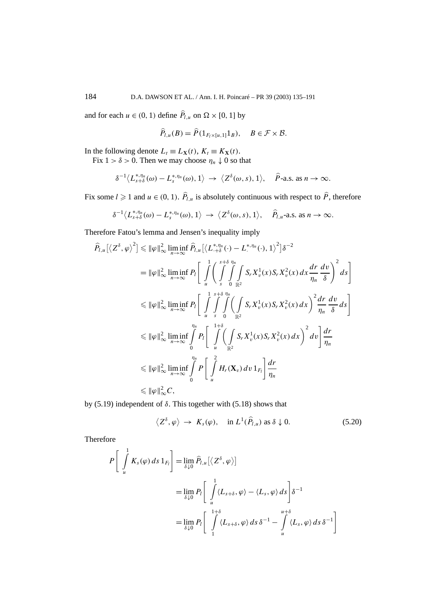and for each  $u \in (0, 1)$  define  $\hat{P}_{l,u}$  on  $\Omega \times [0, 1]$  by

$$
\widehat{P}_{l,u}(B) = \widehat{P}(1_{F_l \times [u,1]} 1_B), \quad B \in \mathcal{F} \times \mathcal{B}.
$$

In the following denote  $L_t \equiv L_{\mathbf{X}}(t)$ ,  $K_t \equiv K_{\mathbf{X}}(t)$ .

Fix  $1 > \delta > 0$ . Then we may choose  $\eta_n \downarrow 0$  so that

$$
\delta^{-1}\langle L_{s+\delta}^{*,\eta_n}(\omega)-L_s^{*,\eta_n}(\omega),1\rangle\rightarrow \langle Z^{\delta}(\omega,s),1\rangle,\quad \widehat{P}\text{-a.s. as }n\rightarrow\infty.
$$

Fix some  $l \ge 1$  and  $u \in (0, 1)$ .  $\hat{P}_{l,u}$  is absolutely continuous with respect to  $\hat{P}$ , therefore

$$
\delta^{-1}\langle L_{s+\delta}^{*,\eta_n}(\omega)-L_s^{*,\eta_n}(\omega),1\rangle\rightarrow\langle Z^{\delta}(\omega,s),1\rangle,\quad \widehat{P}_{l,u}\text{-a.s. as }n\rightarrow\infty.
$$

Therefore Fatou's lemma and Jensen's inequality imply

$$
\hat{P}_{l,u}\left[\left\langle Z^{\delta},\varphi\right\rangle^{2}\right] \leq \|\varphi\|_{\infty}^{2} \liminf_{n\to\infty} \hat{P}_{l,u}\left[\left\langle L_{+\delta}^{*,\eta_{n}}(\cdot)-L_{\cdot}^{*,\eta_{n}}(\cdot),1\right\rangle^{2}\right]\delta^{-2}
$$
\n
$$
= \|\varphi\|_{\infty}^{2} \liminf_{n\to\infty} P_{l}\left[\int_{u}^{1} \left(\int_{s}^{s+\delta}\int_{0}^{\eta_{n}}\int_{\mathbb{R}^{2}}S_{r}X_{v}^{1}(x)S_{r}X_{v}^{2}(x)\,dx\frac{dr}{\eta_{n}}\frac{dv}{\delta}\right)^{2}ds\right]
$$
\n
$$
\leq \|\varphi\|_{\infty}^{2} \liminf_{n\to\infty} P_{l}\left[\int_{u}^{1}\int_{s}^{s+\delta}\int_{0}^{\eta_{n}}\left(\int_{\mathbb{R}^{2}}S_{r}X_{v}^{1}(x)S_{r}X_{v}^{2}(x)\,dx\right)^{2}\frac{dr}{\eta_{n}}\frac{dv}{\delta}\,ds\right]
$$
\n
$$
\leq \|\varphi\|_{\infty}^{2} \liminf_{n\to\infty} \int_{0}^{\eta_{n}} P_{l}\left[\int_{u}^{1+\delta}\left(\int_{\mathbb{R}^{2}}S_{r}X_{v}^{1}(x)S_{r}X_{v}^{2}(x)\,dx\right)^{2}dv\right]\frac{dr}{\eta_{n}}
$$
\n
$$
\leq \|\varphi\|_{\infty}^{2} \liminf_{n\to\infty} \int_{0}^{\eta_{n}} P\left[\int_{u}^{2}H_{r}(\mathbf{X}_{v})\,dv\,1_{F_{l}}\right]\frac{dr}{\eta_{n}}
$$
\n
$$
\leq \|\varphi\|_{\infty}^{2}C,
$$

by (5.19) independent of *δ*. This together with (5.18) shows that

$$
\langle Z^{\delta}, \varphi \rangle \to K_s(\varphi), \quad \text{in } L^1(\widehat{P}_{l,u}) \text{ as } \delta \downarrow 0. \tag{5.20}
$$

Therefore

$$
P\left[\int_{u}^{1} K_{s}(\varphi) ds 1_{F_{l}}\right] = \lim_{\delta \downarrow 0} \widehat{P}_{l,u}[\langle Z^{\delta}, \varphi \rangle]
$$
  

$$
= \lim_{\delta \downarrow 0} P_{l} \left[\int_{u}^{1} \langle L_{s+\delta}, \varphi \rangle - \langle L_{s}, \varphi \rangle ds \right] \delta^{-1}
$$
  

$$
= \lim_{\delta \downarrow 0} P_{l} \left[\int_{1}^{1+\delta} \langle L_{s+\delta}, \varphi \rangle ds \delta^{-1} - \int_{u}^{u+\delta} \langle L_{s}, \varphi \rangle ds \delta^{-1}\right]
$$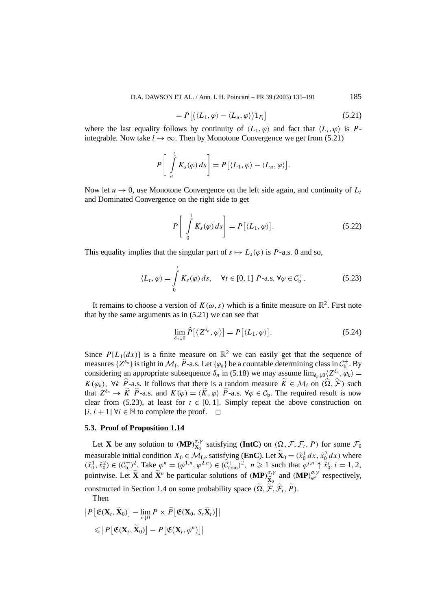D.A. DAWSON ET AL. / Ann. I. H. Poincaré – PR 39 (2003) 135–191 185

$$
=P\left[\left(\langle L_1,\varphi\rangle-\langle L_u,\varphi\rangle\right)1_{F_l}\right]
$$
\n(5.21)

where the last equality follows by continuity of  $\langle L_1, \varphi \rangle$  and fact that  $\langle L_1, \varphi \rangle$  is Pintegrable. Now take  $l \rightarrow \infty$ . Then by Monotone Convergence we get from (5.21)

$$
P\left[\int\limits_u^1 K_s(\varphi)\,ds\right] = P\left[\langle L_1,\varphi\rangle - \langle L_u,\varphi\rangle\right].
$$

Now let  $u \to 0$ , use Monotone Convergence on the left side again, and continuity of  $L_t$ and Dominated Convergence on the right side to get

$$
P\left[\int_{0}^{1} K_s(\varphi) \, ds\right] = P\left[\langle L_1, \varphi \rangle\right].\tag{5.22}
$$

This equality implies that the singular part of  $s \mapsto L_s(\varphi)$  is *P*-a.s. 0 and so,

$$
\langle L_t, \varphi \rangle = \int_0^t K_s(\varphi) \, ds, \quad \forall t \in [0, 1] \ P\text{-a.s. } \forall \varphi \in \mathcal{C}_b^+. \tag{5.23}
$$

It remains to choose a version of  $K(\omega, s)$  which is a finite measure on  $\mathbb{R}^2$ . First note that by the same arguments as in (5.21) we can see that

$$
\lim_{\delta_n \downarrow 0} \widehat{P}\left[ \langle Z^{\delta_n}, \varphi \rangle \right] = P\left[ \langle L_1, \varphi \rangle \right]. \tag{5.24}
$$

Since  $P[L_1(dx)]$  is a finite measure on  $\mathbb{R}^2$  we can easily get that the sequence of measures  $\{Z^{\delta_n}\}\$ is tight in  $\mathcal{M}_f$ ,  $\widehat{P}$ -a.s. Let  $\{\varphi_k\}$  be a countable determining class in  $\mathcal{C}_b^+$ . By considering an appropriate subsequence  $\delta_n$  in (5.18) we may assume  $\lim_{\delta_n \downarrow 0} \langle Z^{\delta_n}, \varphi_k \rangle =$  $K(\varphi_k)$ ,  $\forall k \ P_z$ -a.s. It follows that there is a random measure  $K \in \mathcal{M}_f$  on  $(\Omega, \mathcal{F})$  such that  $Z^{\delta_n} \to \widetilde{K}$   $\widehat{P}$ -a.s. and  $K(\varphi) = \langle \widetilde{K}, \varphi \rangle$   $\widehat{P}$ -a.s.  $\forall \varphi \in C_b$ . The required result is now clear from (5.23), at least for  $t \in [0, 1]$ . Simply repeat the above construction on  $[i, i + 1] \forall i \in \mathbb{N}$  to complete the proof.  $\Box$ 

#### **5.3. Proof of Proposition 1.14**

Let **X** be any solution to  $(\mathbf{MP})_{\mathbf{X}_0}^{\sigma,\gamma}$  satisfying  $(\mathbf{IntC})$  on  $(\Omega, \mathcal{F}, \mathcal{F}_t, P)$  for some  $\mathcal{F}_0$ measurable initial condition  $X_0 \in \mathcal{M}_{f,e}$  satisfying (**EnC**). Let  $\mathbf{X}_0 = (\tilde{x}_0^1 dx, \tilde{x}_0^2 dx)$  where  $(\tilde{x}_0^1, \tilde{x}_0^2) \in (\mathcal{C}_{\rm b}^{\dagger})^2$ . Take  $\varphi^n = (\varphi^{1,n}, \varphi^{2,n}) \in (\mathcal{C}_{\rm com}^{\dagger})^2$ ,  $n \ge 1$  such that  $\varphi^{i,n} \uparrow \tilde{x}_0^i$ ,  $i = 1, 2$ , pointwise. Let  $\tilde{\mathbf{X}}$  and  $\tilde{\mathbf{X}}^n$  be particular solutions of  $(\mathbf{MP})_{\tilde{\mathbf{X}}_0}^{\sigma, \gamma}$ constructed in Section 1.4 on some probability space  $(\tilde{\Omega}, \tilde{\tilde{\mathcal{F}}}, \tilde{\mathcal{F}}_t, \tilde{P})$ .  $\widetilde{\mathbf{x}}_0^{\sigma,\gamma}$  and  $(\mathbf{MP})_{\varphi^n}^{\sigma,\gamma}$  respectively,

Then

$$
|P[\mathfrak{E}(\mathbf{X}_t, \widetilde{\mathbf{X}}_0)] - \lim_{\varepsilon \downarrow 0} P \times \widetilde{P}[\mathfrak{E}(\mathbf{X}_0, S_{\varepsilon} \widetilde{\mathbf{X}}_t)]|
$$
  
\$\leqslant |P[\mathfrak{E}(\mathbf{X}\_t, \widetilde{\mathbf{X}}\_0)] - P[\mathfrak{E}(\mathbf{X}\_t, \varphi^n)]|\$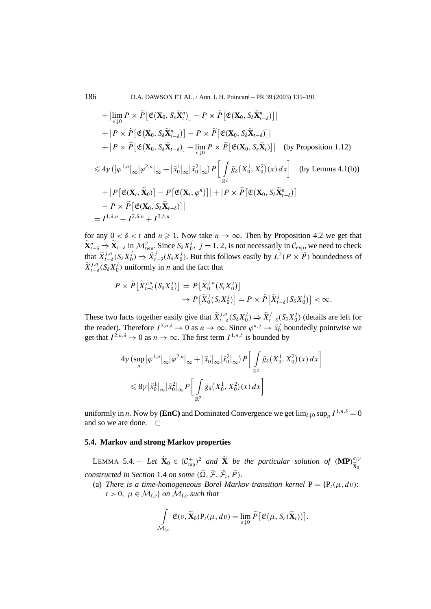$$
+ \left| \lim_{\varepsilon \downarrow 0} P \times \widetilde{P} \left[ \mathfrak{E} (\mathbf{X}_0, S_{\varepsilon} \widetilde{\mathbf{X}}_t^n) \right] - P \times \widetilde{P} \left[ \mathfrak{E} (\mathbf{X}_0, S_{\varepsilon} \widetilde{\mathbf{X}}_{t-\delta}^n) \right] \right|
$$
  
+  $\left| P \times \widetilde{P} \left[ \mathfrak{E} (\mathbf{X}_0, S_{\varepsilon} \widetilde{\mathbf{X}}_{t-\delta}) \right] - P \times \widetilde{P} \left[ \mathfrak{E} (\mathbf{X}_0, S_{\varepsilon} \widetilde{\mathbf{X}}_{t-\delta}) \right] \right|$   
+  $\left| P \times \widetilde{P} \left[ \mathfrak{E} (\mathbf{X}_0, S_{\varepsilon} \widetilde{\mathbf{X}}_{t-\delta}) \right] - \lim_{\varepsilon \downarrow 0} P \times \widetilde{P} \left[ \mathfrak{E} (\mathbf{X}_0, S_{\varepsilon} \widetilde{\mathbf{X}}_t) \right] \right|$  (by Proposition 1.12)  

$$
\leq 4\gamma \left( |\varphi^{1,n}|_{\infty} |\varphi^{2,n}|_{\infty} + |\widetilde{x}_0^1|_{\infty} |\widetilde{x}_0^2|_{\infty} \right) P \left[ \int_{\mathbb{R}^2} \bar{g}_{\delta} (X_0^1, X_0^2) (x) dx \right]
$$
 (by Lemma 4.1(b))  
+  $\left| P \left[ \mathfrak{E} (\mathbf{X}_t, \widetilde{\mathbf{X}}_0) \right] - P \left[ \mathfrak{E} (\mathbf{X}_t, \varphi^n) \right] \right| + \left| P \times \widetilde{P} \left[ \mathfrak{E} (\mathbf{X}_0, S_{\delta} \widetilde{\mathbf{X}}_{t-\delta}) \right] \right|$   
-  $P \times \widetilde{P} \left[ \mathfrak{E} (\mathbf{X}_0, S_{\delta} \widetilde{\mathbf{X}}_{t-\delta}) \right] |$   
=  $I^{1,\delta,n} + I^{2,\delta,n} + I^{3,\delta,n}$ 

for any  $0 < \delta < t$  and  $n \ge 1$ . Now take  $n \to \infty$ . Then by Proposition 4.2 we get that  $\widetilde{\mathbf{X}}_{t-\delta}^{n} \Rightarrow \widetilde{\mathbf{X}}_{t-\delta}$  in  $\mathcal{M}_{\text{tem}}^{2}$ . Since  $S_{\delta}X_{0}^{j}$ ,  $j = 1, 2$ , is not necessarily in  $\mathcal{C}_{\text{exp}}$ , we need to check that  $\widetilde{X}_{t-\delta}^{j,n}(S_{\delta}X_0^j) \Rightarrow \widetilde{X}_{t-\delta}^j(S_{\delta}X_0^j)$ . But this follows easily by  $L^2(P \times \widetilde{P})$  boundedness of  $\widetilde{X}_{t-\delta}^{j,n}(S_{\delta}X_0^j)$  uniformly in *n* and the fact that

$$
P \times \widetilde{P} \big[ \widetilde{X}_{t-\delta}^{j,n} \big( S_{\delta} X_0^j \big) \big] = P \big[ \widetilde{X}_0^{j,n} \big( S_t X_0^j \big) \big] \to P \big[ \widetilde{X}_0^j \big( S_t X_0^j \big) \big] = P \times \widetilde{P} \big[ \widetilde{X}_{t-\delta}^j \big( S_{\delta} X_0^j \big) \big] < \infty.
$$

These two facts together easily give that  $\widetilde{X}_{t-\delta}^{j,n}(S_{\delta}X_0^j) \Rightarrow \widetilde{X}_{t-\delta}^j(S_{\delta}X_0^j)$  (details are left for the reader). Therefore  $I^{3,n,\delta} \to 0$  as  $n \to \infty$ . Since  $\varphi^{n,j} \to \tilde{x}_0^j$  boundedly pointwise we get that  $I^{2,n,\delta} \to 0$  as  $n \to \infty$ . The first term  $I^{1,n,\delta}$  is bounded by

$$
4\gamma \left(\sup_{n} |\varphi^{1,n}|_{\infty} |\varphi^{2,n}|_{\infty} + |\tilde{x}_0^1|_{\infty} |\tilde{x}_0^2|_{\infty}\right) P\left[\int_{\mathbb{R}^2} \bar{g}_\delta(X_0^1, X_0^2)(x) dx\right]
$$
  

$$
\leq 8\gamma |\tilde{x}_0^1|_{\infty} |\tilde{x}_0^2|_{\infty} P\left[\int_{\mathbb{R}^2} \bar{g}_\delta(X_0^1, X_0^2)(x) dx\right]
$$

uniformly in *n*. Now by **(EnC)** and Dominated Convergence we get  $\lim_{\delta \downarrow 0} \sup_n I^{1,n,\delta} = 0$ and so we are done.  $\Box$ 

#### **5.4. Markov and strong Markov properties**

LEMMA 5.4. – Let  $\widetilde{\mathbf{X}}_0 \in (C_{\text{rap}}^+)^2$  and  $\widetilde{\mathbf{X}}$  be the particular solution of  $(\mathbf{MP})_{\widetilde{\mathbf{X}}_0}^{\sigma,\gamma}$  **X**0 *constructed in Section* 1.4 *on some*  $(\Omega, \mathcal{F}, \mathcal{F}_t, P)$ *.* 

(a) *There is a time-homogeneous Borel Markov transition kernel*  $P = {P_t(\mu, d\nu)}$ :  $t > 0$ ,  $\mu \in \mathcal{M}_{f,e}$  *on*  $\mathcal{M}_{f,e}$  *such that* 

$$
\int_{\mathcal{M}_{f,e}} \mathfrak{E}(\nu, \widetilde{\mathbf{X}}_0) P_t(\mu, d\nu) = \lim_{\varepsilon \downarrow 0} \widetilde{P}\big[\mathfrak{E}(\mu, S_{\varepsilon}(\widetilde{\mathbf{X}}_t))\big].
$$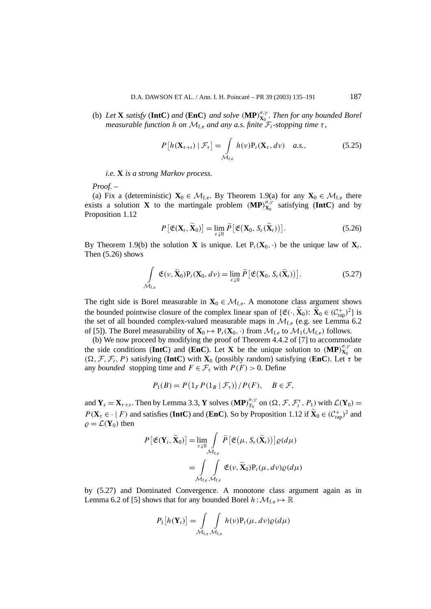(b) Let **X** satisfy (IntC) and (EnC) and solve  $(MP)_{X_0}^{\sigma,\gamma}$ . Then for any bounded Borel *measurable function h on*  $M_{f,e}$  *and any a.s. finite*  $\mathcal{F}_t$ -stopping time  $\tau$ ,

$$
P\left[h(\mathbf{X}_{\tau+t}) \mid \mathcal{F}_{\tau}\right] = \int_{\mathcal{M}_{\text{f,e}}} h(\nu) P_t(\mathbf{X}_{\tau}, d\nu) \quad a.s., \tag{5.25}
$$

*i.e.* **X** *is a strong Markov process.*

*Proof. –*

(a) Fix a (deterministic)  $\mathbf{X}_0 \in \mathcal{M}_{f,e}$ . By Theorem 1.9(a) for any  $\mathbf{X}_0 \in \mathcal{M}_{f,e}$  there exists a solution **X** to the martingale problem  $(MP)_{X_0}^{\sigma,\gamma}$  satisfying (IntC) and by Proposition 1.12

$$
P\left[\mathfrak{E}(\mathbf{X}_t, \widetilde{\mathbf{X}}_0)\right] = \lim_{\varepsilon \downarrow 0} \widetilde{P}\left[\mathfrak{E}(\mathbf{X}_0, S_\varepsilon(\widetilde{\mathbf{X}}_t))\right]. \tag{5.26}
$$

By Theorem 1.9(b) the solution **X** is unique. Let  $P_t(\mathbf{X}_0, \cdot)$  be the unique law of  $\mathbf{X}_t$ . Then (5.26) shows

$$
\int_{\mathcal{M}_{f,e}} \mathfrak{E}(\nu, \widetilde{\mathbf{X}}_0) P_t(\mathbf{X}_0, d\nu) = \lim_{\varepsilon \downarrow 0} \widetilde{P}\big[\mathfrak{E}(\mathbf{X}_0, S_{\varepsilon}(\widetilde{\mathbf{X}}_t))\big].
$$
\n(5.27)

The right side is Borel measurable in  $\mathbf{X}_0 \in \mathcal{M}_{f,e}$ . A monotone class argument shows the bounded pointwise closure of the complex linear span of  $\{\mathfrak{E}(\cdot,\mathbf{X}_0): \mathbf{X}_0 \in (\mathcal{C}^+_{\text{rap}})^2\}$  is the set of all bounded complex-valued measurable maps in  $\mathcal{M}_{f,e}$  (e.g. see Lemma 6.2) of [5]). The Borel measurability of  $\mathbf{X}_0 \mapsto P_t(\mathbf{X}_0, \cdot)$  from  $\mathcal{M}_{f,e}$  to  $\mathcal{M}_1(\mathcal{M}_{f,e})$  follows.

(b) We now proceed by modifying the proof of Theorem 4.4.2 of [7] to accommodate the side conditions (IntC) and (EnC). Let **X** be the unique solution to  $(MP)_{X_0}^{\sigma,\gamma}$  on  $(\Omega, \mathcal{F}, \mathcal{F}_t, P)$  satisfying (**IntC**) with **X**<sub>0</sub> (possibly random) satisfying *(EnC)*. Let  $\tau$  be any *bounded* stopping time and  $F \in \mathcal{F}_{\tau}$  with  $P(F) > 0$ . Define

$$
P_1(B) = P\left(\mathbb{1}_F P(\mathbb{1}_B \mid \mathcal{F}_\tau)\right) / P(F), \quad B \in \mathcal{F},
$$

and  $Y_s = X_{\tau+s}$ . Then by Lemma 3.3, Y solves  $(MP)_{Y_0}^{\sigma,\gamma}$  on  $(\Omega, \mathcal{F}, \mathcal{F}_t^{\tau}, P_1)$  with  $\mathcal{L}(Y_0) =$  $P(\mathbf{X}_{\tau} \in \cdot | F)$  and satisfies (**IntC**) and (**EnC**). So by Proposition 1.12 if  $\widetilde{\mathbf{X}}_0 \in (C_{\text{rap}}^+)^2$  and  $\rho = \mathcal{L}(\mathbf{Y}_0)$  then

$$
P\left[\mathfrak{E}(\mathbf{Y}_t, \widetilde{\mathbf{X}}_0)\right] = \lim_{\varepsilon \downarrow 0} \int_{\mathcal{M}_{f,e}} \widetilde{P}\left[\mathfrak{E}(\mu, S_{\varepsilon}(\widetilde{\mathbf{X}}_t))\right] \varrho(d\mu)
$$

$$
= \int_{\mathcal{M}_{f,e}} \int_{\mathcal{M}_{f,e}} \mathfrak{E}(\nu, \widetilde{\mathbf{X}}_0) P_t(\mu, d\nu) \varrho(d\mu)
$$

by (5.27) and Dominated Convergence. A monotone class argument again as in Lemma 6.2 of [5] shows that for any bounded Borel  $h : \mathcal{M}_{f,e} \mapsto \mathbb{R}$ 

$$
P_{1}[h(\mathbf{Y}_{t})] = \int_{\mathcal{M}_{f,e}} \int_{\mathcal{M}_{f,e}} h(v) P_{t}(\mu, dv) \varrho(d\mu)
$$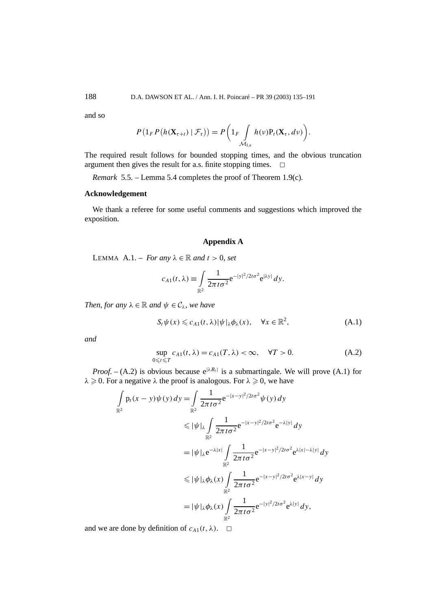and so

$$
P\left(1_{F}P\left(h(\mathbf{X}_{\tau+t})\mid\mathcal{F}_{\tau}\right)\right)=P\left(1_{F}\int\limits_{\mathcal{M}_{f,e}}h(\nu)P_{t}(\mathbf{X}_{\tau},d\nu)\right).
$$

The required result follows for bounded stopping times, and the obvious truncation argument then gives the result for a.s. finite stopping times.  $\Box$ 

*Remark* 5.5. – Lemma 5.4 completes the proof of Theorem 1.9(c).

## **Acknowledgement**

We thank a referee for some useful comments and suggestions which improved the exposition.

## **Appendix A**

LEMMA A.1. – *For any*  $\lambda \in \mathbb{R}$  *and*  $t > 0$ *, set* 

$$
c_{A1}(t,\lambda) \equiv \int\limits_{\mathbb{R}^2} \frac{1}{2\pi t \sigma^2} e^{-|y|^2/2t\sigma^2} e^{|\lambda y|} dy.
$$

*Then, for any*  $\lambda \in \mathbb{R}$  *and*  $\psi \in C_{\lambda}$ *, we have* 

$$
S_t \psi(x) \leqslant c_{A1}(t,\lambda) |\psi|_{\lambda} \phi_{\lambda}(x), \quad \forall x \in \mathbb{R}^2,
$$
\n(A.1)

*and*

$$
\sup_{0 \le t \le T} c_{A1}(t, \lambda) = c_{A1}(T, \lambda) < \infty, \quad \forall T > 0. \tag{A.2}
$$

*Proof.* – (A.2) is obvious because  $e^{|\lambda B_t|}$  is a submartingale. We will prove (A.1) for  $\lambda \geq 0$ . For a negative  $\lambda$  the proof is analogous. For  $\lambda \geq 0$ , we have

$$
\int_{\mathbb{R}^2} p_t(x - y) \psi(y) \, dy = \int_{\mathbb{R}^2} \frac{1}{2\pi t \sigma^2} e^{-|x - y|^2 / 2t \sigma^2} \psi(y) \, dy
$$
\n
$$
\leq |\psi|_{\lambda} \int_{\mathbb{R}^2} \frac{1}{2\pi t \sigma^2} e^{-|x - y|^2 / 2t \sigma^2} e^{-\lambda |y|} \, dy
$$
\n
$$
= |\psi|_{\lambda} e^{-\lambda |x|} \int_{\mathbb{R}^2} \frac{1}{2\pi t \sigma^2} e^{-|x - y|^2 / 2t \sigma^2} e^{\lambda |x| - \lambda |y|} \, dy
$$
\n
$$
\leq |\psi|_{\lambda} \phi_{\lambda}(x) \int_{\mathbb{R}^2} \frac{1}{2\pi t \sigma^2} e^{-|x - y|^2 / 2t \sigma^2} e^{\lambda |x - y|} \, dy
$$
\n
$$
= |\psi|_{\lambda} \phi_{\lambda}(x) \int_{\mathbb{R}^2} \frac{1}{2\pi t \sigma^2} e^{-|y|^2 / 2t \sigma^2} e^{\lambda |y|} \, dy,
$$

and we are done by definition of  $c_{A1}(t, \lambda)$ .  $\Box$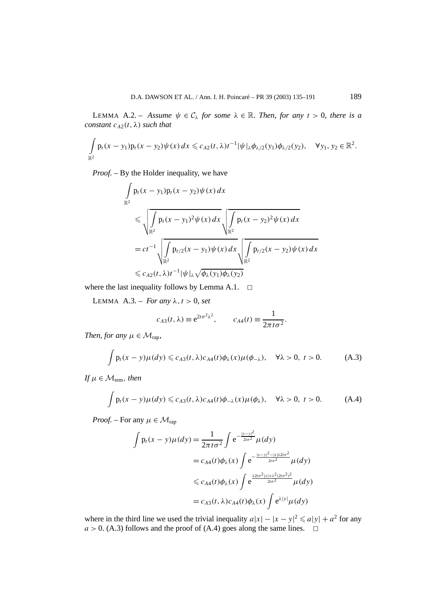LEMMA A.2. – *Assume*  $\psi \in C_\lambda$  *for some*  $\lambda \in \mathbb{R}$ *. Then, for any*  $t > 0$ *, there is a constant*  $c_{A2}(t, \lambda)$  *such that* 

$$
\int_{\mathbb{R}^2} p_t(x - y_1) p_t(x - y_2) \psi(x) dx \leq c_{A2}(t, \lambda) t^{-1} |\psi|_{\lambda} \phi_{\lambda/2}(y_1) \phi_{\lambda/2}(y_2), \quad \forall y_1, y_2 \in \mathbb{R}^2.
$$

*Proof. –* By the Holder inequality, we have

$$
\int_{\mathbb{R}^2} p_t(x - y_1) p_t(x - y_2) \psi(x) dx
$$
\n
$$
\leq \sqrt{\int_{\mathbb{R}^2} p_t(x - y_1)^2 \psi(x) dx} \sqrt{\int_{\mathbb{R}^2} p_t(x - y_2)^2 \psi(x) dx}
$$
\n
$$
= ct^{-1} \sqrt{\int_{\mathbb{R}^2} p_{t/2}(x - y_1) \psi(x) dx} \sqrt{\int_{\mathbb{R}^2} p_{t/2}(x - y_2) \psi(x) dx}
$$
\n
$$
\leq c_{A2}(t, \lambda) t^{-1} |\psi|_{\lambda} \sqrt{\phi_{\lambda}(y_1) \phi_{\lambda}(y_2)}
$$

where the last inequality follows by Lemma A.1.  $\Box$ 

LEMMA  $A.3. - For any  $\lambda, t > 0$ , set$ 

$$
c_{A3}(t,\lambda) \equiv e^{2t\sigma^2\lambda^2}, \qquad c_{A4}(t) \equiv \frac{1}{2\pi t\sigma^2}.
$$

*Then, for any*  $\mu \in \mathcal{M}_{\text{ran}}$ *,* 

$$
\int p_t(x - y)\mu(dy) \leq c_{A3}(t, \lambda)c_{A4}(t)\phi_{\lambda}(x)\mu(\phi_{-\lambda}), \quad \forall \lambda > 0, \ t > 0.
$$
 (A.3)

*If*  $\mu \in \mathcal{M}_{tem}$ *, then* 

$$
\int p_t(x - y)\mu(dy) \leq c_{A3}(t, \lambda)c_{A4}(t)\phi_{-\lambda}(x)\mu(\phi_{\lambda}), \quad \forall \lambda > 0, \ t > 0.
$$
 (A.4)

*Proof.* – For any  $\mu \in \mathcal{M}_{rap}$ 

$$
\int p_t(x - y)\mu(dy) = \frac{1}{2\pi t\sigma^2} \int e^{-\frac{|x - y|^2}{2t\sigma^2}} \mu(dy)
$$
  

$$
= c_{A4}(t)\phi_{\lambda}(x) \int e^{-\frac{|x - y|^2 - |x|\lambda 2t\sigma^2}{2t\sigma^2}} \mu(dy)
$$
  

$$
\leq c_{A4}(t)\phi_{\lambda}(x) \int e^{\frac{\lambda 2t\sigma^2|y| + \lambda^2 (2t\sigma^2)^2}{2t\sigma^2}} \mu(dy)
$$
  

$$
= c_{A3}(t, \lambda)c_{A4}(t)\phi_{\lambda}(x) \int e^{\lambda|y|} \mu(dy)
$$

where in the third line we used the trivial inequality  $a|x| - |x - y|^2 \leq a|y| + a^2$  for any  $a > 0$ . (A.3) follows and the proof of (A.4) goes along the same lines.  $\Box$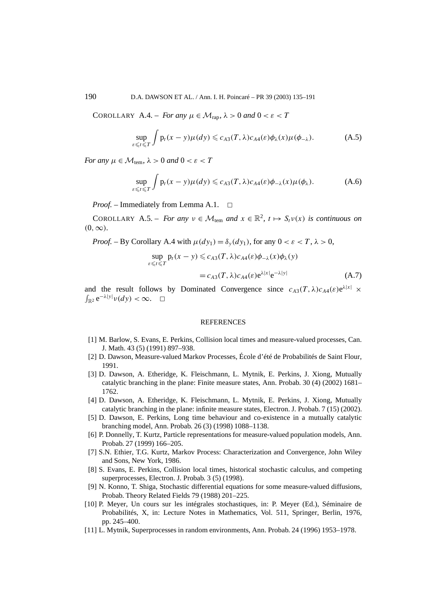COROLLARY A.4. – *For any*  $\mu \in M_{\text{rap}}, \lambda > 0$  *and*  $0 < \varepsilon < T$ 

$$
\sup_{\varepsilon \leq t \leq T} \int p_t(x - y) \mu(dy) \leq c_{A3}(T, \lambda) c_{A4}(\varepsilon) \phi_\lambda(x) \mu(\phi_{-\lambda}). \tag{A.5}
$$

*For any*  $\mu \in \mathcal{M}_{\text{tem}}$ ,  $\lambda > 0$  *and*  $0 < \varepsilon < T$ 

$$
\sup_{\varepsilon \leqslant t \leqslant T} \int p_t(x - y) \mu(dy) \leqslant c_{A3}(T, \lambda) c_{A4}(\varepsilon) \phi_{-\lambda}(x) \mu(\phi_{\lambda}). \tag{A.6}
$$

*Proof.* – Immediately from Lemma A.1. <del>□</del>

COROLLARY A.5. – *For any*  $v \in M_{\text{tem}}$  *and*  $x \in \mathbb{R}^2$ ,  $t \mapsto S_t v(x)$  *is continuous on*  $(0, \infty)$ *.* 

*Proof.* – By Corollary A.4 with  $\mu(dy_1) = \delta_y(dy_1)$ , for any  $0 < \varepsilon < T$ ,  $\lambda > 0$ ,

$$
\sup_{\varepsilon \leq t \leq T} p_t(x - y) \leq c_{A3}(T, \lambda) c_{A4}(\varepsilon) \phi_{-\lambda}(x) \phi_{\lambda}(y)
$$
  
=  $c_{A3}(T, \lambda) c_{A4}(\varepsilon) e^{\lambda |x|} e^{-\lambda |y|}$  (A.7)

and the result follows by Dominated Convergence since  $c_{A3}(T, \lambda)c_{A4}(\varepsilon)e^{\lambda|x|} \times$  $\int_{\mathbb{R}^2} e^{-\lambda |y|} v(dy) < \infty$ .  $\Box$ 

#### **REFERENCES**

- [1] M. Barlow, S. Evans, E. Perkins, Collision local times and measure-valued processes, Can. J. Math. 43 (5) (1991) 897–938.
- [2] D. Dawson, Measure-valued Markov Processes, École d'été de Probabilités de Saint Flour, 1991.
- [3] D. Dawson, A. Etheridge, K. Fleischmann, L. Mytnik, E. Perkins, J. Xiong, Mutually catalytic branching in the plane: Finite measure states, Ann. Probab. 30 (4) (2002) 1681– 1762.
- [4] D. Dawson, A. Etheridge, K. Fleischmann, L. Mytnik, E. Perkins, J. Xiong, Mutually catalytic branching in the plane: infinite measure states, Electron. J. Probab. 7 (15) (2002).
- [5] D. Dawson, E. Perkins, Long time behaviour and co-existence in a mutually catalytic branching model, Ann. Probab. 26 (3) (1998) 1088–1138.
- [6] P. Donnelly, T. Kurtz, Particle representations for measure-valued population models, Ann. Probab. 27 (1999) 166–205.
- [7] S.N. Ethier, T.G. Kurtz, Markov Process: Characterization and Convergence, John Wiley and Sons, New York, 1986.
- [8] S. Evans, E. Perkins, Collision local times, historical stochastic calculus, and competing superprocesses, Electron. J. Probab. 3 (5) (1998).
- [9] N. Konno, T. Shiga, Stochastic differential equations for some measure-valued diffusions, Probab. Theory Related Fields 79 (1988) 201–225.
- [10] P. Meyer, Un cours sur les intégrales stochastiques, in: P. Meyer (Ed.), Séminaire de Probabilités, X, in: Lecture Notes in Mathematics, Vol. 511, Springer, Berlin, 1976, pp. 245–400.
- [11] L. Mytnik, Superprocesses in random environments, Ann. Probab. 24 (1996) 1953–1978.